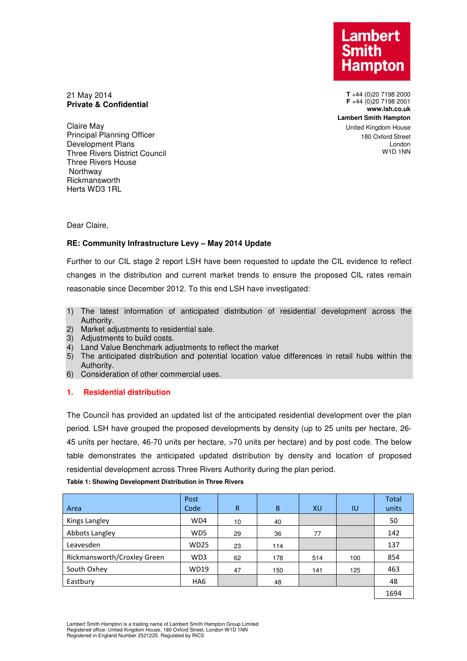**Lambert** Hampton

**T** +44 (0)20 7198 2000 **F** +44 (0)20 7198 2001 **www.lsh.co.uk Lambert Smith Hampton**  United Kingdom House 180 Oxford Street London W1D 1NN

21 May 2014 **Private & Confidential** 

Claire May Principal Planning Officer Development Plans Three Rivers District Council Three Rivers House **Northway** Rickmansworth Herts WD3 1RL

Dear Claire,

# **RE: Community Infrastructure Levy – May 2014 Update**

Further to our CIL stage 2 report LSH have been requested to update the CIL evidence to reflect changes in the distribution and current market trends to ensure the proposed CIL rates remain reasonable since December 2012. To this end LSH have investigated:

- 1) The latest information of anticipated distribution of residential development across the Authority.
- 2) Market adjustments to residential sale.
- 3) Adjustments to build costs.
- 4) Land Value Benchmark adjustments to reflect the market
- 5) The anticipated distribution and potential location value differences in retail hubs within the Authority.
- 6) Consideration of other commercial uses.

# **1. Residential distribution**

The Council has provided an updated list of the anticipated residential development over the plan period. LSH have grouped the proposed developments by density (up to 25 units per hectare, 26- 45 units per hectare, 46-70 units per hectare, >70 units per hectare) and by post code. The below table demonstrates the anticipated updated distribution by density and location of proposed residential development across Three Rivers Authority during the plan period.

| Area                        | Post<br>Code    | R  | B   | XU  | IU  | <b>Total</b><br>units |
|-----------------------------|-----------------|----|-----|-----|-----|-----------------------|
| Kings Langley               | WD4             | 10 | 40  |     |     | 50                    |
| Abbots Langley              | WD <sub>5</sub> | 29 | 36  | 77  |     | 142                   |
| Leavesden                   | <b>WD25</b>     | 23 | 114 |     |     | 137                   |
| Rickmansworth/Croxley Green | WD3             | 62 | 178 | 514 | 100 | 854                   |
| South Oxhey                 | <b>WD19</b>     | 47 | 150 | 141 | 125 | 463                   |
| Eastbury                    | HA <sub>6</sub> |    | 48  |     |     | 48                    |
|                             |                 |    |     |     |     | 1694                  |

### **Table 1: Showing Development Distribution in Three Rivers**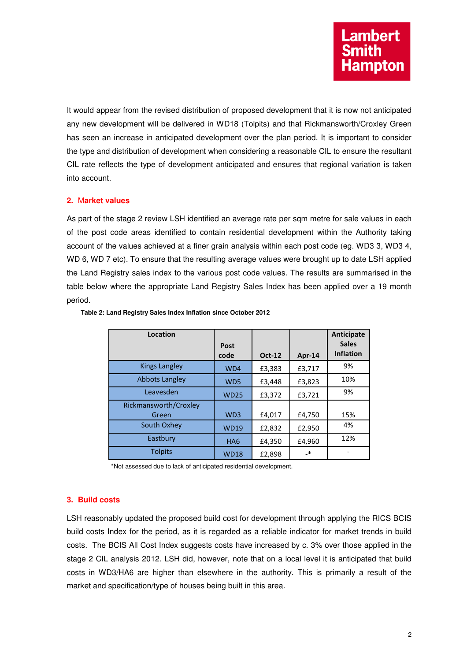It would appear from the revised distribution of proposed development that it is now not anticipated any new development will be delivered in WD18 (Tolpits) and that Rickmansworth/Croxley Green has seen an increase in anticipated development over the plan period. It is important to consider the type and distribution of development when considering a reasonable CIL to ensure the resultant CIL rate reflects the type of development anticipated and ensures that regional variation is taken into account.

# **2.** M**arket values**

As part of the stage 2 review LSH identified an average rate per sqm metre for sale values in each of the post code areas identified to contain residential development within the Authority taking account of the values achieved at a finer grain analysis within each post code (eg. WD3 3, WD3 4, WD 6, WD 7 etc). To ensure that the resulting average values were brought up to date LSH applied the Land Registry sales index to the various post code values. The results are summarised in the table below where the appropriate Land Registry Sales Index has been applied over a 19 month period.

| Location              | Post             |               |         | Anticipate<br><b>Sales</b> |
|-----------------------|------------------|---------------|---------|----------------------------|
|                       | code             | <b>Oct-12</b> | Apr-14  | <b>Inflation</b>           |
| <b>Kings Langley</b>  | WD4              | £3,383        | £3,717  | 9%                         |
| <b>Abbots Langley</b> | W <sub>D</sub> 5 | £3,448        | £3,823  | 10%                        |
| Leavesden             | <b>WD25</b>      | £3,372        | £3,721  | 9%                         |
| Rickmansworth/Croxley |                  |               |         |                            |
| Green                 | WD <sub>3</sub>  | £4,017        | £4,750  | 15%                        |
| South Oxhey           | <b>WD19</b>      | £2,832        | £2,950  | 4%                         |
| Eastbury              | HA <sub>6</sub>  | £4,350        | £4,960  | 12%                        |
| <b>Tolpits</b>        | <b>WD18</b>      | £2,898        | $_{-*}$ |                            |

#### **Table 2: Land Registry Sales Index Inflation since October 2012**

\*Not assessed due to lack of anticipated residential development.

## **3. Build costs**

LSH reasonably updated the proposed build cost for development through applying the RICS BCIS build costs Index for the period, as it is regarded as a reliable indicator for market trends in build costs. The BCIS All Cost Index suggests costs have increased by c. 3% over those applied in the stage 2 CIL analysis 2012. LSH did, however, note that on a local level it is anticipated that build costs in WD3/HA6 are higher than elsewhere in the authority. This is primarily a result of the market and specification/type of houses being built in this area.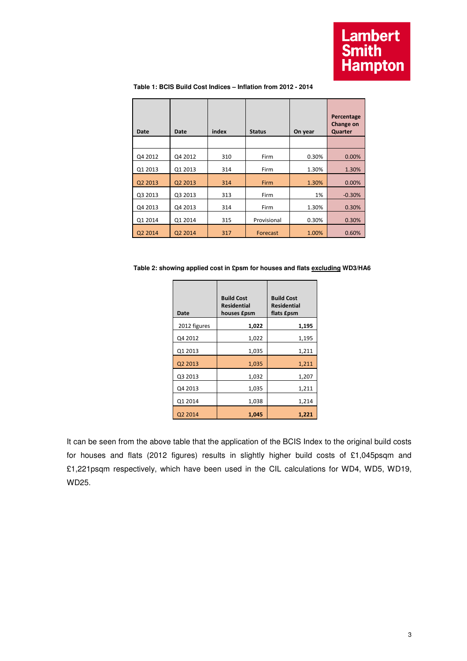| Date    | Date    | index | <b>Status</b> | On year | Percentage<br>Change on<br>Quarter |
|---------|---------|-------|---------------|---------|------------------------------------|
|         |         |       |               |         |                                    |
| Q4 2012 | Q4 2012 | 310   | Firm          | 0.30%   | 0.00%                              |
| Q1 2013 | Q1 2013 | 314   | Firm          | 1.30%   | 1.30%                              |
| Q2 2013 | Q2 2013 | 314   | Firm          | 1.30%   | 0.00%                              |
| Q3 2013 | Q3 2013 | 313   | Firm          | 1%      | $-0.30%$                           |
| Q4 2013 | Q4 2013 | 314   | Firm          | 1.30%   | 0.30%                              |
| Q1 2014 | Q1 2014 | 315   | Provisional   | 0.30%   | 0.30%                              |
| Q2 2014 | Q2 2014 | 317   | Forecast      | 1.00%   | 0.60%                              |

 **Table 1: BCIS Build Cost Indices – Inflation from 2012 - 2014** 

**Table 2: showing applied cost in £psm for houses and flats excluding WD3/HA6** 

| Date         | <b>Build Cost</b><br><b>Residential</b><br>houses £psm | <b>Build Cost</b><br><b>Residential</b><br>flats £psm |
|--------------|--------------------------------------------------------|-------------------------------------------------------|
| 2012 figures | 1,022                                                  | 1,195                                                 |
| Q4 2012      | 1,022                                                  | 1,195                                                 |
| Q1 2013      | 1,035                                                  | 1,211                                                 |
| Q2 2013      | 1,035                                                  | 1,211                                                 |
| Q3 2013      | 1,032                                                  | 1,207                                                 |
| Q4 2013      | 1,035                                                  | 1,211                                                 |
| Q1 2014      | 1,038                                                  | 1,214                                                 |
| Q2 2014      | 1,045                                                  | 1,221                                                 |

It can be seen from the above table that the application of the BCIS Index to the original build costs for houses and flats (2012 figures) results in slightly higher build costs of £1,045psqm and £1,221psqm respectively, which have been used in the CIL calculations for WD4, WD5, WD19, WD25.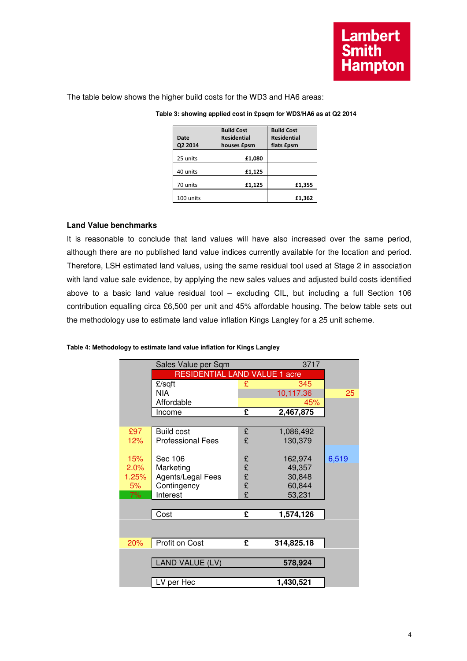The table below shows the higher build costs for the WD3 and HA6 areas:

| Date<br>Q2 2014 | <b>Build Cost</b><br>Residential<br>houses <i>fpsm</i> | <b>Build Cost</b><br><b>Residential</b><br>flats £psm |
|-----------------|--------------------------------------------------------|-------------------------------------------------------|
| 25 units        | £1,080                                                 |                                                       |
| 40 units        | £1,125                                                 |                                                       |
| 70 units        | £1,125                                                 | £1,355                                                |
| 100 units       |                                                        | £1,362                                                |

## **Table 3: showing applied cost in £psqm for WD3/HA6 as at Q2 2014**

# **Land Value benchmarks**

It is reasonable to conclude that land values will have also increased over the same period, although there are no published land value indices currently available for the location and period. Therefore, LSH estimated land values, using the same residual tool used at Stage 2 in association with land value sale evidence, by applying the new sales values and adjusted build costs identified above to a basic land value residual tool – excluding CIL, but including a full Section 106 contribution equalling circa £6,500 per unit and 45% affordable housing. The below table sets out the methodology use to estimate land value inflation Kings Langley for a 25 unit scheme.

### **Table 4: Methodology to estimate land value inflation for Kings Langley**

|       | 3717<br>Sales Value per Sqm   |        |            |       |
|-------|-------------------------------|--------|------------|-------|
|       | RESIDENTIAL LAND VALUE 1 acre |        |            |       |
|       | $E$ /sqft                     | £      | 345        |       |
|       | <b>NIA</b>                    |        | 10,117.36  | 25    |
|       | Affordable                    |        | 45%        |       |
|       | Income                        | £      | 2,467,875  |       |
|       |                               |        |            |       |
| £97   | <b>Build cost</b>             | £      | 1,086,492  |       |
| 12%   | <b>Professional Fees</b>      | £      | 130,379    |       |
|       |                               |        |            |       |
| 15%   | Sec 106                       | £      | 162,974    | 6,519 |
| 2.0%  | Marketing                     | £<br>£ | 49,357     |       |
| 1.25% | Agents/Legal Fees             |        | 30,848     |       |
| 5%    | Contingency                   | £      | 60,844     |       |
| 7%    | Interest                      | £      | 53,231     |       |
|       |                               |        |            |       |
|       | Cost                          | £      | 1,574,126  |       |
|       |                               |        |            |       |
|       |                               |        |            |       |
| 20%   | Profit on Cost                | £      | 314,825.18 |       |
|       |                               |        |            |       |
|       | AND VALUE (LV)                |        | 578,924    |       |
|       |                               |        |            |       |
|       | LV per Hec                    |        | 1,430,521  |       |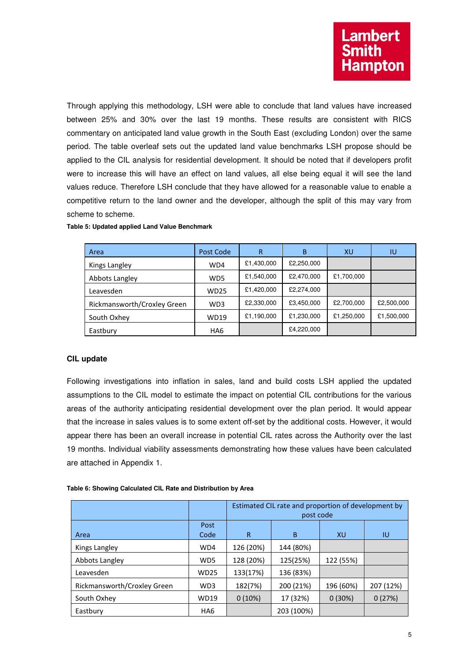Through applying this methodology, LSH were able to conclude that land values have increased between 25% and 30% over the last 19 months. These results are consistent with RICS commentary on anticipated land value growth in the South East (excluding London) over the same period. The table overleaf sets out the updated land value benchmarks LSH propose should be applied to the CIL analysis for residential development. It should be noted that if developers profit were to increase this will have an effect on land values, all else being equal it will see the land values reduce. Therefore LSH conclude that they have allowed for a reasonable value to enable a competitive return to the land owner and the developer, although the split of this may vary from scheme to scheme.

| Area                        | Post Code | R          | B          | XU         | IU         |
|-----------------------------|-----------|------------|------------|------------|------------|
| Kings Langley               | WD4       | £1,430,000 | £2,250,000 |            |            |
| Abbots Langley              | WD5       | £1,540,000 | £2,470,000 | £1,700,000 |            |
| Leavesden                   | WD25      | £1,420,000 | £2,274,000 |            |            |
| Rickmansworth/Croxley Green | WD3       | £2,330,000 | £3,450,000 | £2,700,000 | £2,500,000 |
| South Oxhey                 | WD19      | £1,190,000 | £1,230,000 | £1,250,000 | £1,500,000 |
| Eastbury                    | HA6       |            | £4,220,000 |            |            |

**Table 5: Updated applied Land Value Benchmark** 

## **CIL update**

Following investigations into inflation in sales, land and build costs LSH applied the updated assumptions to the CIL model to estimate the impact on potential CIL contributions for the various areas of the authority anticipating residential development over the plan period. It would appear that the increase in sales values is to some extent off-set by the additional costs. However, it would appear there has been an overall increase in potential CIL rates across the Authority over the last 19 months. Individual viability assessments demonstrating how these values have been calculated are attached in Appendix 1.

| Table 6: Showing Calculated CIL Rate and Distribution by Area |  |  |
|---------------------------------------------------------------|--|--|
|---------------------------------------------------------------|--|--|

|                             |                 | Estimated CIL rate and proportion of development by<br>post code |            |           |           |  |
|-----------------------------|-----------------|------------------------------------------------------------------|------------|-----------|-----------|--|
|                             | Post            |                                                                  |            |           |           |  |
| Area                        | Code            | R                                                                | B          | XU        | 1U        |  |
| Kings Langley               | WD4             | 126 (20%)                                                        | 144 (80%)  |           |           |  |
| Abbots Langley              | WD <sub>5</sub> | 128 (20%)                                                        | 125(25%)   | 122 (55%) |           |  |
| Leavesden                   | <b>WD25</b>     | 133(17%)                                                         | 136 (83%)  |           |           |  |
| Rickmansworth/Croxley Green | WD3             | 182(7%)                                                          | 200 (21%)  | 196 (60%) | 207 (12%) |  |
| South Oxhey                 | <b>WD19</b>     | $0(10\%)$                                                        | 17 (32%)   | 0(30%)    | 0(27%)    |  |
| Eastbury                    | HA <sub>6</sub> |                                                                  | 203 (100%) |           |           |  |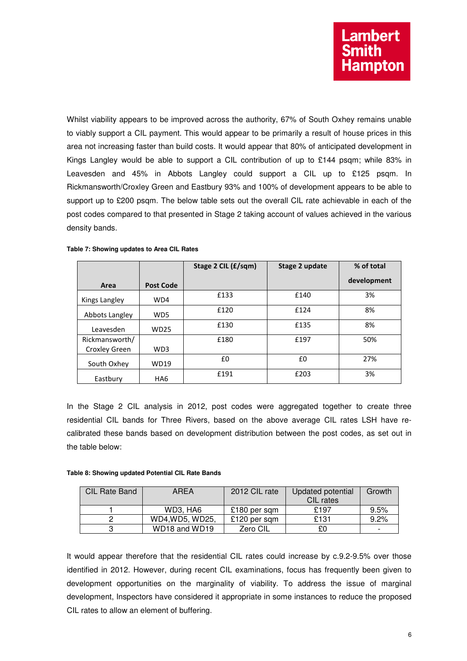Whilst viability appears to be improved across the authority, 67% of South Oxhey remains unable to viably support a CIL payment. This would appear to be primarily a result of house prices in this area not increasing faster than build costs. It would appear that 80% of anticipated development in Kings Langley would be able to support a CIL contribution of up to £144 psqm; while 83% in Leavesden and 45% in Abbots Langley could support a CIL up to £125 psqm. In Rickmansworth/Croxley Green and Eastbury 93% and 100% of development appears to be able to support up to £200 psqm. The below table sets out the overall CIL rate achievable in each of the post codes compared to that presented in Stage 2 taking account of values achieved in the various density bands.

|                |                  | Stage 2 CIL (£/sqm) | Stage 2 update | % of total  |
|----------------|------------------|---------------------|----------------|-------------|
| Area           | <b>Post Code</b> |                     |                | development |
| Kings Langley  | WD4              | £133                | £140           | 3%          |
| Abbots Langley | WD <sub>5</sub>  | £120                | £124           | 8%          |
| Leavesden      | <b>WD25</b>      | £130                | £135           | 8%          |
| Rickmansworth/ |                  | £180                | £197           | 50%         |
| Croxley Green  | WD3              |                     |                |             |
| South Oxhey    | WD19             | £0                  | £0             | 27%         |
| Eastbury       | HA <sub>6</sub>  | £191                | £203           | 3%          |

|  | Table 7: Showing updates to Area CIL Rates |  |  |  |
|--|--------------------------------------------|--|--|--|
|  |                                            |  |  |  |

In the Stage 2 CIL analysis in 2012, post codes were aggregated together to create three residential CIL bands for Three Rivers, based on the above average CIL rates LSH have recalibrated these bands based on development distribution between the post codes, as set out in the table below:

#### **Table 8: Showing updated Potential CIL Rate Bands**

| <b>CIL Rate Band</b> | <b>AREA</b>                           | 2012 CIL rate | Updated potential | Growth                   |
|----------------------|---------------------------------------|---------------|-------------------|--------------------------|
|                      |                                       |               | CIL rates         |                          |
|                      | WD3, HA6                              | £180 per sqm  | £197              | 9.5%                     |
|                      | WD4, WD5, WD25,                       | £120 per sqm  | £131              | 9.2%                     |
|                      | WD <sub>18</sub> and WD <sub>19</sub> | Zero CIL      | £0                | $\overline{\phantom{0}}$ |

It would appear therefore that the residential CIL rates could increase by c.9.2-9.5% over those identified in 2012. However, during recent CIL examinations, focus has frequently been given to development opportunities on the marginality of viability. To address the issue of marginal development, Inspectors have considered it appropriate in some instances to reduce the proposed CIL rates to allow an element of buffering.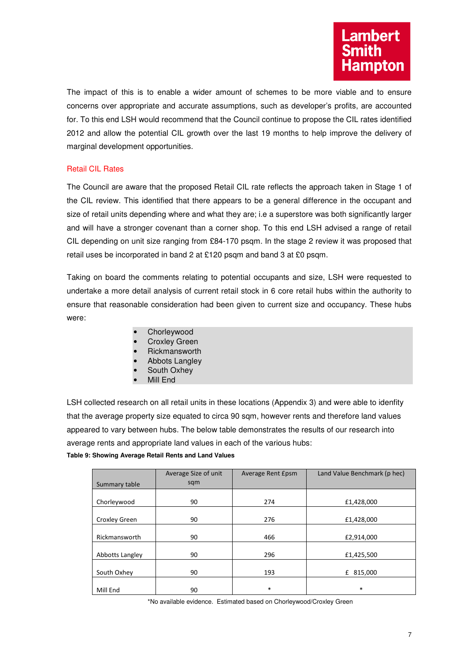The impact of this is to enable a wider amount of schemes to be more viable and to ensure concerns over appropriate and accurate assumptions, such as developer's profits, are accounted for. To this end LSH would recommend that the Council continue to propose the CIL rates identified 2012 and allow the potential CIL growth over the last 19 months to help improve the delivery of marginal development opportunities.

# Retail CIL Rates

The Council are aware that the proposed Retail CIL rate reflects the approach taken in Stage 1 of the CIL review. This identified that there appears to be a general difference in the occupant and size of retail units depending where and what they are; i.e a superstore was both significantly larger and will have a stronger covenant than a corner shop. To this end LSH advised a range of retail CIL depending on unit size ranging from £84-170 psqm. In the stage 2 review it was proposed that retail uses be incorporated in band 2 at £120 psqm and band 3 at £0 psqm.

Taking on board the comments relating to potential occupants and size, LSH were requested to undertake a more detail analysis of current retail stock in 6 core retail hubs within the authority to ensure that reasonable consideration had been given to current size and occupancy. These hubs were:

- Chorleywood
- **Croxley Green**
- Rickmansworth
- Abbots Langley
- South Oxhey
- Mill End

LSH collected research on all retail units in these locations (Appendix 3) and were able to idenfity that the average property size equated to circa 90 sqm, however rents and therefore land values appeared to vary between hubs. The below table demonstrates the results of our research into average rents and appropriate land values in each of the various hubs: **Table 9: Showing Average Retail Rents and Land Values** 

| Summary table   | Average Size of unit<br>sqm | Average Rent Epsm | Land Value Benchmark (p hec) |
|-----------------|-----------------------------|-------------------|------------------------------|
|                 |                             |                   |                              |
| Chorleywood     | 90                          | 274               | £1,428,000                   |
|                 |                             |                   |                              |
| Croxley Green   | 90                          | 276               | £1,428,000                   |
|                 |                             |                   |                              |
| Rickmansworth   | 90                          | 466               | £2,914,000                   |
|                 |                             |                   |                              |
| Abbotts Langley | 90                          | 296               | £1,425,500                   |
|                 |                             |                   |                              |
| South Oxhey     | 90                          | 193               | 815,000<br>£                 |
|                 |                             |                   |                              |
| Mill End        | 90                          | $\ast$            | $\ast$                       |

\*No available evidence. Estimated based on Chorleywood/Croxley Green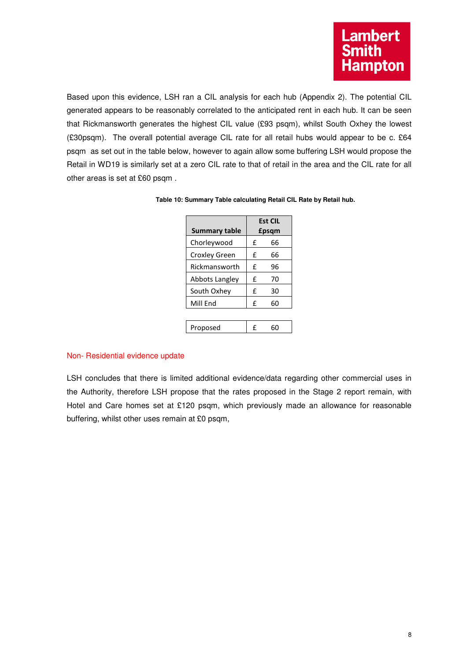

Based upon this evidence, LSH ran a CIL analysis for each hub (Appendix 2). The potential CIL generated appears to be reasonably correlated to the anticipated rent in each hub. It can be seen that Rickmansworth generates the highest CIL value (£93 psqm), whilst South Oxhey the lowest (£30psqm). The overall potential average CIL rate for all retail hubs would appear to be c. £64 psqm as set out in the table below, however to again allow some buffering LSH would propose the Retail in WD19 is similarly set at a zero CIL rate to that of retail in the area and the CIL rate for all other areas is set at £60 psqm .

| <b>Summary table</b>  |   | <b>Est CIL</b><br>£psqm |
|-----------------------|---|-------------------------|
| Chorleywood           | £ | 66                      |
| <b>Croxley Green</b>  | £ | 66                      |
| Rickmansworth         | £ | 96                      |
| <b>Abbots Langley</b> | £ | 70                      |
| South Oxhey           | f | 30                      |
| Mill End              | £ | 60                      |
|                       |   |                         |
| Proposed              |   |                         |

|  |  | Table 10: Summary Table calculating Retail CIL Rate by Retail hub. |
|--|--|--------------------------------------------------------------------|
|--|--|--------------------------------------------------------------------|

## Non- Residential evidence update

LSH concludes that there is limited additional evidence/data regarding other commercial uses in the Authority, therefore LSH propose that the rates proposed in the Stage 2 report remain, with Hotel and Care homes set at £120 psqm, which previously made an allowance for reasonable buffering, whilst other uses remain at £0 psqm,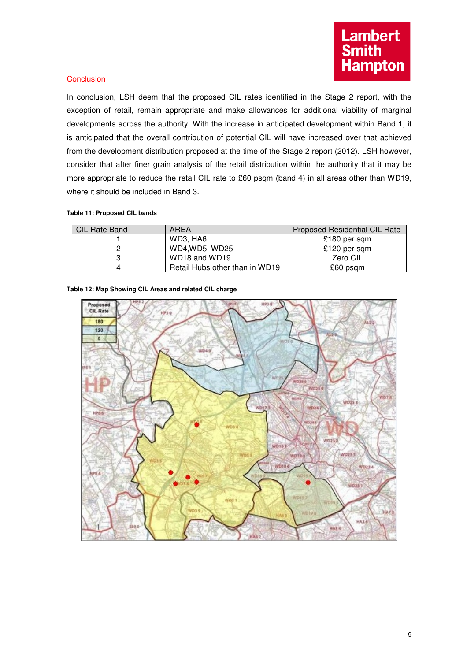## **Conclusion**

In conclusion, LSH deem that the proposed CIL rates identified in the Stage 2 report, with the exception of retail, remain appropriate and make allowances for additional viability of marginal developments across the authority. With the increase in anticipated development within Band 1, it is anticipated that the overall contribution of potential CIL will have increased over that achieved from the development distribution proposed at the time of the Stage 2 report (2012). LSH however, consider that after finer grain analysis of the retail distribution within the authority that it may be more appropriate to reduce the retail CIL rate to £60 psqm (band 4) in all areas other than WD19, where it should be included in Band 3.

### **Table 11: Proposed CIL bands**

| <b>CIL Rate Band</b> | AREA                                  | Proposed Residential CIL Rate |
|----------------------|---------------------------------------|-------------------------------|
|                      | WD3, HA6                              | £180 per sqm                  |
|                      | WD4, WD5, WD25                        | £120 per sqm                  |
|                      | WD <sub>18</sub> and WD <sub>19</sub> | Zero CIL                      |
| 4                    | Retail Hubs other than in WD19        | £60 psqm                      |



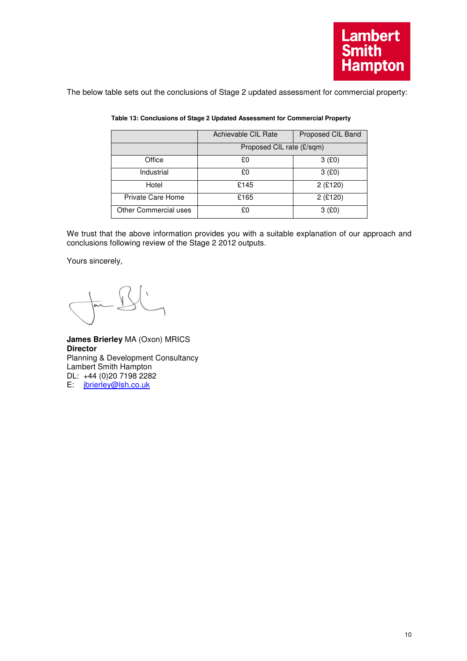The below table sets out the conclusions of Stage 2 updated assessment for commercial property:

|                       | Achievable CIL Rate       | Proposed CIL Band |  |  |  |  |  |  |  |
|-----------------------|---------------------------|-------------------|--|--|--|--|--|--|--|
|                       | Proposed CIL rate (£/sqm) |                   |  |  |  |  |  |  |  |
| Office                | £0                        | 3(£0)             |  |  |  |  |  |  |  |
| Industrial            | £0                        | 3(£0)             |  |  |  |  |  |  |  |
| Hotel                 | £145                      | $2$ (£120)        |  |  |  |  |  |  |  |
| Private Care Home     | £165                      | $2$ (£120)        |  |  |  |  |  |  |  |
| Other Commercial uses | £0                        | 3 <sub>(£0)</sub> |  |  |  |  |  |  |  |

## **Table 13: Conclusions of Stage 2 Updated Assessment for Commercial Property**

We trust that the above information provides you with a suitable explanation of our approach and conclusions following review of the Stage 2 2012 outputs.

Yours sincerely,

**James Brierley** MA (Oxon) MRICS **Director**  Planning & Development Consultancy Lambert Smith Hampton DL: +44 (0)20 7198 2282 E: jbrierley@lsh.co.uk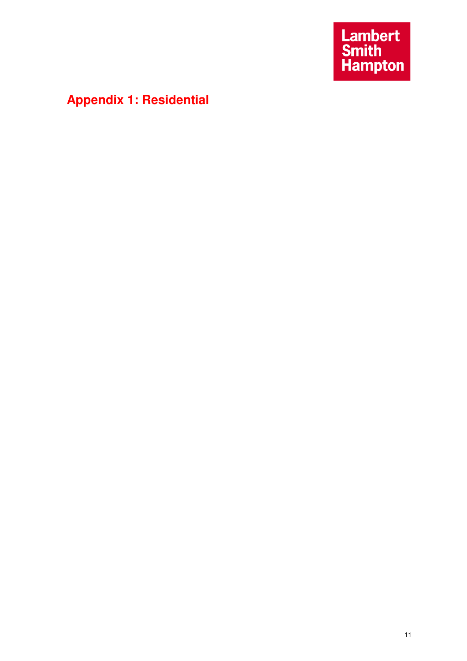Lambert<br>Smith<br>Hampton

# **Appendix 1: Residential**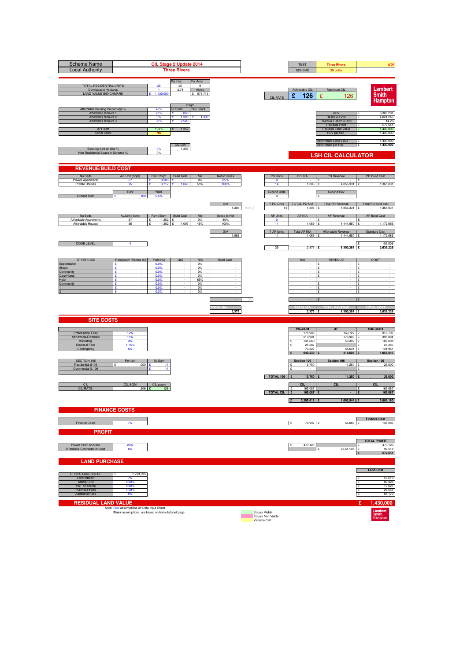| <b>Scheme Name</b><br><b>Local Authority</b>                                                                                        |                                                                                                 |                                              | CIL Stage 2 Update 2014<br><b>Three Rivers</b>                 |                                      |                     |      |                                    | <b>TEST</b><br><b>SCHEME</b>       | <b>Three Rivers</b><br>25 units                                                                                       | WD4                                                                                  |
|-------------------------------------------------------------------------------------------------------------------------------------|-------------------------------------------------------------------------------------------------|----------------------------------------------|----------------------------------------------------------------|--------------------------------------|---------------------|------|------------------------------------|------------------------------------|-----------------------------------------------------------------------------------------------------------------------|--------------------------------------------------------------------------------------|
| <b>TOTAL RESIDENTIAL UNITS</b><br>Developable Hectares<br><b>LAND VALUE BENCHMARK</b>                                               |                                                                                                 | 25<br>$\overline{1}$<br>1,430,000            | Per Hec<br>25<br>2.74<br>£/sqm                                 | Per Acre<br>-9<br>Acres<br>£ 578,713 |                     |      | <b>CIL RATE</b>                    | Achievable CIL<br>£<br>126         | Maximum CIL<br>£<br>126                                                                                               | Lambert<br><b>Smith</b><br><b>Hampton</b>                                            |
| Affordable Housing Percentage %<br>Affordable tennure 1<br>Affordable tennure 2<br>Affordable tennure 3<br>AFF/sqft<br>Social Grant |                                                                                                 | 45%<br>70%<br>0%<br>30%<br>100%<br><b>NO</b> | no Grant<br>£<br>860<br>£<br>1,300<br>£<br>2,500<br>1,352<br>£ | Plus Grant<br>1,300<br>÷             |                     |      |                                    |                                    | GDV<br><b>Residual Cost</b><br>Residual Return (Cost)<br><b>Residual Profit</b><br>Residual Land Value<br>RLV per hec | 6,300,281<br>4,024,246<br>$\mathbf{S}$<br>14.2%<br>572,641<br>1,430,000<br>1,430,000 |
| Exisiting Sqft on Site %<br>Non Residential Space in Scheme 9                                                                       |                                                                                                 | 0%<br>0%                                     | CIL GIA<br>1,306                                               |                                      |                     |      |                                    |                                    | Benchmark Land Value<br>Benchmark per Hec<br><b>LSH CIL CALCULATOR</b>                                                | 1.430.000<br>£<br>£<br>1,430,000                                                     |
| <b>REVENUE/BUILD COST</b>                                                                                                           |                                                                                                 |                                              |                                                                |                                      |                     |      |                                    |                                    |                                                                                                                       |                                                                                      |
| No Beds<br>Private Apartments                                                                                                       | Av. Unit (Sqm)<br>67                                                                            | Rev £/Sqm<br>$3,903$ £                       | <b>Build Cost</b>                                              | Mix<br>$0\%$                         | Net to Gross<br>85% |      | <b>PD Units</b><br>$\mathbf 0$     | <b>PD NIA</b>                      | PD Revenue<br>£                                                                                                       | PD Build Cost<br>١£                                                                  |
| Private Houses                                                                                                                      | 95<br>Rent                                                                                      | 3.717<br>Yield                               |                                                                | 55%                                  | 100                 |      | 14<br>Ground units                 | 1,306                              | 331<br>4.85<br><b>Ground Rev</b>                                                                                      | 1,365,031                                                                            |
| <b>Ground Rent</b>                                                                                                                  | 100                                                                                             | 5.5%                                         |                                                                |                                      | GIA<br>1,306        | 100% | $\mathbf 0$<br>T PD Units<br>14    | TOTAL PD NIA<br>1.306              | <b>Total PD Revenue</b><br>4,855,331                                                                                  | Total PD build cost<br>1,365,031                                                     |
| No Beds                                                                                                                             | Av.Unit (Sqm)                                                                                   | Rev £/Sqm   Build Cost                       |                                                                | Mix                                  | Gross to Net        |      | <b>AF Units</b>                    | AF NIA                             | AF Revenue                                                                                                            | <b>AF Build Cost</b>                                                                 |
| Affordable Apartments<br>Affordable Houses                                                                                          | 67<br>95                                                                                        | 1.352<br>1,352                               | £<br>1,097<br>ç                                                | 0%<br>45%                            | 85%<br>100%         |      | $\circ$<br>11                      | 1,069                              | 1,444,950                                                                                                             | 1,172,686                                                                            |
|                                                                                                                                     |                                                                                                 |                                              |                                                                |                                      | GIA<br>1,069        |      | T AF Units<br>11                   | <b>Total AF NIA</b><br>1,069 £     | Affordable Revenue<br>1,444,950                                                                                       | <b>Standard Cost</b><br>1,172,686<br>ç                                               |
| <b>CODE LEVEL</b>                                                                                                                   | 4                                                                                               |                                              |                                                                |                                      |                     |      | 25                                 | $2,375$ £                          | $6,300,281$ £                                                                                                         | 101,509<br>£<br>2,639,226                                                            |
| <b>OTHER USE</b><br>Supermarket                                                                                                     | Rent psqm / Rooms (£)<br>£                                                                      | Yield (%)<br>0.0%                            | GIA                                                            | <b>NIA</b><br>0%                     | <b>Build Cost</b>   |      |                                    | <b>NIA</b>                         | <b>REVENUE</b><br>£                                                                                                   | COST<br>۱ç                                                                           |
| <b>Shops</b><br>Community                                                                                                           | £<br>ç                                                                                          | 0.0%<br>0.0%                                 |                                                                | 0%<br>0%                             |                     |      |                                    |                                    | £<br>$\cdot$<br>$\mathbf{f}$                                                                                          | ١£<br>$\sim$<br>$\sim$                                                               |
| Care Home<br>Hotel<br>Community                                                                                                     | £<br>£<br>÷                                                                                     | 0.0%<br>0.0%<br>0.0%                         |                                                                | 0%<br>85%<br>0%                      |                     |      |                                    |                                    | £<br>$\sim$<br>ç<br>$\cdot$                                                                                           | ç<br>١£<br>$\sim$<br>١£<br>$\sim$                                                    |
|                                                                                                                                     | £<br>£                                                                                          | 0.0%<br>0.0%                                 |                                                                | 0%<br>0%                             |                     |      |                                    |                                    | £<br>£                                                                                                                | Ē<br>١£                                                                              |
|                                                                                                                                     |                                                                                                 |                                              |                                                                |                                      | 2,375               |      |                                    | $2,375$ £                          | $\mathcal{L}$<br>$6,300,281$ £                                                                                        | 2,639,226                                                                            |
| <b>SITE COSTS</b>                                                                                                                   |                                                                                                 |                                              |                                                                |                                      |                     |      |                                    |                                    |                                                                                                                       |                                                                                      |
| Professional Fees                                                                                                                   | 12%                                                                                             |                                              |                                                                |                                      |                     |      |                                    | PD+COM<br>175,985                  | <b>AF</b><br>140,722 £                                                                                                | <b>Site Costs</b><br>316,707                                                         |
| Abnormals/Externals<br>Marketing                                                                                                    | 15%<br>3%<br>1.75%                                                                              |                                              |                                                                |                                      |                     |      |                                    | 219,981<br>145,660<br>25,287       | 175,903 £<br>43,349 £                                                                                                 | 395,884<br>189,008<br>25,287                                                         |
| <b>Disposal Fees</b><br>Contingency                                                                                                 |                                                                                                 |                                              |                                                                |                                      |                     |      |                                    | 73,327<br>640,239                  | 58,634<br>418,608                                                                                                     | 131,961<br>1,058,847                                                                 |
| SECTION 106<br>Residential S106                                                                                                     | Per unit<br>1,000                                                                               | By Sqm<br>11                                 |                                                                |                                      |                     |      |                                    | Section 106<br>13,750              | Section 106<br>11,250 £                                                                                               | Section 106<br>25,000                                                                |
| Commercial S.106                                                                                                                    |                                                                                                 | 11                                           |                                                                |                                      |                     |      | TOTAL 106                          | $\mathbf{c}$<br>13,750             | 11,250                                                                                                                | 25,000                                                                               |
| CIL<br><b>CIL RATE</b>                                                                                                              | CIL SQM                                                                                         | CIL psqm                                     |                                                                |                                      |                     |      |                                    | <b>CIL</b>                         | CIL                                                                                                                   | <b>CIL</b>                                                                           |
|                                                                                                                                     | $1,306$ £                                                                                       | 126                                          |                                                                |                                      |                     |      | <b>TOTAL CIL</b>                   | 165,087<br>$\mathbf{f}$<br>165,087 |                                                                                                                       | 165,087<br>۱£<br>165,087                                                             |
|                                                                                                                                     | <b>FINANCE COSTS</b>                                                                            |                                              |                                                                |                                      |                     |      |                                    | 2,285,616 £<br>Π£                  | 1,602,544 £                                                                                                           | 3,888,160                                                                            |
|                                                                                                                                     |                                                                                                 |                                              |                                                                |                                      |                     |      |                                    |                                    |                                                                                                                       | <b>Finance Cost</b>                                                                  |
| Finance Costs<br><b>PROFIT</b>                                                                                                      | 7%                                                                                              |                                              |                                                                |                                      |                     |      |                                    | E<br>79,997 £                      | 56,089 £                                                                                                              | 136,086                                                                              |
|                                                                                                                                     |                                                                                                 |                                              |                                                                |                                      |                     |      |                                    |                                    |                                                                                                                       | <b>TOTAL PROFIT</b>                                                                  |
| Private Profit on Cost<br>Affordable Contractor on cost                                                                             | 20%<br>6%                                                                                       |                                              |                                                                |                                      |                     |      |                                    | 473,123                            | 99,517.98 £<br>¢                                                                                                      | 473,123<br>99,518<br>572,641<br>Ι£                                                   |
| <b>LAND PURCHASE</b>                                                                                                                |                                                                                                 |                                              |                                                                |                                      |                     |      |                                    |                                    |                                                                                                                       |                                                                                      |
| <b>GROSS LAND VALUE</b><br>Land Interest                                                                                            | 1,703,395<br>7%                                                                                 |                                              |                                                                |                                      |                     |      |                                    |                                    |                                                                                                                       | <b>Land Cost</b><br>59,619<br>۱ç                                                     |
| <b>Stamp Duty</b><br>VAT on Stamp<br>Purchase Fees                                                                                  | 4.80%<br>0.80%<br>1.50%                                                                         |                                              |                                                                |                                      |                     |      |                                    |                                    |                                                                                                                       | 89,428<br>13,627<br>25,551<br>£                                                      |
| <b>Additional Fees</b>                                                                                                              | 5%                                                                                              |                                              |                                                                |                                      |                     |      |                                    |                                    |                                                                                                                       | 85,170<br>١£                                                                         |
| <b>RESIDUAL LAND VALUE</b>                                                                                                          | Note: Blue assumptions on Data Input Sheet<br>Black assumptions are based on formula/input page |                                              |                                                                |                                      |                     |      | Equals Viable                      |                                    |                                                                                                                       | £<br>1,430,000<br>Lambert<br>Smith<br>Hampton                                        |
|                                                                                                                                     |                                                                                                 |                                              |                                                                |                                      |                     |      | Equals Non Viable<br>Variable Cell |                                    |                                                                                                                       |                                                                                      |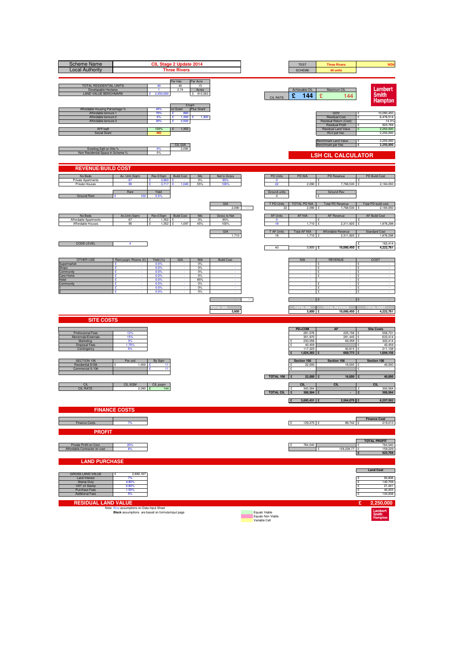| <b>Scheme Name</b><br><b>Local Authority</b>                                                                                        |                                                                                                 |                                              | CIL Stage 2 Update 2014<br><b>Three Rivers</b>                 |                                      |                     |      |                                                     | <b>TEST</b><br><b>SCHEME</b>       | <b>Three Rivers</b><br>40 units                                                                                       | WD4                                                                                   |
|-------------------------------------------------------------------------------------------------------------------------------------|-------------------------------------------------------------------------------------------------|----------------------------------------------|----------------------------------------------------------------|--------------------------------------|---------------------|------|-----------------------------------------------------|------------------------------------|-----------------------------------------------------------------------------------------------------------------------|---------------------------------------------------------------------------------------|
| TOTAL RESIDENTIAL UNITS<br>Developable Hectares<br><b>LAND VALUE BENCHMARK</b>                                                      |                                                                                                 | 40<br>$\blacktriangleleft$<br>2,250,000      | Per Hec<br>40<br>2.74<br>£/sqm                                 | Per Acre<br>15<br>Acres<br>£ 910,563 |                     |      | <b>CIL RATE</b>                                     | Achievable CIL<br>£<br>144         | Maximum CIL<br>£<br>144                                                                                               | Lambert<br><b>Smith</b><br><b>Hampton</b>                                             |
| Affordable Housing Percentage %<br>Affordable tennure 1<br>Affordable tennure 2<br>Affordable tennure 3<br>AFF/sqft<br>Social Grant |                                                                                                 | 45%<br>70%<br>0%<br>30%<br>100%<br><b>NO</b> | no Grant<br>£<br>860<br>£<br>1,300<br>£<br>2,500<br>1,352<br>£ | Plus Grant<br>1,300<br>÷             |                     |      |                                                     |                                    | GDV<br><b>Residual Cost</b><br>Residual Return (Cost)<br><b>Residual Profit</b><br>Residual Land Value<br>RLV per hec | 10,080,450<br>6,476,514<br>$\mathbf{S}$<br>14.3%<br>923,769<br>2,250,000<br>2,250,000 |
| Exisiting Sqft on Site %<br>Non Residential Space in Scheme 9                                                                       |                                                                                                 | 0%<br>0%                                     | CIL GIA<br>2,090                                               |                                      |                     |      |                                                     |                                    | Benchmark Land Value<br>Benchmark per Hec<br><b>LSH CIL CALCULATOR</b>                                                | 2,250,000<br>£<br>2,250,000<br>£                                                      |
| <b>REVENUE/BUILD COST</b>                                                                                                           |                                                                                                 |                                              |                                                                |                                      |                     |      |                                                     |                                    |                                                                                                                       |                                                                                       |
| No Beds                                                                                                                             | Av. Unit (Sqm)                                                                                  | Rev £/Sqm                                    | <b>Build Cost</b>                                              | Mix                                  | Net to Gross        |      | <b>PD Units</b>                                     | <b>PD NIA</b>                      | PD Revenue                                                                                                            | PD Build Cost                                                                         |
| Private Apartments<br>Private Houses                                                                                                | 67<br>95                                                                                        | $3,903$ £<br>3.717                           |                                                                | $0\%$<br>55%                         | 85%<br>100          |      | $\bullet$<br>22                                     | 2,090                              | £<br>7.768.530                                                                                                        | Ι£<br>2,184,050                                                                       |
| <b>Ground Rent</b>                                                                                                                  | Rent<br>100                                                                                     | Yield<br>5.5%                                |                                                                |                                      |                     |      | Ground units<br>$\mathbf 0$                         |                                    | <b>Ground Rev</b>                                                                                                     |                                                                                       |
|                                                                                                                                     |                                                                                                 |                                              |                                                                |                                      | GIA<br>2,090        | 100% | T PD Units<br>22                                    | TOTAL PD NIA<br>2.090              | <b>Total PD Revenue</b><br>7,768,530                                                                                  | Total PD build cost<br>2,184,050                                                      |
| No Beds<br>Affordable Apartments                                                                                                    | Av.Unit (Sqm)<br>67                                                                             | Rev £/Sqm   Build Cost<br>1.352              |                                                                | Mix<br>0%                            | Gross to Net<br>85% |      | <b>AF Units</b>                                     | AF NIA                             | AF Revenue                                                                                                            | <b>AF Build Cost</b>                                                                  |
| Affordable Houses                                                                                                                   | 95                                                                                              | 1,352                                        | £<br>1,097<br>ç                                                | 45%                                  | 100%                |      | $\circ$<br>18                                       | 1,710                              | 2,311,920                                                                                                             | 1,876,298                                                                             |
|                                                                                                                                     |                                                                                                 |                                              |                                                                |                                      | GIA<br>1,710        |      | T AF Units<br>18                                    | <b>Total AF NIA</b><br>1,710 £     | Affordable Revenue<br>2,311,920 £                                                                                     | <b>Standard Cost</b><br>1,876,298                                                     |
| <b>CODE LEVEL</b>                                                                                                                   | 4                                                                                               |                                              |                                                                |                                      |                     |      | 40                                                  | $3,800$ £                          | 10,080,450 £                                                                                                          | 162,414<br>4,222,761                                                                  |
| <b>OTHER USE</b>                                                                                                                    | Rent psqm / Rooms (£)                                                                           | Yield (%)                                    | GIA                                                            | <b>NIA</b>                           | <b>Build Cost</b>   |      |                                                     | <b>NIA</b>                         | <b>REVENUE</b>                                                                                                        | COST                                                                                  |
| Supermarket<br><b>Shops</b>                                                                                                         | £<br>£                                                                                          | 0.0%<br>0.0%                                 |                                                                | 0%<br>0%                             |                     |      |                                                     |                                    | £<br>£<br>$\overline{\phantom{a}}$                                                                                    | ۱ç<br>Ŀ<br>$\sim$                                                                     |
| Community<br>Care Home                                                                                                              | ç<br>£                                                                                          | 0.0%<br>0.0%                                 |                                                                | 0%<br>0%                             |                     |      |                                                     |                                    | $\mathbf{f}$<br>£                                                                                                     | $\sim$<br>ç                                                                           |
| Hotel<br>Community                                                                                                                  | £<br>÷<br>£                                                                                     | 0.0%<br>0.0%<br>0.0%                         |                                                                | 85%<br>0%<br>0%                      |                     |      |                                                     |                                    | $\sim$<br>ç<br>$\cdot$<br>£                                                                                           | ١£<br>$\sim$<br>١£<br>$\sim$<br>Ē                                                     |
|                                                                                                                                     | £                                                                                               | 0.0%                                         |                                                                | 0%                                   |                     |      |                                                     |                                    | £                                                                                                                     | ١£                                                                                    |
|                                                                                                                                     |                                                                                                 |                                              |                                                                |                                      |                     |      |                                                     |                                    |                                                                                                                       |                                                                                       |
| <b>SITE COSTS</b>                                                                                                                   |                                                                                                 |                                              |                                                                |                                      | 3,800               |      |                                                     | 3,800 £                            | 10,080,450 £                                                                                                          | 4,222,761                                                                             |
|                                                                                                                                     |                                                                                                 |                                              |                                                                |                                      |                     |      |                                                     | PD+COM                             | <b>AF</b>                                                                                                             | <b>Site Costs</b>                                                                     |
| Professional Fees<br>Abnormals/Externals                                                                                            | 12%<br>15%                                                                                      |                                              |                                                                |                                      |                     |      |                                                     | 281,576<br>351,970                 | 225,156 £<br>281,445                                                                                                  | 506,731<br>633,414                                                                    |
| Marketing<br><b>Disposal Fees</b>                                                                                                   | 3%<br>1.75%                                                                                     |                                              |                                                                |                                      |                     |      |                                                     | 233,056<br>40,459                  | 69,358 £                                                                                                              | 302,414<br>40,459                                                                     |
| Contingency                                                                                                                         |                                                                                                 |                                              |                                                                |                                      |                     |      |                                                     | 117,323<br>1,024,383               | 93,815<br>669,773                                                                                                     | 211,138<br>1,694,156                                                                  |
| SECTION 106<br>Residential S106                                                                                                     | Per unit<br>1,000                                                                               | By Sqm<br>11                                 |                                                                |                                      |                     |      |                                                     | Section 106<br>22,000              | Section 106<br>18,000                                                                                                 | Section 106<br>40,000                                                                 |
| Commercial S.106                                                                                                                    |                                                                                                 | 11                                           |                                                                |                                      |                     |      | TOTAL 106                                           | $\mathbf{c}$<br>22,000             | 18,000                                                                                                                | 40,000                                                                                |
| CIL                                                                                                                                 | CIL SQM                                                                                         | CIL psqm                                     |                                                                |                                      |                     |      |                                                     | <b>CIL</b>                         | <b>CIL</b>                                                                                                            | <b>CIL</b>                                                                            |
| <b>CIL RATE</b>                                                                                                                     | $2,090$ £                                                                                       | 144                                          |                                                                |                                      |                     |      | <b>TOTAL CIL</b>                                    | 300,584<br>$\mathbf{f}$<br>300,584 |                                                                                                                       | 300,584<br>$\mathbf{r}$<br>300,584                                                    |
|                                                                                                                                     |                                                                                                 |                                              |                                                                |                                      |                     |      |                                                     | 3,693,431 £<br>Π£                  | 2,564,070 £                                                                                                           | 6,257,502                                                                             |
|                                                                                                                                     | <b>FINANCE COSTS</b>                                                                            |                                              |                                                                |                                      |                     |      |                                                     |                                    |                                                                                                                       |                                                                                       |
| Finance Costs                                                                                                                       | 7%                                                                                              |                                              |                                                                |                                      |                     |      |                                                     | E<br>129,270 £                     | 89,742 £                                                                                                              | <b>Finance Cost</b><br>219,013                                                        |
| <b>PROFIT</b>                                                                                                                       |                                                                                                 |                                              |                                                                |                                      |                     |      |                                                     |                                    |                                                                                                                       |                                                                                       |
| Private Profit on Cost                                                                                                              | 20%                                                                                             |                                              |                                                                |                                      |                     |      |                                                     | 764,540                            |                                                                                                                       | <b>TOTAL PROFIT</b><br>764,540                                                        |
| Affordable Contractor on cost                                                                                                       | 6%                                                                                              |                                              |                                                                |                                      |                     |      |                                                     |                                    | 159,228.77 £<br>¢                                                                                                     | 159,229<br>923,769<br>Ι£                                                              |
| <b>LAND PURCHASE</b>                                                                                                                |                                                                                                 |                                              |                                                                |                                      |                     |      |                                                     |                                    |                                                                                                                       |                                                                                       |
| <b>GROSS LAND VALUE</b>                                                                                                             | 2,680,167                                                                                       |                                              |                                                                |                                      |                     |      |                                                     |                                    |                                                                                                                       | <b>Land Cost</b>                                                                      |
| Land Interest<br><b>Stamp Duty</b>                                                                                                  | 7%<br>4.80%                                                                                     |                                              |                                                                |                                      |                     |      |                                                     |                                    |                                                                                                                       | 93,806<br>۱ç<br>140,709                                                               |
| VAT on Stamp<br>Purchase Fees<br><b>Additional Fees</b>                                                                             | 0.80%<br>1.50%<br>5%                                                                            |                                              |                                                                |                                      |                     |      |                                                     |                                    |                                                                                                                       | 21,441<br>40,203<br>£<br>134,008<br>١£                                                |
| <b>RESIDUAL LAND VALUE</b>                                                                                                          |                                                                                                 |                                              |                                                                |                                      |                     |      |                                                     |                                    |                                                                                                                       | £<br>2,250,000                                                                        |
|                                                                                                                                     | Note: Blue assumptions on Data Input Sheet<br>Black assumptions are based on formula/input page |                                              |                                                                |                                      |                     |      | Equals Viable<br>Equals Non Viable<br>Variable Cell |                                    |                                                                                                                       | Lambert<br>Smith<br>Hampton                                                           |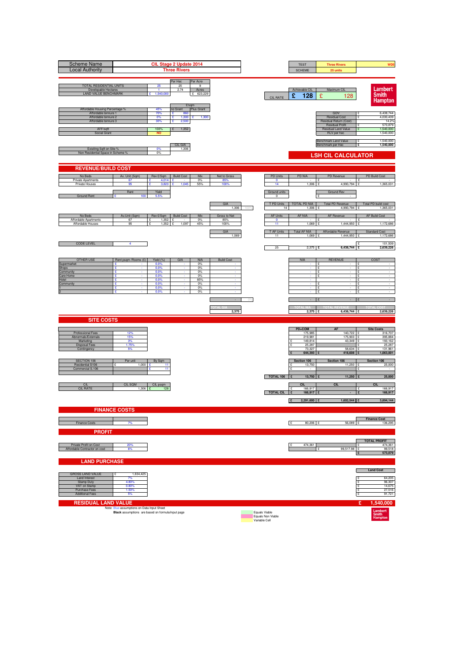| <b>Scheme Name</b><br><b>Local Authority</b>                                                                                        |                                                   |                                              | CIL Stage 2 Update 2014<br><b>Three Rivers</b>                 |                                      |                             |      |                                                     | <b>TEST</b><br><b>SCHEME</b>            | <b>Three Rivers</b><br>25 units                                                                                       | WD <sub>5</sub>                                                                      |
|-------------------------------------------------------------------------------------------------------------------------------------|---------------------------------------------------|----------------------------------------------|----------------------------------------------------------------|--------------------------------------|-----------------------------|------|-----------------------------------------------------|-----------------------------------------|-----------------------------------------------------------------------------------------------------------------------|--------------------------------------------------------------------------------------|
| <b>TOTAL RESIDENTIAL UNITS</b><br>Developable Hectares<br><b>LAND VALUE BENCHMARK</b>                                               |                                                   | 25<br>$\overline{1}$<br>1,540,000            | Per Hec<br>25<br>2.74<br>E/sqm                                 | Per Acre<br>-9<br>Acres<br>£ 623,229 |                             |      | <b>CIL RATE</b>                                     | Achievable CIL<br>£<br>128              | Maximum CIL<br>£<br>128                                                                                               | Lambert<br><b>Smith</b><br><b>Hampton</b>                                            |
| Affordable Housing Percentage %<br>Affordable tennure 1<br>Affordable tennure 2<br>Affordable tennure 3<br>AFF/sqft<br>Social Grant |                                                   | 45%<br>70%<br>0%<br>30%<br>100%<br><b>NO</b> | no Grant<br>£<br>860<br>£<br>1,300<br>£<br>2,500<br>1,352<br>£ | Plus Grant<br>1,300<br>÷             |                             |      |                                                     |                                         | GDV<br><b>Residual Cost</b><br>Residual Return (Cost)<br><b>Residual Profit</b><br>Residual Land Value<br>RLV per hec | 6,438,744<br>4,030,439<br>$\mathbf{S}$<br>14.2%<br>573,879<br>1,540,000<br>1,540,000 |
| Exisiting Sqft on Site %<br>Non Residential Space in Scheme 9                                                                       |                                                   | 0%<br>0%                                     | CIL GIA<br>1,306                                               |                                      |                             |      |                                                     |                                         | Benchmark Land Value<br>Benchmark per Hec<br><b>LSH CIL CALCULATOR</b>                                                | 1.540.000<br>£<br>£<br>1,540,000                                                     |
| <b>REVENUE/BUILD COST</b>                                                                                                           |                                                   |                                              |                                                                |                                      |                             |      |                                                     |                                         |                                                                                                                       |                                                                                      |
| No Beds<br>Private Apartments<br>Private Houses                                                                                     | Av. Unit (Sqm)<br>67<br>95                        | Rev £/Sqm<br>4,014 $E$                       | <b>Build Cost</b>                                              | Mix<br>$0\%$<br>55%                  | Net to Gross<br>85%<br>100  |      | <b>PD Units</b><br>$\mathbf 0$<br>14                | <b>PD NIA</b><br>1,306                  | PD Revenue<br>£<br>4.993<br>,794                                                                                      | PD Build Cost<br>١£<br>1,365,031                                                     |
| <b>Ground Rent</b>                                                                                                                  | Rent<br>100                                       | Yield<br>5.5%                                |                                                                |                                      |                             |      | Ground units<br>$\mathbf 0$                         |                                         | <b>Ground Rev</b>                                                                                                     |                                                                                      |
|                                                                                                                                     |                                                   |                                              |                                                                |                                      | GIA<br>1,306                | 100% | T PD Units<br>14                                    | TOTAL PD NIA<br>1.306                   | <b>Total PD Revenue</b><br>4.993.794                                                                                  | Total PD build cost<br>1,365,031                                                     |
| No Beds<br>Affordable Apartments<br>Affordable Houses                                                                               | Av.Unit (Sqm)<br>67<br>95                         | Rev £/Sqm   Build Cost<br>1.352<br>1,352     | £<br>1,097<br>ç                                                | Mix<br>0%<br>45%                     | Gross to Net<br>85%<br>100% |      | <b>AF Units</b><br>$\circ$<br>11                    | AF NIA<br>1,069                         | AF Revenue<br>1,444,950                                                                                               | <b>AF Build Cost</b><br>1,172,686                                                    |
|                                                                                                                                     |                                                   |                                              |                                                                |                                      | GIA<br>1,069                |      | T AF Units<br>11                                    | <b>Total AF NIA</b><br>1,069 £          | Affordable Revenue<br>1,444,950                                                                                       | <b>Standard Cost</b><br>1,172,686<br>ç                                               |
| <b>CODE LEVEL</b>                                                                                                                   | 4                                                 |                                              |                                                                |                                      |                             |      | 25                                                  | $2,375$ £                               | 6,438,744                                                                                                             | 101,509<br>2,639,226                                                                 |
| <b>OTHER USE</b><br>Supermarket                                                                                                     | Rent psqm / Rooms (£)<br>£                        | Yield (%)<br>0.0%                            | GIA                                                            | <b>NIA</b><br>0%                     | <b>Build Cost</b>           |      |                                                     | <b>NIA</b>                              | <b>REVENUE</b><br>£                                                                                                   | COST<br>۱ç                                                                           |
| <b>Shops</b><br>Community<br>Care Home                                                                                              | £<br>ç<br>£                                       | 0.0%<br>0.0%<br>0.0%                         |                                                                | 0%<br>0%<br>0%                       |                             |      |                                                     |                                         | £<br>$\cdot$<br>$\mathbf{f}$<br>£                                                                                     | ١£<br>$\sim$<br>$\sim$<br>ç                                                          |
| Hotel<br>Community                                                                                                                  | £<br>÷<br>£<br>£                                  | 0.0%<br>0.0%<br>0.0%<br>0.0%                 |                                                                | 85%<br>0%<br>0%<br>0%                |                             |      |                                                     |                                         | $\sim$<br>ç<br>$\cdot$<br>£<br>£                                                                                      | ١£<br>$\sim$<br>١£<br>$\sim$<br>Ē<br>١£                                              |
|                                                                                                                                     |                                                   |                                              |                                                                |                                      |                             |      |                                                     |                                         | $\mathcal{L}$                                                                                                         |                                                                                      |
| <b>SITE COSTS</b>                                                                                                                   |                                                   |                                              |                                                                |                                      | 2,375                       |      |                                                     | $2,375$ £                               | 6,438,744 £                                                                                                           | 2,639,226                                                                            |
|                                                                                                                                     | 12%                                               |                                              |                                                                |                                      |                             |      |                                                     | PD+COM                                  | <b>AF</b><br>140,722 £                                                                                                | <b>Site Costs</b>                                                                    |
| Professional Fees<br>Abnormals/Externals<br>Marketing<br><b>Disposal Fees</b>                                                       | 15%<br>3%<br>1.75%                                |                                              |                                                                |                                      |                             |      |                                                     | 175,985<br>219,981<br>149,814<br>25,287 | 175,903 £<br>43,349 £                                                                                                 | 316,707<br>395,884<br>193,162<br>25,287                                              |
| Contingency                                                                                                                         |                                                   |                                              |                                                                |                                      |                             |      |                                                     | 73,327<br>644,393                       | 58,634<br>418,608                                                                                                     | 131,961<br>1,063,001                                                                 |
| SECTION 106<br>Residential S106<br>Commercial S.106                                                                                 | Per unit<br>1,000                                 | By Sqm<br>11<br>11                           |                                                                |                                      |                             |      |                                                     | Section 106<br>13,750<br>$\mathbf{c}$   | Section 106<br>11,250 £                                                                                               | Section 106<br>25,000                                                                |
| CIL                                                                                                                                 | CIL SQM                                           | CIL psqm                                     |                                                                |                                      |                             |      | TOTAL 106                                           | 13,750<br><b>CIL</b>                    | 11,250<br>CIL                                                                                                         | 25,000<br><b>CIL</b>                                                                 |
| <b>CIL RATE</b>                                                                                                                     | $1,306$ £                                         | 128                                          |                                                                |                                      |                             |      | <b>TOTAL CIL</b>                                    | 166,917<br>$\mathbf{f}$<br>166,917      |                                                                                                                       | 166,917<br>۱£<br>166,917                                                             |
|                                                                                                                                     | <b>FINANCE COSTS</b>                              |                                              |                                                                |                                      |                             |      |                                                     | 2,291,600 £<br>Π£                       | 1,602,544 £                                                                                                           | 3,894,144                                                                            |
| Finance Costs                                                                                                                       | 7%                                                |                                              |                                                                |                                      |                             |      |                                                     | E<br>80,206 £                           | 56,089 £                                                                                                              | <b>Finance Cost</b><br>136,295                                                       |
| <b>PROFIT</b>                                                                                                                       |                                                   |                                              |                                                                |                                      |                             |      |                                                     |                                         |                                                                                                                       |                                                                                      |
| Private Profit on Cost<br>Affordable Contractor on cost                                                                             | 20%<br>6%                                         |                                              |                                                                |                                      |                             |      |                                                     | 474,361                                 | 99,517.98 £<br>¢                                                                                                      | <b>TOTAL PROFIT</b><br>474,361<br>99,518<br>573,879<br>Ι£                            |
| <b>LAND PURCHASE</b>                                                                                                                |                                                   |                                              |                                                                |                                      |                             |      |                                                     |                                         |                                                                                                                       |                                                                                      |
| <b>GROSS LAND VALUE</b><br>Land Interest<br><b>Stamp Duty</b>                                                                       | 1,834,425<br>7%<br>4.80%                          |                                              |                                                                |                                      |                             |      |                                                     |                                         |                                                                                                                       | <b>Land Cost</b><br>64,205<br>۱ç<br>96,307                                           |
| VAT on Stamp<br>Purchase Fees<br><b>Additional Fees</b>                                                                             | 0.80%<br>1.50%<br>5%                              |                                              |                                                                |                                      |                             |      |                                                     |                                         |                                                                                                                       | 14,675<br>27,516<br>£<br>91,721<br>١£                                                |
| <b>RESIDUAL LAND VALUE</b>                                                                                                          | Note: Blue assumptions on Data Input Sheet        |                                              |                                                                |                                      |                             |      |                                                     |                                         |                                                                                                                       | £<br>1,540,000                                                                       |
|                                                                                                                                     | Black assumptions are based on formula/input page |                                              |                                                                |                                      |                             |      | Equals Viable<br>Equals Non Viable<br>Variable Cell |                                         |                                                                                                                       | Lambert<br>Smith<br>Hampton                                                          |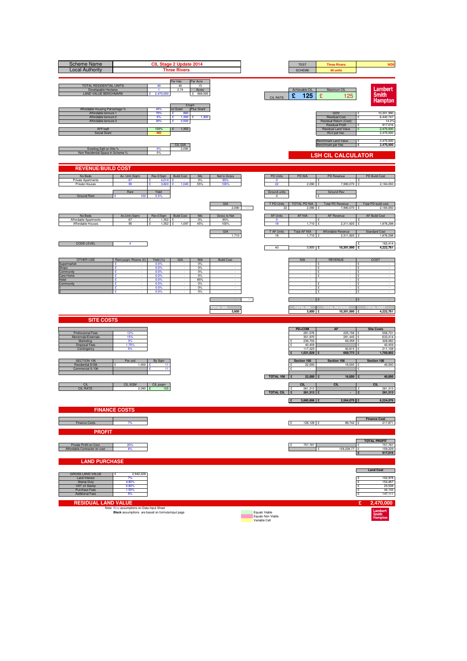| <b>Scheme Name</b><br><b>Local Authority</b>                                                                                        |                                                                                                 |                                              | CIL Stage 2 Update 2014<br><b>Three Rivers</b>                 |                                      |                             |      |                                                     | <b>TEST</b><br><b>SCHEME</b>                                              | <b>Three Rivers</b><br>40 units                                                                                       | WD <sub>5</sub>                                                                        |
|-------------------------------------------------------------------------------------------------------------------------------------|-------------------------------------------------------------------------------------------------|----------------------------------------------|----------------------------------------------------------------|--------------------------------------|-----------------------------|------|-----------------------------------------------------|---------------------------------------------------------------------------|-----------------------------------------------------------------------------------------------------------------------|----------------------------------------------------------------------------------------|
| TOTAL RESIDENTIAL UNITS<br>Developable Hectares<br><b>LAND VALUE BENCHMARK</b>                                                      |                                                                                                 | 40<br>$\overline{1}$<br>2,470,000            | Per Hec<br>40<br>2.74<br>£/sqm                                 | Per Acre<br>15<br>Acres<br>£ 999,595 |                             |      | <b>CIL RATE</b>                                     | Achievable CIL<br>£<br>125                                                | Maximum CIL<br>£<br>125                                                                                               | Lambert<br><b>Smith</b><br><b>Hampton</b>                                              |
| Affordable Housing Percentage %<br>Affordable tennure 1<br>Affordable tennure 2<br>Affordable tennure 3<br>AFF/sqft<br>Social Grant |                                                                                                 | 45%<br>70%<br>0%<br>30%<br>100%<br><b>NO</b> | no Grant<br>£<br>860<br>£<br>1,300<br>£<br>2,500<br>1,352<br>£ | Plus Grant<br>1,300<br>÷             |                             |      |                                                     |                                                                           | GDV<br><b>Residual Cost</b><br>Residual Return (Cost)<br><b>Residual Profit</b><br>Residual Land Value<br>RLV per hec | 10,301,990<br>6,442,747<br>$\mathbf{S}$<br>14.2%<br>917,016<br>2,470,000<br>2,470,000  |
| Exisiting Sqft on Site %<br>Non Residential Space in Scheme 9                                                                       |                                                                                                 | 0%<br>0%                                     | CIL GIA<br>2,090                                               |                                      |                             |      |                                                     |                                                                           | Benchmark Land Value<br>Benchmark per Hec<br><b>LSH CIL CALCULATOR</b>                                                | 2,470,000<br>£<br>2,470,000<br>£                                                       |
| <b>REVENUE/BUILD COST</b>                                                                                                           |                                                                                                 |                                              |                                                                |                                      |                             |      |                                                     |                                                                           |                                                                                                                       |                                                                                        |
| No Beds<br>Private Apartments<br>Private Houses                                                                                     | Av. Unit (Sqm)<br>67<br>95                                                                      | Rev £/Sqm<br>4,014 $E$                       | <b>Build Cost</b>                                              | Mix<br>$0\%$<br>55%                  | Net to Gross<br>85%<br>100  |      | <b>PD Units</b><br>$\bullet$<br>22                  | <b>PD NIA</b><br>2,090                                                    | PD Revenue<br>£<br>7.990.070                                                                                          | PD Build Cost<br>١£<br>2,184,050                                                       |
| <b>Ground Rent</b>                                                                                                                  | Rent<br>100                                                                                     | Yield<br>5.5%                                |                                                                |                                      |                             |      | Ground units<br>$\mathbf 0$                         |                                                                           | <b>Ground Rev</b>                                                                                                     |                                                                                        |
|                                                                                                                                     |                                                                                                 |                                              |                                                                |                                      | GIA<br>2,090                | 100% | T PD Units<br>22                                    | TOTAL PD NIA<br>2.090                                                     | <b>Total PD Revenue</b><br>7,990,070                                                                                  | Total PD build cost<br>2,184,050                                                       |
| No Beds<br>Affordable Apartments<br>Affordable Houses                                                                               | Av.Unit (Sqm)<br>67<br>95                                                                       | Rev £/Sqm   Build Cost<br>1.352<br>1,352     | £<br>1,097<br>ç                                                | Mix<br>0%<br>45%                     | Gross to Net<br>85%<br>100% |      | <b>AF Units</b><br>$\circ$<br>18                    | AF NIA<br>1,710                                                           | AF Revenue<br>2,311,920                                                                                               | <b>AF Build Cost</b><br>1,876,298                                                      |
|                                                                                                                                     |                                                                                                 |                                              |                                                                |                                      | GIA<br>1,710                |      | T AF Units<br>18                                    | <b>Total AF NIA</b><br>1,710 £                                            | Affordable Revenue<br>2,311,920 £                                                                                     | <b>Standard Cost</b><br>1,876,298                                                      |
| <b>CODE LEVEL</b>                                                                                                                   | 4                                                                                               |                                              |                                                                |                                      |                             |      | 40                                                  | $3,800$ £                                                                 | 10,301,990 £                                                                                                          | 162,414<br>4,222,761                                                                   |
| <b>OTHER USE</b><br>Supermarket<br><b>Shops</b>                                                                                     | Rent psqm / Rooms (£)<br>£<br>£                                                                 | Yield (%)<br>0.0%<br>0.0%                    | GIA                                                            | <b>NIA</b><br>0%<br>0%               | <b>Build Cost</b>           |      |                                                     | <b>NIA</b>                                                                | <b>REVENUE</b><br>£<br>£<br>$\overline{\phantom{a}}$                                                                  | COST<br>۱ç<br>١£<br>$\sim$                                                             |
| Community<br>Care Home<br>Hotel                                                                                                     | ç<br>£<br>£<br>÷                                                                                | 0.0%<br>0.0%<br>0.0%                         |                                                                | 0%<br>0%<br>85%                      |                             |      |                                                     |                                                                           | $\mathbf{f}$<br>£<br>$\sim$                                                                                           | $\sim$<br>ç<br>١£<br>$\sim$<br>١£                                                      |
| Community                                                                                                                           | £<br>£                                                                                          | 0.0%<br>0.0%<br>0.0%                         |                                                                | 0%<br>0%<br>0%                       |                             |      |                                                     |                                                                           | ç<br>$\cdot$<br>£<br>£                                                                                                | $\sim$<br>Ē<br>١£                                                                      |
|                                                                                                                                     |                                                                                                 |                                              |                                                                |                                      |                             |      |                                                     |                                                                           |                                                                                                                       |                                                                                        |
| <b>SITE COSTS</b>                                                                                                                   |                                                                                                 |                                              |                                                                |                                      | 3,800                       |      |                                                     | 3,800 £                                                                   | 10,301,990 £                                                                                                          | 4,222,761                                                                              |
| Professional Fees<br>Abnormals/Externals<br>Marketing<br><b>Disposal Fees</b><br>Contingency                                        | 12%<br>15%<br>3%<br>1.75%                                                                       |                                              |                                                                |                                      |                             |      |                                                     | PD+COM<br>281,576<br>351,970<br>239,702<br>40,459<br>117,323<br>1,031,029 | <b>AF</b><br>225,156 £<br>281,445<br>69,358 £<br>93,815<br>669,773                                                    | <b>Site Costs</b><br>506,731<br>633,414<br>309,060<br>40,459<br>211,138<br>1,700,802   |
| SECTION 106<br>Residential S106<br>Commercial S.106                                                                                 | Per unit<br>1,000                                                                               | By Sqm<br>11<br>11                           |                                                                |                                      |                             |      | TOTAL 106                                           | Section 106<br>22,000<br>$\mathbf{c}$<br>22,000                           | Section 106<br>18,000<br>18,000                                                                                       | Section 106<br>40,000<br>40,000                                                        |
| CIL<br><b>CIL RATE</b>                                                                                                              | CIL SQM<br>$2,090$ £                                                                            | CIL psqm<br>125                              |                                                                |                                      |                             |      | <b>TOTAL CIL</b>                                    | <b>CIL</b><br>261,313<br>$\mathbf{f}$<br>261,313<br>3,660,806<br>Π£       | <b>CIL</b><br>2,564,070 £                                                                                             | <b>CIL</b><br>261,313<br>$\mathbf{r}$<br>261,313<br>6,224,876                          |
|                                                                                                                                     | <b>FINANCE COSTS</b>                                                                            |                                              |                                                                |                                      |                             |      |                                                     |                                                                           |                                                                                                                       |                                                                                        |
| Finance Costs                                                                                                                       | 7%                                                                                              |                                              |                                                                |                                      |                             |      |                                                     | E<br>128,128 £                                                            | 89,742 £                                                                                                              | <b>Finance Cost</b><br>217,871                                                         |
| <b>PROFIT</b><br>Private Profit on Cost<br>Affordable Contractor on cost                                                            | 20%<br>6%                                                                                       |                                              |                                                                |                                      |                             |      |                                                     | 757,787                                                                   | 159,228.77 £<br>¢                                                                                                     | <b>TOTAL PROFIT</b><br>757,787<br>159,229<br>917,016<br>Ι£                             |
| <b>LAND PURCHASE</b>                                                                                                                |                                                                                                 |                                              |                                                                |                                      |                             |      |                                                     |                                                                           |                                                                                                                       |                                                                                        |
| <b>GROSS LAND VALUE</b><br>Land Interest<br><b>Stamp Duty</b><br>VAT on Stamp<br>Purchase Fees<br><b>Additional Fees</b>            | 2,942,228<br>7%<br>4.80%<br>0.80%<br>1.50%<br>5%                                                |                                              |                                                                |                                      |                             |      |                                                     |                                                                           |                                                                                                                       | <b>Land Cost</b><br>102,978<br>۱ç<br>154,467<br>23,538<br>44,133<br>£<br>147,111<br>١£ |
| <b>RESIDUAL LAND VALUE</b>                                                                                                          | Note: Blue assumptions on Data Input Sheet<br>Black assumptions are based on formula/input page |                                              |                                                                |                                      |                             |      | Equals Viable<br>Equals Non Viable<br>Variable Cell |                                                                           |                                                                                                                       | £<br>2,470,000<br>Lambert<br>Smith<br>Hampton                                          |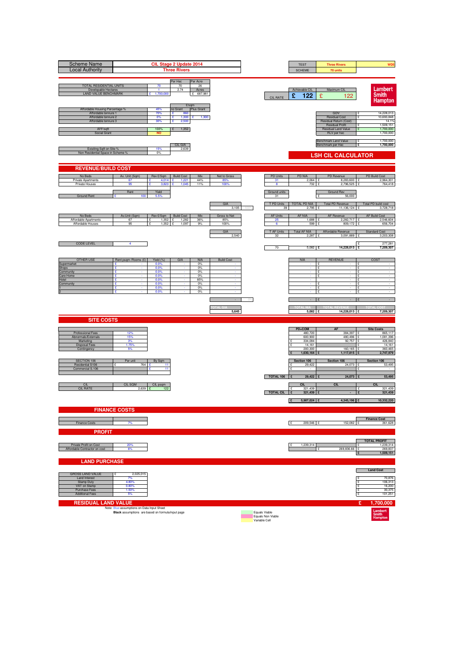| <b>Scheme Name</b><br><b>Local Authority</b>                                                                                        |                                                   |                                                                  | CIL Stage 2 Update 2014<br><b>Three Rivers</b>                         |                             |                                                     |                                               | <b>TEST</b><br><b>SCHEME</b>                                              | <b>Three Rivers</b><br>70 units                                                                                       | WD <sub>5</sub>                                                                          |
|-------------------------------------------------------------------------------------------------------------------------------------|---------------------------------------------------|------------------------------------------------------------------|------------------------------------------------------------------------|-----------------------------|-----------------------------------------------------|-----------------------------------------------|---------------------------------------------------------------------------|-----------------------------------------------------------------------------------------------------------------------|------------------------------------------------------------------------------------------|
| TOTAL RESIDENTIAL UNITS<br>Developable Hectares<br><b>LAND VALUE BENCHMARK</b>                                                      |                                                   | 70<br>$\overline{1}$<br>1,700,000                                | Per Hec<br>Per Acre<br>70<br>26<br>2.74<br>Acres<br>£ 687,981<br>£/sqm |                             |                                                     | <b>CIL RATE</b>                               | Achievable CIL<br>£<br>122                                                | Maximum CIL<br>£<br>122                                                                                               | Lambert<br><b>Smith</b><br><b>Hampton</b>                                                |
| Affordable Housing Percentage %<br>Affordable tennure 1<br>Affordable tennure 2<br>Affordable tennure 3<br>AFF/sqft<br>Social Grant |                                                   | 45%<br>70%<br>£<br>£<br>0%<br>30%<br>£<br>100%<br>£<br><b>NO</b> | Plus Grant<br>no Grant<br>860<br>1,300<br>÷<br>2,500<br>1,352          | 1,300                       |                                                     |                                               |                                                                           | GDV<br><b>Residual Cost</b><br>Residual Return (Cost)<br><b>Residual Profit</b><br>Residual Land Value<br>RLV per hec | 14,228,013<br>10,693,848<br>$\mathbf{S}$<br>14.1%<br>1,509,151<br>1,700,000<br>1,700,000 |
| Exisiting Sqft on Site %<br>Non Residential Space in Scheme 9                                                                       |                                                   | 15%<br>0%                                                        | CIL GIA<br>2,639                                                       |                             |                                                     |                                               |                                                                           | Benchmark Land Value<br>Benchmark per Hec<br><b>LSH CIL CALCULATOR</b>                                                | 1,700,000<br>£<br>1,700,000<br>E                                                         |
| <b>REVENUE/BUILD COST</b>                                                                                                           |                                                   |                                                                  |                                                                        |                             |                                                     |                                               |                                                                           |                                                                                                                       |                                                                                          |
| No Beds<br>Private Apartments<br>Private Houses                                                                                     | Av. Unit (Sqm)<br>67<br>95<br>Rent                | Rev £/Sqm<br>4,014 $E$                                           | <b>Build Cost</b><br>Mix<br>1,221<br>44%<br>1.045<br>11%               | Net to Gross<br>85%<br>100  |                                                     | <b>PD Units</b><br>31                         | PD NIA<br>$2,064$ £<br>732                                                | PD Revenue<br>8,283,600 £<br>2.796                                                                                    | PD Build Cost<br>2,964,301<br>764,418                                                    |
| <b>Ground Rent</b>                                                                                                                  | 100                                               | Yield<br>5.5%                                                    |                                                                        | GIA<br>3.105                | 100%                                                | Ground units<br>31<br>T PD Units<br>39        | TOTAL PD NIA<br>2.795                                                     | Ground Rev<br>56,000<br>Total PD Revenue<br>11,136,124                                                                | Total PD build cost<br>3,728,718                                                         |
| No Beds<br>Affordable Apartments<br>Affordable Houses                                                                               | Av.Unit (Sqm)<br>67<br>95                         | Rev £/Sqm Build Cost<br>1.352<br>£<br>1,352<br>ç                 | Mix<br>36%<br>1.282<br>1,097<br>9%                                     | Gross to Net<br>85%<br>100% |                                                     | <b>AF Units</b><br>25<br>6                    | AF NIA<br>1.688<br>599                                                    | AF Revenue<br>2.282.717<br>809,172                                                                                    | <b>AF Build Cost</b><br>2,546,604<br>656,704                                             |
| <b>CODE LEVEL</b>                                                                                                                   | 4                                                 |                                                                  |                                                                        | GIA<br>2,540                |                                                     | T AF Units<br>32                              | <b>Total AF NIA</b><br>$2,287$ £                                          | Affordable Revenue<br>3,091,889 £                                                                                     | <b>Standard Cost</b><br>3,203,308<br>277,281                                             |
|                                                                                                                                     |                                                   |                                                                  |                                                                        |                             |                                                     | 70                                            | $5,082$ £                                                                 | 14,228,013 £                                                                                                          | 7,209,307                                                                                |
| <b>OTHER USE</b><br>Supermarket<br>Shops<br>Community<br>Care Home                                                                  | Rent psqm / Rooms (£)<br>£<br>£<br>ç<br>£         | Yield (%)<br>0.0%<br>0.0%<br>0.0%<br>0.0%                        | GIA<br><b>NIA</b><br>0%<br>0%<br>0%<br>0%                              | <b>Build Cost</b>           |                                                     |                                               | <b>NIA</b>                                                                | <b>REVENUE</b><br>£<br>£<br>$\overline{\phantom{a}}$<br>$\mathbf{f}$<br>£                                             | COST<br>۱ç<br>Ŀ<br>$\sim$<br>$\sim$<br>ç                                                 |
| Hotel<br>Community                                                                                                                  | £<br>÷<br>£<br>£                                  | 0.0%<br>0.0%<br>0.0%<br>0.0%                                     | 85%<br>0%<br>0%<br>0%                                                  |                             |                                                     |                                               |                                                                           | ١£<br>$\sim$<br>ç<br>$\cdot$<br>£<br>£                                                                                | $\sim$<br>١£<br>$\sim$<br>Ē<br>١£                                                        |
|                                                                                                                                     |                                                   |                                                                  |                                                                        | 5,645                       |                                                     |                                               | 5,082                                                                     | $\mathbf{f}$<br>14,228,013 £<br>Ι£                                                                                    | 7,209,307                                                                                |
| <b>SITE COSTS</b>                                                                                                                   |                                                   |                                                                  |                                                                        |                             |                                                     |                                               |                                                                           |                                                                                                                       |                                                                                          |
| Professional Fees<br>Abnormals/Externals<br>Marketing<br><b>Disposal Fees</b><br>Contingency                                        | 12%<br>15%<br>3%<br>1.75%                         |                                                                  |                                                                        |                             |                                                     |                                               | PD+COM<br>480,720<br>600,900<br>334,084<br>14,161<br>200,300<br>1,630,164 | <b>AF</b><br>384,397 £<br>480,496<br>92,757<br>160,165<br>1,117,815                                                   | <b>Site Costs</b><br>865,117<br>1,081,396<br>426,840<br>14,161<br>360,465<br>2,747,979   |
| SECTION 106<br>Residential S106<br>Commercial S.106                                                                                 | Per unit<br>764                                   | By Sqm<br>11<br>11                                               |                                                                        |                             |                                                     | $\mathbf{c}$                                  | Section 106<br>29,422                                                     | Section 106<br>24,073                                                                                                 | Section 106<br>53,495                                                                    |
| CIL<br><b>CIL RATE</b>                                                                                                              | CIL SQM<br>$2,639$ £                              | CIL psqm<br>122                                                  |                                                                        |                             |                                                     | TOTAL 106<br>$\mathbf{f}$<br><b>TOTAL CIL</b> | 29,422<br><b>CIL</b><br>321,439<br>321,439                                | 24,073<br><b>CIL</b>                                                                                                  | 53,495<br><b>CIL</b><br>321,439<br>$\mathbf{r}$<br>321,439                               |
|                                                                                                                                     |                                                   |                                                                  |                                                                        |                             |                                                     | Π£                                            | 5,987,024                                                                 | 4,345,196 £                                                                                                           | 10,332,220                                                                               |
| Finance Costs                                                                                                                       | <b>FINANCE COSTS</b><br>7%                        |                                                                  |                                                                        |                             |                                                     | E                                             | 209,546 £                                                                 | 152,082 £                                                                                                             | <b>Finance Cost</b><br>361,628                                                           |
| <b>PROFIT</b>                                                                                                                       |                                                   |                                                                  |                                                                        |                             |                                                     |                                               |                                                                           |                                                                                                                       | <b>TOTAL PROFIT</b>                                                                      |
| Private Profit on Cost<br>Affordable Contractor on cost<br><b>LAND PURCHASE</b>                                                     | 20%<br>6%                                         |                                                                  |                                                                        |                             |                                                     |                                               | 1,239,314                                                                 | 269,836.66 £<br>¢                                                                                                     | ,239,314<br>269,837<br>1,509,151<br>Ι£                                                   |
| <b>GROSS LAND VALUE</b>                                                                                                             | 2,025,015                                         |                                                                  |                                                                        |                             |                                                     |                                               |                                                                           |                                                                                                                       | <b>Land Cost</b>                                                                         |
| Land Interest<br><b>Stamp Duty</b><br>VAT on Stamp<br>Purchase Fees<br><b>Additional Fees</b>                                       | 7%<br>4.80%<br>0.80%<br>1.50%<br>5%               |                                                                  |                                                                        |                             |                                                     |                                               |                                                                           |                                                                                                                       | 70,876<br>۱ç<br>106,313<br>16,200<br>30,375<br>£<br>101,251<br>١£                        |
| <b>RESIDUAL LAND VALUE</b>                                                                                                          | Note: Blue assumptions on Data Input Sheet        |                                                                  |                                                                        |                             |                                                     |                                               |                                                                           |                                                                                                                       | £<br>1,700,000                                                                           |
|                                                                                                                                     | Black assumptions are based on formula/input page |                                                                  |                                                                        |                             | Equals Viable<br>Equals Non Viable<br>Variable Cell |                                               |                                                                           |                                                                                                                       | Lambert<br>Smith<br>Hampton                                                              |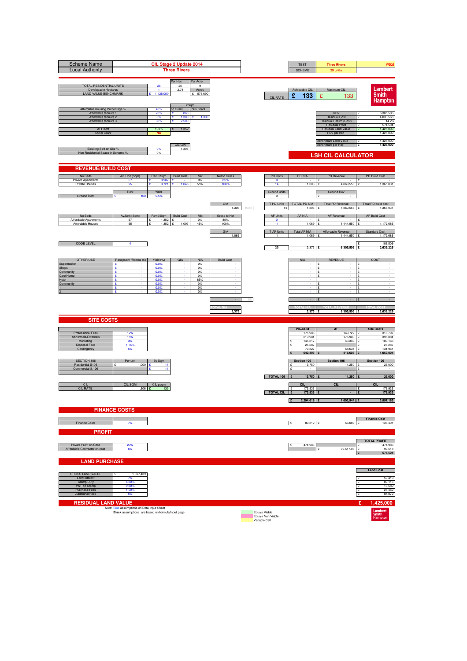| <b>Scheme Name</b><br><b>Local Authority</b>                                                            |                                                                                                 |                                   | CIL Stage 2 Update 2014<br><b>Three Rivers</b>   |                                     |                   |       |                                    | <b>TEST</b><br><b>SCHEME</b> | <b>Three Rivers</b><br>25 units                                                        | WD25                                             |
|---------------------------------------------------------------------------------------------------------|-------------------------------------------------------------------------------------------------|-----------------------------------|--------------------------------------------------|-------------------------------------|-------------------|-------|------------------------------------|------------------------------|----------------------------------------------------------------------------------------|--------------------------------------------------|
| <b>TOTAL RESIDENTIAL UNITS</b><br>Developable Hectares<br>LAND VALUE BENCHMARK                          |                                                                                                 | 25<br>$\overline{1}$<br>1,425,000 | Per Hec<br>25<br>2.74<br>£/sqm                   | Per Acre<br>9<br>Acres<br>£ 576,690 |                   |       | <b>CIL RATE</b>                    | Achievable CIL<br>£<br>133   | Maximum CIL<br>£<br>133                                                                | Lambert<br><b>Smith</b><br>Hampton               |
| Affordable Housing Percentage %<br>Affordable tennure 1<br>Affordable tennure 2<br>Affordable tennure 3 |                                                                                                 | 45%<br>70%<br>0%<br>30%           | no Grant<br>÷<br>860<br>1,300<br>£<br>2,500<br>£ | Plus Grant<br>1,300                 |                   |       |                                    |                              | GDV<br><b>Residual Cost</b><br>Residual Return (Cost)<br><b>Residual Profit</b>        | 6,305,506<br>4,033,563<br>14.2%<br>574,504       |
| AFF/sqft<br>Social Grant                                                                                |                                                                                                 | 100%<br>NO                        | 1,352<br>£<br><b>CIL GIA</b>                     |                                     |                   |       |                                    |                              | Residual Land Value<br><b>RLV</b> per hec<br>Benchmark Land Value<br>Benchmark per Hec | 1,425,000<br>1,425,000<br>1,425,000<br>1,425,000 |
| Exisiting Sqft on Site %<br>Non Residential Space in Scheme %                                           |                                                                                                 | 0%<br>0%                          | 1,306                                            |                                     |                   |       |                                    |                              | <b>LSH CIL CALCULATOR</b>                                                              |                                                  |
| <b>REVENUE/BUILD COST</b>                                                                               |                                                                                                 |                                   |                                                  |                                     |                   |       |                                    |                              |                                                                                        |                                                  |
| No Beds                                                                                                 | Av. Unit (Sqm)                                                                                  | Rev £/Sqm                         | <b>Build Cost</b>                                | Mix                                 | Net to Gross      |       | PD Units                           | PD NIA                       | PD Revenue                                                                             | PD Build Cost                                    |
| <b>Private Apartments</b><br>Private Houses                                                             | 67<br>95                                                                                        | 3,907 $E$<br>3,721                | 1.045<br>c                                       | 0%<br>55%                           | 85%<br>100%       |       | $\mathbf{0}$<br>14                 | $\sim$<br>1,306 £            | ١£<br>$\cdot$ $\cdot$<br>4,860,556                                                     | $\sim$<br>1,365,031<br>£                         |
| <b>Ground Rent</b>                                                                                      | Rent<br>100<br>۰                                                                                | Yield<br>5.5%                     |                                                  |                                     |                   |       | Ground units<br>$\Omega$           |                              | Ground Rev                                                                             |                                                  |
|                                                                                                         |                                                                                                 |                                   |                                                  |                                     | GIA<br>1.306      |       | T PD Units<br>14                   | <b>TOTAL PD NIA</b><br>1.306 | <b>Total PD Revenue</b><br>4.860                                                       | Total PD build cost<br>1,365,031                 |
| No Beds                                                                                                 | Av.Unit (Sqm)                                                                                   | Rev £/Sqm                         | <b>Build Cost</b>                                | Mix                                 | Gross to Net      |       | <b>AF Units</b>                    | AF NIA                       | AF Revenue                                                                             | AF Build Cost                                    |
| Affordable Apartments<br>Affordable Houses                                                              | 67<br>95                                                                                        | 1,352<br>$1,352$ £                | 1,097                                            | 0%<br>45%                           | 85%<br>100%       |       | 0<br>11                            | 1,069                        | 1,444,950<br>£                                                                         | 1,172,686<br>÷                                   |
|                                                                                                         |                                                                                                 |                                   |                                                  |                                     | GIA<br>1,069      |       | T AF Units<br>11                   | <b>Total AF NIA</b><br>1,069 | Affordable Revenue<br>1,444,950 £                                                      | <b>Standard Cost</b><br>1,172,686                |
| <b>CODE LEVEL</b>                                                                                       | 4                                                                                               |                                   |                                                  |                                     |                   |       | 25                                 | $2,375$ £                    | 6,305,506 £                                                                            | 101,509<br>2,639,226                             |
| <b>OTHER USE</b>                                                                                        | Rent psqm / Rooms (£)                                                                           | Yield (%)                         | GIA                                              | <b>NIA</b>                          | <b>Build Cost</b> |       |                                    | <b>NIA</b>                   | <b>REVENUE</b>                                                                         | COST                                             |
| Supermarket<br>Shops                                                                                    | £                                                                                               | 0.0%<br>0.0%                      |                                                  | 0%<br>0%                            |                   |       |                                    |                              | $\mathbf{f}$<br>£<br>$\sim$                                                            | ι٥<br>۱۶<br>$\sim$                               |
| Community<br>Care Home                                                                                  | £<br>÷                                                                                          | 0.0%<br>0.0%                      |                                                  | 0%<br>0%                            |                   |       |                                    |                              | £<br>$\cdot$<br>$\mathbf{f}$<br>$\cdot$                                                | $\sim$<br>$\sim$<br>- c                          |
| Hotel<br>Community                                                                                      | £<br>£<br>٠                                                                                     | 0.0%<br>0.0%                      |                                                  | 85%<br>0%                           | ×                 |       |                                    | $\sim$                       | ۱£<br>$\sim$                                                                           | $\sim$<br>$\sim$<br>۱£                           |
|                                                                                                         | £<br>ç                                                                                          | 0.0%<br>0.0%                      |                                                  | 0%<br>0%                            |                   |       |                                    |                              | $\mathbf{f}$                                                                           | ۱ç<br>$\sim$                                     |
|                                                                                                         |                                                                                                 |                                   |                                                  |                                     |                   | $0\%$ |                                    |                              |                                                                                        |                                                  |
| <b>SITE COSTS</b>                                                                                       |                                                                                                 |                                   |                                                  |                                     | 2,375             |       |                                    | 2,375 £                      | 6,305,506 £                                                                            | 2,639,226                                        |
|                                                                                                         |                                                                                                 |                                   |                                                  |                                     |                   |       |                                    | PD+COM                       | <b>AF</b>                                                                              | <b>Site Costs</b>                                |
| Professional Fees<br>Abnormals/Externals                                                                | 12%<br>15%                                                                                      |                                   |                                                  |                                     |                   |       |                                    | 175,985<br>219,981           | 140,722 £<br>175,903                                                                   | 316,707<br>395,884                               |
| Marketing                                                                                               | 3%<br>1.75%                                                                                     |                                   |                                                  |                                     |                   |       |                                    | 145,817<br>25,287<br>£       | 43,349                                                                                 | 189,165<br>25,287                                |
| <b>Disposal Fees</b><br>Contingency                                                                     | 5%                                                                                              |                                   |                                                  |                                     |                   |       |                                    | 73,327<br>640,396            | 58,634<br>418,608 £                                                                    | 131,961<br>1,059,004                             |
| SECTION 106                                                                                             | Per unit                                                                                        | By Sqm                            |                                                  |                                     |                   |       |                                    | Section 106                  | Section 106                                                                            | Section 106                                      |
| Residential S106<br>Commercial S.106                                                                    | 1,000<br>£                                                                                      | 11<br>11                          |                                                  |                                     |                   |       |                                    | 13,750<br>£<br>$\cdot$       | 11,250 £                                                                               | 25,000<br>$\epsilon$                             |
|                                                                                                         |                                                                                                 |                                   |                                                  |                                     |                   |       | TOTAL 106                          | 13,750 £<br>Ι£               | 11,250 $E$                                                                             | 25,000                                           |
| CIL<br><b>CIL RATE</b>                                                                                  | CIL SQI<br>1.306                                                                                | CIL psqm<br>133                   |                                                  |                                     |                   |       |                                    | CIL<br>173,933<br>£          | CIL                                                                                    | CII<br>173,933<br>۱£                             |
|                                                                                                         |                                                                                                 |                                   |                                                  |                                     |                   |       | <b>TOTAL CIL</b>                   | 173,933 £                    |                                                                                        | 173,933<br>£                                     |
|                                                                                                         |                                                                                                 |                                   |                                                  |                                     |                   |       |                                    | 2,294,619<br>۱£              | $1.602.544$   £                                                                        | 3,897,163                                        |
|                                                                                                         | <b>FINANCE COSTS</b>                                                                            |                                   |                                                  |                                     |                   |       |                                    |                              |                                                                                        |                                                  |
| <b>Finance Costs</b>                                                                                    | 7%                                                                                              |                                   |                                                  |                                     |                   |       |                                    | E<br>80,312 £                | 56,089 £                                                                               | <b>Finance Cost</b><br>136,401                   |
| <b>PROFIT</b>                                                                                           |                                                                                                 |                                   |                                                  |                                     |                   |       |                                    |                              |                                                                                        |                                                  |
| Private Profit on Cost                                                                                  | 20%                                                                                             |                                   |                                                  |                                     |                   |       |                                    | 474,986<br>١ç                |                                                                                        | <b>TOTAL PROFIT</b><br>474.986<br>ş              |
| Affordable Contractor on cost                                                                           | 6%                                                                                              |                                   |                                                  |                                     |                   |       |                                    |                              | 99,517.98                                                                              | 99,518<br>574,504<br>I                           |
| <b>LAND PURCHASE</b>                                                                                    |                                                                                                 |                                   |                                                  |                                     |                   |       |                                    |                              |                                                                                        | <b>Land Cost</b>                                 |
| <b>GROSS LAND VALUE</b><br>Land Interest                                                                | 1,697,439<br>7%                                                                                 |                                   |                                                  |                                     |                   |       |                                    |                              |                                                                                        | 59,410                                           |
| <b>Stamp Duty</b><br>VAT on Stamp                                                                       | 4.80%<br>0.80%                                                                                  |                                   |                                                  |                                     |                   |       |                                    |                              |                                                                                        | Ē<br>89,116<br>13,580<br>۱۶                      |
| Purchase Fees<br><b>Additional Fees</b>                                                                 | 1.50%<br>5%                                                                                     |                                   |                                                  |                                     |                   |       |                                    |                              |                                                                                        | 25,462<br>÷<br>84,872                            |
|                                                                                                         |                                                                                                 |                                   |                                                  |                                     |                   |       |                                    |                              |                                                                                        |                                                  |
| <b>RESIDUAL LAND VALUE</b>                                                                              | Note: Blue assumptions on Data Input Sheet<br>Black assumptions are based on formula/input page |                                   |                                                  |                                     |                   |       | Equals Viable<br>Equals Non Viable |                              |                                                                                        | £.<br>1,425,000<br>Lambert<br>Smith<br>Hampton   |
|                                                                                                         |                                                                                                 |                                   |                                                  |                                     |                   |       | Variable Cell                      |                              |                                                                                        |                                                  |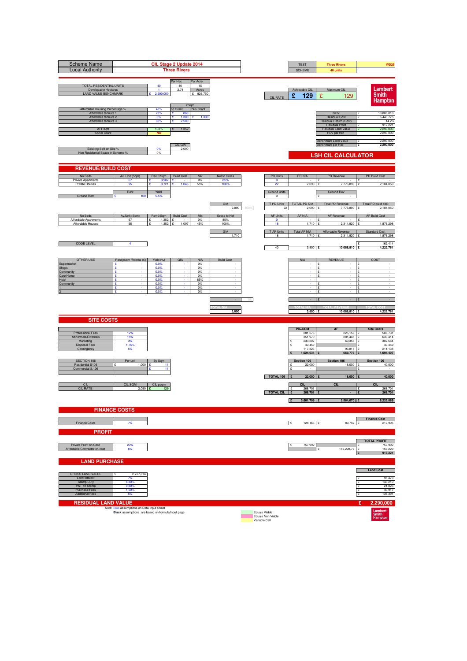| <b>Scheme Name</b><br><b>Local Authority</b>                                                                                        |                                                                                                 |                                              | CIL Stage 2 Update 2014<br><b>Three Rivers</b>                 |                                      |                      |      |                                                     | <b>TEST</b><br><b>SCHEME</b>            | <b>Three Rivers</b><br>40 units                                                                                       | WD25                                                                                  |
|-------------------------------------------------------------------------------------------------------------------------------------|-------------------------------------------------------------------------------------------------|----------------------------------------------|----------------------------------------------------------------|--------------------------------------|----------------------|------|-----------------------------------------------------|-----------------------------------------|-----------------------------------------------------------------------------------------------------------------------|---------------------------------------------------------------------------------------|
| TOTAL RESIDENTIAL UNITS<br>Developable Hectares<br><b>LAND VALUE BENCHMARK</b>                                                      |                                                                                                 | 40<br>$\blacktriangleleft$<br>2,290,000      | Per Hec<br>40<br>2.74<br>£/sqm                                 | Per Acre<br>15<br>Acres<br>£ 926,750 |                      |      | <b>CIL RATE</b>                                     | Achievable CIL<br>£<br>129              | Maximum CIL<br>£<br>129                                                                                               | Lambert<br><b>Smith</b><br><b>Hampton</b>                                             |
| Affordable Housing Percentage %<br>Affordable tennure 1<br>Affordable tennure 2<br>Affordable tennure 3<br>AFF/sqft<br>Social Grant |                                                                                                 | 45%<br>70%<br>0%<br>30%<br>100%<br><b>NO</b> | no Grant<br>£<br>860<br>£<br>1,300<br>£<br>2,500<br>1,352<br>£ | Plus Grant<br>1,300<br>÷             |                      |      |                                                     |                                         | GDV<br><b>Residual Cost</b><br>Residual Return (Cost)<br><b>Residual Profit</b><br>Residual Land Value<br>RLV per hec | 10,088,810<br>6,443,775<br>$\mathbf{S}$<br>14.2%<br>917,221<br>2,290,000<br>2,290,000 |
| Exisiting Sqft on Site %<br>Non Residential Space in Scheme 9                                                                       |                                                                                                 | 0%<br>0%                                     | CIL GIA<br>2,090                                               |                                      |                      |      |                                                     |                                         | Benchmark Land Value<br>Benchmark per Hec<br><b>LSH CIL CALCULATOR</b>                                                | 2,290,000<br>£<br>2,290,000<br>£                                                      |
| <b>REVENUE/BUILD COST</b>                                                                                                           |                                                                                                 |                                              |                                                                |                                      |                      |      |                                                     |                                         |                                                                                                                       |                                                                                       |
| No Beds<br>Private Apartments                                                                                                       | Av. Unit (Sqm)<br>67                                                                            | Rev £/Sqm<br>3,907 $E$                       | <b>Build Cost</b>                                              | Mix<br>$0\%$                         | Net to Gross<br>85%  |      | <b>PD Units</b><br>$\bullet$                        | <b>PD NIA</b>                           | PD Revenue<br>£                                                                                                       | PD Build Cost<br>Ι£                                                                   |
| Private Houses<br><b>Ground Rent</b>                                                                                                | 95<br>Rent<br>100                                                                               | Yield<br>5.5%                                |                                                                | 55%                                  | 100                  |      | 22<br>Ground units<br>$\mathbf 0$                   | 2,090                                   | 7.776.890<br><b>Ground Rev</b>                                                                                        | 2,184,050                                                                             |
|                                                                                                                                     |                                                                                                 |                                              |                                                                |                                      | GIA<br>2,090         | 100% | T PD Units<br>22                                    | TOTAL PD NIA<br>2.090                   | <b>Total PD Revenue</b><br>7,776,890                                                                                  | Total PD build cost<br>2,184,050                                                      |
| No Beds<br>Affordable Apartments                                                                                                    | Av.Unit (Sqm)<br>67                                                                             | Rev £/Sqm   Build Cost<br>1.352              | £                                                              | Mix<br>0%                            | Gross to Net<br>85%  |      | <b>AF Units</b><br>$\circ$                          | AF NIA                                  | AF Revenue                                                                                                            | <b>AF Build Cost</b>                                                                  |
| Affordable Houses                                                                                                                   | 95                                                                                              | 1,352                                        | 1,097<br>ç                                                     | 45%                                  | 100%<br>GIA<br>1,710 |      | 18<br>T AF Units<br>18                              | 1,710<br><b>Total AF NIA</b><br>1,710 £ | 2,311,920<br>Affordable Revenue<br>2,311,920 £                                                                        | 1,876,298<br><b>Standard Cost</b><br>1,876,298                                        |
| <b>CODE LEVEL</b>                                                                                                                   | 4                                                                                               |                                              |                                                                |                                      |                      |      | 40                                                  | $3,800$ £                               | 10,088,810 £                                                                                                          | 162,414<br>4,222,761                                                                  |
| <b>OTHER USE</b>                                                                                                                    | Rent psqm / Rooms (£)                                                                           | Yield (%)                                    | GIA                                                            | <b>NIA</b>                           | <b>Build Cost</b>    |      |                                                     | <b>NIA</b>                              | <b>REVENUE</b>                                                                                                        | COST                                                                                  |
| Supermarket<br>Shops<br>Community                                                                                                   | £<br>£<br>ç                                                                                     | 0.0%<br>0.0%<br>0.0%                         |                                                                | 0%<br>0%<br>0%                       |                      |      |                                                     |                                         | £<br>£<br>$\overline{\phantom{a}}$<br>$\mathbf{f}$                                                                    | ۱ç<br>١£<br>$\sim$<br>$\sim$                                                          |
| Care Home<br>Hotel                                                                                                                  | £<br>£                                                                                          | 0.0%<br>0.0%                                 |                                                                | 0%<br>85%                            |                      |      |                                                     |                                         | £<br>$\sim$                                                                                                           | ç<br>١£<br>$\sim$                                                                     |
| Community                                                                                                                           | ÷<br>£<br>£                                                                                     | 0.0%<br>0.0%<br>0.0%                         |                                                                | 0%<br>0%<br>0%                       |                      |      |                                                     |                                         | ç<br>$\cdot$<br>£<br>£                                                                                                | ١£<br>$\sim$<br>Ē<br>١£                                                               |
|                                                                                                                                     |                                                                                                 |                                              |                                                                |                                      |                      |      |                                                     |                                         |                                                                                                                       |                                                                                       |
|                                                                                                                                     |                                                                                                 |                                              |                                                                |                                      | 3,800                |      |                                                     | 3,800 £                                 | 10,088,810 £                                                                                                          | 4,222,761                                                                             |
| <b>SITE COSTS</b>                                                                                                                   |                                                                                                 |                                              |                                                                |                                      |                      |      |                                                     | PD+COM                                  | <b>AF</b>                                                                                                             | <b>Site Costs</b>                                                                     |
| Professional Fees<br>Abnormals/Externals                                                                                            | 12%<br>15%<br>3%                                                                                |                                              |                                                                |                                      |                      |      |                                                     | 281,576<br>351,970<br>233,307           | 225,156 £<br>281,445                                                                                                  | 506,731<br>633,414<br>302,664                                                         |
| Marketing<br><b>Disposal Fees</b><br>Contingency                                                                                    | 1.75%                                                                                           |                                              |                                                                |                                      |                      |      |                                                     | 40,459<br>117,323                       | 69,358 £<br>93,815                                                                                                    | 40,459<br>211,138                                                                     |
| SECTION 106                                                                                                                         | Per unit                                                                                        | By Sqm                                       |                                                                |                                      |                      |      |                                                     | 1,024,634<br>Section 106                | 669,773<br>Section 106                                                                                                | 1,694,407<br>Section 106                                                              |
| Residential S106<br>Commercial S.106                                                                                                | 1,000                                                                                           | 11<br>11                                     |                                                                |                                      |                      |      |                                                     | 22,000<br>$\mathbf{c}$                  | 18,000                                                                                                                | 40,000                                                                                |
| CIL                                                                                                                                 | CIL SQM                                                                                         | CIL psqm                                     |                                                                |                                      |                      |      | TOTAL 106                                           | 22,000<br><b>CIL</b>                    | 18,000<br><b>CIL</b>                                                                                                  | 40,000<br><b>CIL</b>                                                                  |
| <b>CIL RATE</b>                                                                                                                     | $2,090$ £                                                                                       | 129                                          |                                                                |                                      |                      |      | <b>TOTAL CIL</b>                                    | 268,701<br>$\mathbf{f}$<br>268,701      |                                                                                                                       | 268,701<br>$\mathbf{r}$<br>268,701                                                    |
|                                                                                                                                     |                                                                                                 |                                              |                                                                |                                      |                      |      |                                                     | $3,661,799$ 1<br>Π£                     | 2,564,070 £                                                                                                           | 6,225,869                                                                             |
|                                                                                                                                     | <b>FINANCE COSTS</b>                                                                            |                                              |                                                                |                                      |                      |      |                                                     |                                         |                                                                                                                       | <b>Finance Cost</b>                                                                   |
| Finance Costs                                                                                                                       | 7%                                                                                              |                                              |                                                                |                                      |                      |      |                                                     | E<br>128,163 £                          | 89,742 £                                                                                                              | 217,905                                                                               |
| <b>PROFIT</b>                                                                                                                       |                                                                                                 |                                              |                                                                |                                      |                      |      |                                                     |                                         |                                                                                                                       | <b>TOTAL PROFIT</b>                                                                   |
| Private Profit on Cost<br>Affordable Contractor on cost                                                                             | 20%<br>6%                                                                                       |                                              |                                                                |                                      |                      |      |                                                     | 757,992                                 | 159,228.77 £<br>¢                                                                                                     | 757,992<br>159,229<br>917,221<br>Ι£                                                   |
| <b>LAND PURCHASE</b>                                                                                                                |                                                                                                 |                                              |                                                                |                                      |                      |      |                                                     |                                         |                                                                                                                       |                                                                                       |
| <b>GROSS LAND VALUE</b><br>Land Interest                                                                                            | 2,727,814<br>7%                                                                                 |                                              |                                                                |                                      |                      |      |                                                     |                                         |                                                                                                                       | <b>Land Cost</b><br>95,473<br>۱ç                                                      |
| <b>Stamp Duty</b><br>VAT on Stamp<br>Purchase Fees                                                                                  | 4.80%<br>0.80%<br>1.50%                                                                         |                                              |                                                                |                                      |                      |      |                                                     |                                         |                                                                                                                       | 143,210<br>21,823<br>40,917<br>£                                                      |
| <b>Additional Fees</b>                                                                                                              | 5%                                                                                              |                                              |                                                                |                                      |                      |      |                                                     |                                         |                                                                                                                       | 136,391<br>١£                                                                         |
| <b>RESIDUAL LAND VALUE</b>                                                                                                          | Note: Blue assumptions on Data Input Sheet<br>Black assumptions are based on formula/input page |                                              |                                                                |                                      |                      |      | Equals Viable<br>Equals Non Viable<br>Variable Cell |                                         |                                                                                                                       | £<br>2,290,000<br>Lambert<br>Smith<br>Hampton                                         |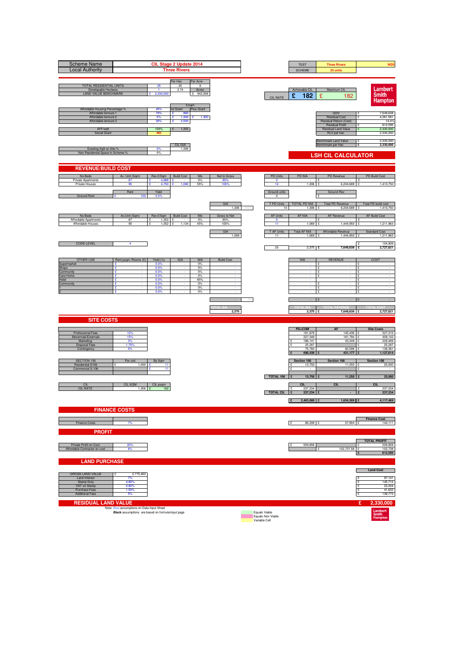| <b>Scheme Name</b><br><b>Local Authority</b>                                                                                        |                                                   |                                              | CIL Stage 2 Update 2014<br><b>Three Rivers</b>                 |                                     |                             |      |                                                     | <b>TEST</b><br><b>SCHEME</b>                     | <b>Three Rivers</b><br>25 units                                                                                       | WD3                                                                                  |
|-------------------------------------------------------------------------------------------------------------------------------------|---------------------------------------------------|----------------------------------------------|----------------------------------------------------------------|-------------------------------------|-----------------------------|------|-----------------------------------------------------|--------------------------------------------------|-----------------------------------------------------------------------------------------------------------------------|--------------------------------------------------------------------------------------|
| TOTAL RESIDENTIAL UNITS<br>Developable Hectares<br><b>LAND VALUE BENCHMARK</b>                                                      |                                                   | 25<br>$\overline{1}$<br>2,330,000            | Per Hec<br>25<br>2.74<br>£/sqm                                 | Per Acre<br>9<br>Acres<br>£ 942,938 |                             |      | <b>CIL RATE</b>                                     | Achievable CIL<br>£<br>182                       | Maximum CIL<br>£<br>182                                                                                               | Lambert<br><b>Smith</b><br><b>Hampton</b>                                            |
| Affordable Housing Percentage %<br>Affordable tennure 1<br>Affordable tennure 2<br>Affordable tennure 3<br>AFF/sqft<br>Social Grant |                                                   | 45%<br>70%<br>0%<br>30%<br>100%<br><b>NO</b> | no Grant<br>£<br>860<br>£<br>1,300<br>£<br>2,500<br>1,352<br>£ | Plus Grant<br>1,300<br>÷            |                             |      |                                                     |                                                  | GDV<br><b>Residual Cost</b><br>Residual Return (Cost)<br><b>Residual Profit</b><br>Residual Land Value<br>RLV per hec | 7,649,638<br>4,261,581<br>$\mathbf{S}$<br>14.4%<br>612,595<br>2,330,000<br>2,330,000 |
| Exisiting Sqft on Site %<br>Non Residential Space in Scheme 9                                                                       |                                                   | 0%<br>0%                                     | CIL GIA<br>1,306                                               |                                     |                             |      |                                                     |                                                  | Benchmark Land Value<br>Benchmark per Hec<br><b>LSH CIL CALCULATOR</b>                                                | 2,330,000<br>£<br>2,330,000<br>E                                                     |
| <b>REVENUE/BUILD COST</b>                                                                                                           |                                                   |                                              |                                                                |                                     |                             |      |                                                     |                                                  |                                                                                                                       |                                                                                      |
| No Beds<br>Private Apartments                                                                                                       | Av. Unit (Sqm)<br>67                              | Rev £/Sqm<br>4,988 £                         | <b>Build Cost</b>                                              | Mix<br>$0\%$                        | Net to Gross<br>85%         |      | <b>PD Units</b><br>$\mathbf 0$                      | <b>PD NIA</b>                                    | PD Revenue<br>£                                                                                                       | PD Build Cost<br>١£                                                                  |
| Private Houses                                                                                                                      | 95<br>Rent                                        | 4.750<br>Yield                               |                                                                | 55%                                 | 100                         |      | 14<br>Ground units                                  | 1,306                                            | 6,204,688<br><b>Ground Rev</b>                                                                                        | 1,410,750                                                                            |
| <b>Ground Rent</b>                                                                                                                  | 100                                               | 5.5%                                         |                                                                |                                     | GIA                         |      | $\mathbf 0$<br>T PD Units                           | TOTAL PD NIA                                     | <b>Total PD Revenue</b>                                                                                               | Total PD build cost                                                                  |
|                                                                                                                                     |                                                   |                                              |                                                                |                                     | 1,306                       | 100% | 14                                                  | 1.306                                            | 6,204,688                                                                                                             | 1,410,750                                                                            |
| No Beds<br>Affordable Apartments<br>Affordable Houses                                                                               | Av.Unit (Sqm)<br>67<br>95                         | Rev £/Sqm   Build Cost<br>1.352<br>1,352     | £<br>1,134<br>ç                                                | Mix<br>0%<br>45%                    | Gross to Net<br>85%<br>100% |      | <b>AF Units</b><br>$\circ$<br>11                    | AF NIA<br>1,069                                  | AF Revenue<br>1,444,950                                                                                               | <b>AF Build Cost</b><br>1,211,963                                                    |
|                                                                                                                                     |                                                   |                                              |                                                                |                                     | GIA<br>1,069                |      | T AF Units<br>11                                    | <b>Total AF NIA</b><br>1,069 £                   | Affordable Revenue<br>1,444,950                                                                                       | <b>Standard Cost</b><br>1,211,963<br>ç                                               |
| <b>CODE LEVEL</b>                                                                                                                   | 4                                                 |                                              |                                                                |                                     |                             |      | 25                                                  | $2,375$ £                                        | 7,649,638 £                                                                                                           | 104,909<br>£<br>2,727,621                                                            |
| <b>OTHER USE</b>                                                                                                                    | Rent psqm / Rooms (£)                             | Yield (%)                                    | GIA                                                            | <b>NIA</b>                          | <b>Build Cost</b>           |      |                                                     | <b>NIA</b>                                       | <b>REVENUE</b>                                                                                                        | COST                                                                                 |
| Supermarket<br>Shops                                                                                                                | £<br>£                                            | 0.0%<br>0.0%                                 |                                                                | 0%<br>0%                            |                             |      |                                                     |                                                  | £<br>£<br>$\cdot$                                                                                                     | ۱ç<br>١£<br>$\sim$                                                                   |
| Community<br>Care Home                                                                                                              | ç<br>£<br>£                                       | 0.0%<br>0.0%<br>0.0%                         |                                                                | 0%<br>0%<br>85%                     |                             |      |                                                     |                                                  | $\mathbf{f}$<br>£<br>$\sim$                                                                                           | $\sim$<br>ç<br>١£<br>$\sim$                                                          |
| Hotel<br>Community                                                                                                                  | ÷<br>£<br>£                                       | 0.0%<br>0.0%<br>0.0%                         |                                                                | 0%<br>0%<br>0%                      |                             |      |                                                     |                                                  | ç<br>$\cdot$<br>£<br>£                                                                                                | ١£<br>$\sim$<br>Ē<br>١£                                                              |
|                                                                                                                                     |                                                   |                                              |                                                                |                                     |                             |      |                                                     |                                                  | $\mathcal{L}$                                                                                                         |                                                                                      |
|                                                                                                                                     |                                                   |                                              |                                                                |                                     | 2,375                       |      |                                                     | $2,375$ £                                        | 7,649,638 £                                                                                                           | 2,727,621                                                                            |
| <b>SITE COSTS</b>                                                                                                                   |                                                   |                                              |                                                                |                                     |                             |      |                                                     |                                                  |                                                                                                                       |                                                                                      |
| Professional Fees                                                                                                                   | 12%                                               |                                              |                                                                |                                     |                             |      |                                                     | PD+COM<br>181,879                                | <b>AF</b><br>145,436 £                                                                                                | <b>Site Costs</b><br>327,315                                                         |
| Abnormals/Externals<br>Marketing                                                                                                    | 15%<br>3%                                         |                                              |                                                                |                                     |                             |      |                                                     | 227,349<br>186,141                               | 181,794<br>43,349 £                                                                                                   | 409,143<br>229,489                                                                   |
| <b>Disposal Fees</b><br>Contingency                                                                                                 | 1.75%                                             |                                              |                                                                |                                     |                             |      |                                                     | 25,287<br>75,783<br>696,438                      | 60,598<br>431,177                                                                                                     | 25,287<br>136,381<br>1,127,614                                                       |
| SECTION 106                                                                                                                         | Per unit                                          | By Sqm                                       |                                                                |                                     |                             |      |                                                     | Section 106                                      | Section 106                                                                                                           | Section 106                                                                          |
| Residential S106<br>Commercial S.106                                                                                                | 1,000                                             | 11<br>11                                     |                                                                |                                     |                             |      |                                                     | 13,750<br>$\mathbf{c}$                           | 11,250 £                                                                                                              | 25,000                                                                               |
|                                                                                                                                     |                                                   |                                              |                                                                |                                     |                             |      | TOTAL 106                                           | 13,750                                           | 11,250                                                                                                                | 25,000                                                                               |
| CIL<br><b>CIL RATE</b>                                                                                                              | CIL SQM<br>$1,306$ £                              | CIL psqm<br>182                              |                                                                |                                     |                             |      | <b>TOTAL CIL</b>                                    | <b>CIL</b><br>237,234<br>$\mathbf{f}$<br>237,234 | CIL                                                                                                                   | <b>CIL</b><br>237,234<br>۱£<br>237,234                                               |
|                                                                                                                                     |                                                   |                                              |                                                                |                                     |                             |      |                                                     | 2,463,080<br>Π£                                  | 1,654,389 £                                                                                                           | 4,117,469                                                                            |
|                                                                                                                                     | <b>FINANCE COSTS</b>                              |                                              |                                                                |                                     |                             |      |                                                     |                                                  |                                                                                                                       |                                                                                      |
| Finance Costs                                                                                                                       | 7%                                                |                                              |                                                                |                                     |                             |      |                                                     | E<br>86,208 £                                    | 57,904 £                                                                                                              | <b>Finance Cost</b><br>144,111                                                       |
| <b>PROFIT</b>                                                                                                                       |                                                   |                                              |                                                                |                                     |                             |      |                                                     |                                                  |                                                                                                                       |                                                                                      |
| Private Profit on Cost                                                                                                              | 20%                                               |                                              |                                                                |                                     |                             |      |                                                     | 509.858                                          |                                                                                                                       | <b>TOTAL PROFIT</b><br>509,858                                                       |
| Affordable Contractor on cost                                                                                                       | 6%                                                |                                              |                                                                |                                     |                             |      |                                                     |                                                  | 102,737.56 £<br>¢                                                                                                     | 102,738<br>612,595<br>١£                                                             |
| <b>LAND PURCHASE</b>                                                                                                                |                                                   |                                              |                                                                |                                     |                             |      |                                                     |                                                  |                                                                                                                       | <b>Land Cost</b>                                                                     |
| <b>GROSS LAND VALUE</b><br>Land Interest                                                                                            | 2,775,462<br>7%                                   |                                              |                                                                |                                     |                             |      |                                                     |                                                  |                                                                                                                       | 97,141<br>۱ç                                                                         |
| <b>Stamp Duty</b><br>VAT on Stamp                                                                                                   | 4.80%<br>0.80%                                    |                                              |                                                                |                                     |                             |      |                                                     |                                                  |                                                                                                                       | 145,712<br>22,204                                                                    |
| Purchase Fees<br><b>Additional Fees</b>                                                                                             | 1.50%<br>5%                                       |                                              |                                                                |                                     |                             |      |                                                     |                                                  |                                                                                                                       | 41,632<br>£<br>138,773<br>١£                                                         |
| <b>RESIDUAL LAND VALUE</b>                                                                                                          | Note: Blue assumptions on Data Input Sheet        |                                              |                                                                |                                     |                             |      |                                                     |                                                  |                                                                                                                       | £<br>2,330,000                                                                       |
|                                                                                                                                     | Black assumptions are based on formula/input page |                                              |                                                                |                                     |                             |      | Equals Viable<br>Equals Non Viable<br>Variable Cell |                                                  |                                                                                                                       | Lambert<br>Smith<br>Hampton                                                          |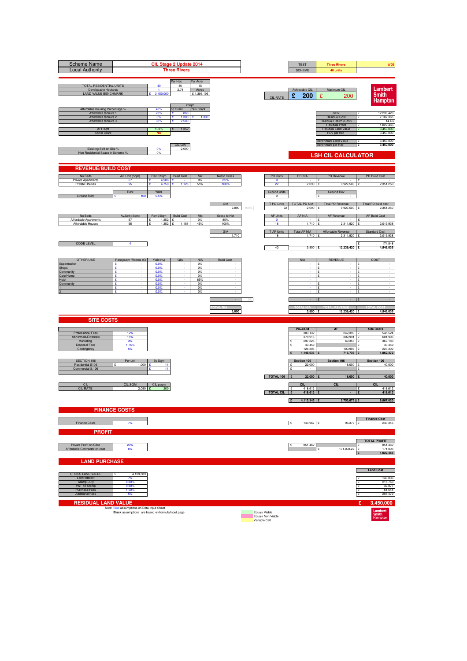| <b>Scheme Name</b><br><b>Local Authority</b>                                                                                        |                                                                                                 | CIL Stage 2 Update 2014                      | <b>Three Rivers</b>                                            |                                       |                      |      |                                                     | <b>TEST</b><br><b>SCHEME</b>                     | <b>Three Rivers</b><br>40 units                                                                                       | WD3                                                                                     |
|-------------------------------------------------------------------------------------------------------------------------------------|-------------------------------------------------------------------------------------------------|----------------------------------------------|----------------------------------------------------------------|---------------------------------------|----------------------|------|-----------------------------------------------------|--------------------------------------------------|-----------------------------------------------------------------------------------------------------------------------|-----------------------------------------------------------------------------------------|
| TOTAL RESIDENTIAL UNITS<br>Developable Hectares<br><b>LAND VALUE BENCHMARK</b>                                                      |                                                                                                 | 40<br>$\overline{1}$<br>3,450,000            | Per Hec<br>40<br>2.74<br>£/sqm                                 | Per Acre<br>15<br>Acres<br>£1,396,196 |                      |      | <b>CIL RATE</b>                                     | Achievable CIL<br>£<br>200                       | Maximum CIL<br>£<br>200                                                                                               | Lambert<br><b>Smith</b><br><b>Hampton</b>                                               |
| Affordable Housing Percentage %<br>Affordable tennure 1<br>Affordable tennure 2<br>Affordable tennure 3<br>AFF/sqft<br>Social Grant |                                                                                                 | 45%<br>70%<br>0%<br>30%<br>100%<br><b>NO</b> | no Grant<br>£<br>860<br>£<br>1,300<br>£<br>2,500<br>1,352<br>£ | Plus Grant<br>1,300<br>÷              |                      |      |                                                     |                                                  | GDV<br><b>Residual Cost</b><br>Residual Return (Cost)<br><b>Residual Profit</b><br>Residual Land Value<br>RLV per hec | 12,239,420<br>7,107,365<br>$\mathbf{S}$<br>14.4%<br>1,022,466<br>3,450,000<br>3,450,000 |
| Exisiting Sqft on Site %<br>Non Residential Space in Scheme 9                                                                       |                                                                                                 | 0%<br>0%                                     | CIL GIA<br>2,090                                               |                                       |                      |      |                                                     |                                                  | Benchmark Land Value<br>Benchmark per Hec<br><b>LSH CIL CALCULATOR</b>                                                | 3,450,000<br>£<br>3,450,000<br>£                                                        |
| <b>REVENUE/BUILD COST</b>                                                                                                           |                                                                                                 |                                              |                                                                |                                       |                      |      |                                                     |                                                  |                                                                                                                       |                                                                                         |
| No Beds<br>Private Apartments                                                                                                       | Av. Unit (Sqm)<br>67                                                                            | Rev £/Sqm<br>4,988 £                         | <b>Build Cost</b>                                              | Mix<br>$0\%$                          | Net to Gross<br>85%  |      | <b>PD Units</b><br>$\bullet$                        | <b>PD NIA</b>                                    | PD Revenue<br>£                                                                                                       | PD Build Cost<br>Ι£                                                                     |
| Private Houses<br><b>Ground Rent</b>                                                                                                | 95<br>Rent<br>100                                                                               | 4.750<br>Yield<br>5.5%                       |                                                                | 55%                                   | 100                  |      | 22<br>Ground units<br>$\mathbf 0$                   | 2,090                                            | 500<br>9.927<br><b>Ground Rev</b>                                                                                     | 2,351,250                                                                               |
|                                                                                                                                     |                                                                                                 |                                              |                                                                |                                       | GIA<br>2,090         | 100% | T PD Units<br>22                                    | TOTAL PD NIA<br>2.090                            | <b>Total PD Revenue</b><br>9,927,500                                                                                  | Total PD build cost<br>2,351,250                                                        |
| No Beds<br>Affordable Apartments                                                                                                    | Av.Unit (Sqm)<br>67                                                                             | Rev £/Sqm   Build Cost<br>1.352              | £                                                              | Mix<br>0%                             | Gross to Net<br>85%  |      | <b>AF Units</b><br>$\circ$                          | AF NIA                                           | AF Revenue                                                                                                            | <b>AF Build Cost</b>                                                                    |
| Affordable Houses                                                                                                                   | 95                                                                                              | 1,352                                        | 1,181<br>ç                                                     | 45%                                   | 100%<br>GIA<br>1,710 |      | 18<br>T AF Units<br>18                              | 1,710<br><b>Total AF NIA</b><br>1,710 £          | 2,311,920<br>Affordable Revenue<br>2,311,920 £                                                                        | 2,019,938<br>Standard Cost<br>2,019,938                                                 |
| <b>CODE LEVEL</b>                                                                                                                   | 4                                                                                               |                                              |                                                                |                                       |                      |      | 40                                                  | $3,800$ £                                        | 12,239,420 £                                                                                                          | 174,848<br>4,546,035                                                                    |
| <b>OTHER USE</b>                                                                                                                    | Rent psqm / Rooms (£)                                                                           | Yield (%)                                    | GIA                                                            | <b>NIA</b>                            | <b>Build Cost</b>    |      |                                                     | <b>NIA</b>                                       | <b>REVENUE</b>                                                                                                        | COST                                                                                    |
| Supermarket<br>Shops<br>Community                                                                                                   | £<br>£<br>ç                                                                                     | 0.0%<br>0.0%<br>0.0%                         |                                                                | 0%<br>0%<br>0%                        |                      |      |                                                     |                                                  | £<br>£<br>$\overline{\phantom{a}}$<br>$\mathbf{f}$                                                                    | ۱ç<br>Ŀ<br>$\sim$<br>$\sim$                                                             |
| Care Home<br>Hotel<br>Community                                                                                                     | £<br>£<br>÷                                                                                     | 0.0%<br>0.0%<br>0.0%                         |                                                                | 0%<br>85%<br>0%                       |                      |      |                                                     |                                                  | £<br>$\sim$<br>ç<br>$\cdot$                                                                                           | ç<br>١£<br>$\sim$<br>١£<br>$\sim$<br>Ē                                                  |
|                                                                                                                                     | £<br>£                                                                                          | 0.0%<br>0.0%                                 |                                                                | 0%<br>0%                              |                      |      |                                                     |                                                  | £<br>£                                                                                                                | ١£                                                                                      |
|                                                                                                                                     |                                                                                                 |                                              |                                                                |                                       | 3,800                |      |                                                     | 3,800 £                                          | 12,239,420 £                                                                                                          | 4,546,035                                                                               |
| <b>SITE COSTS</b>                                                                                                                   |                                                                                                 |                                              |                                                                |                                       |                      |      |                                                     |                                                  |                                                                                                                       |                                                                                         |
| Professional Fees<br>Abnormals/Externals<br>Marketing                                                                               | 12%<br>15%<br>3%                                                                                |                                              |                                                                |                                       |                      |      |                                                     | PD+COM<br>303,132<br>378,915<br>297,825          | <b>AF</b><br>242,393 £<br>302,991<br>69,358 £                                                                         | <b>Site Costs</b><br>545,524<br>681,905<br>367,183                                      |
| <b>Disposal Fees</b><br>Contingency                                                                                                 | 1.75%                                                                                           |                                              |                                                                |                                       |                      |      |                                                     | 40,459<br>126,305<br>1,146,635                   | 100,997<br>715,738                                                                                                    | 40,459<br>227,302<br>1,862,372                                                          |
| SECTION 106<br>Residential S106<br>Commercial S.106                                                                                 | Per unit<br>1,000                                                                               | By Sqm<br>11<br>11                           |                                                                |                                       |                      |      |                                                     | Section 106<br>22,000<br>$\mathbf{c}$            | Section 106<br>18,000                                                                                                 | Section 106<br>40,000                                                                   |
|                                                                                                                                     |                                                                                                 |                                              |                                                                |                                       |                      |      | TOTAL 106                                           | 22,000                                           | 18,000                                                                                                                | 40,000                                                                                  |
| CIL<br><b>CIL RATE</b>                                                                                                              | CIL SQM<br>$2,090$ £                                                                            | CIL psqm<br>200                              |                                                                |                                       |                      |      | <b>TOTAL CIL</b>                                    | <b>CIL</b><br>$\mathbf{f}$<br>418,612<br>418,612 | CIL                                                                                                                   | <b>CIL</b><br>418,612<br>$\mathbf{r}$<br>418,612                                        |
|                                                                                                                                     | <b>FINANCE COSTS</b>                                                                            |                                              |                                                                |                                       |                      |      |                                                     | 4,113,345 £<br>Π£                                | 2,753,675 £                                                                                                           | 6,867,020                                                                               |
|                                                                                                                                     |                                                                                                 |                                              |                                                                |                                       |                      |      |                                                     |                                                  |                                                                                                                       | <b>Finance Cost</b>                                                                     |
| Finance Costs<br><b>PROFIT</b>                                                                                                      | 7%                                                                                              |                                              |                                                                |                                       |                      |      |                                                     | E<br>143,967 £                                   | 96,379 £                                                                                                              | 240,346                                                                                 |
| Private Profit on Cost<br>Affordable Contractor on cost                                                                             | 20%<br>6%                                                                                       |                                              |                                                                |                                       |                      |      |                                                     | 851,462                                          | 171,003.22 £<br>¢                                                                                                     | <b>TOTAL PROFIT</b><br>851,462<br>171,003                                               |
| <b>LAND PURCHASE</b>                                                                                                                |                                                                                                 |                                              |                                                                |                                       |                      |      |                                                     |                                                  |                                                                                                                       | 1,022,466<br>£                                                                          |
| <b>GROSS LAND VALUE</b><br>Land Interest                                                                                            | 4,109,589<br>7%                                                                                 |                                              |                                                                |                                       |                      |      |                                                     |                                                  |                                                                                                                       | <b>Land Cost</b><br>143,836<br>۱ç                                                       |
| <b>Stamp Duty</b><br>VAT on Stamp<br>Purchase Fees                                                                                  | 4.80%<br>0.80%<br>1.50%                                                                         |                                              |                                                                |                                       |                      |      |                                                     |                                                  |                                                                                                                       | 215,753<br>32,877<br>£                                                                  |
| <b>Additional Fees</b>                                                                                                              | 5%                                                                                              |                                              |                                                                |                                       |                      |      |                                                     |                                                  |                                                                                                                       | 61,644<br>205,479<br>١£                                                                 |
| <b>RESIDUAL LAND VALUE</b>                                                                                                          | Note: Blue assumptions on Data Input Sheet<br>Black assumptions are based on formula/input page |                                              |                                                                |                                       |                      |      | Equals Viable<br>Equals Non Viable<br>Variable Cell |                                                  |                                                                                                                       | £<br>3,450,000<br>Lambert<br>Smith<br>Hampton                                           |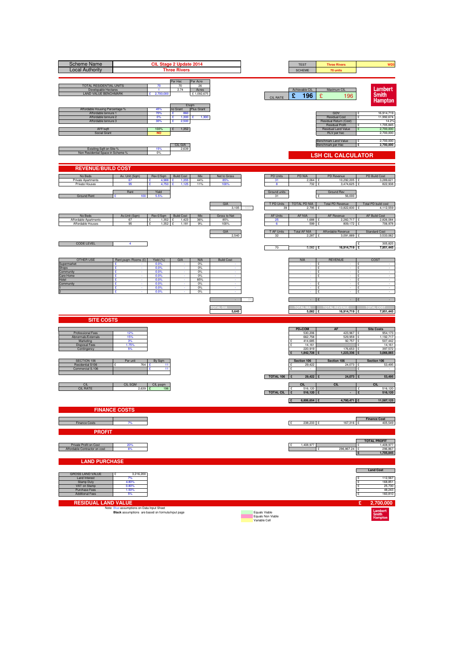| <b>Scheme Name</b><br><b>Local Authority</b>                                                                                        |                                                                                                 | CIL Stage 2 Update 2014                      | <b>Three Rivers</b>                                            |                                       |                             |      |                                                     | <b>TEST</b><br><b>SCHEME</b>                         | <b>Three Rivers</b><br>70 units                                                                                       | WD3                                                                                      |
|-------------------------------------------------------------------------------------------------------------------------------------|-------------------------------------------------------------------------------------------------|----------------------------------------------|----------------------------------------------------------------|---------------------------------------|-----------------------------|------|-----------------------------------------------------|------------------------------------------------------|-----------------------------------------------------------------------------------------------------------------------|------------------------------------------------------------------------------------------|
| TOTAL RESIDENTIAL UNITS<br>Developable Hectares<br><b>LAND VALUE BENCHMARK</b>                                                      |                                                                                                 | 70<br>$\overline{1}$<br>2,700,000            | Per Hec<br>70<br>2.74<br>£/sqm                                 | Per Acre<br>26<br>Acres<br>£1,092,675 |                             |      | <b>CIL RATE</b>                                     | Achievable CIL<br>£<br>196                           | Maximum CIL<br>£<br>196                                                                                               | Lambert<br><b>Smith</b><br><b>Hampton</b>                                                |
| Affordable Housing Percentage %<br>Affordable tennure 1<br>Affordable tennure 2<br>Affordable tennure 3<br>AFF/sqft<br>Social Grant |                                                                                                 | 45%<br>70%<br>0%<br>30%<br>100%<br><b>NO</b> | no Grant<br>£<br>860<br>£<br>1,300<br>£<br>2,500<br>1,352<br>£ | Plus Grant<br>1,300<br>÷              |                             |      |                                                     |                                                      | GDV<br><b>Residual Cost</b><br>Residual Return (Cost)<br><b>Residual Profit</b><br>Residual Land Value<br>RLV per hec | 16,914,719<br>11,992,674<br>$\mathbf{S}$<br>14.2%<br>1,705,845<br>2,700,000<br>2,700,000 |
| Exisiting Sqft on Site %<br>Non Residential Space in Scheme 9                                                                       |                                                                                                 | 15%<br>0%                                    | CIL GIA<br>2,639                                               |                                       |                             |      |                                                     |                                                      | Benchmark Land Value<br>Benchmark per Hec<br><b>LSH CIL CALCULATOR</b>                                                | 2,700,000<br>£<br>2,700,000<br>£                                                         |
| <b>REVENUE/BUILD COST</b>                                                                                                           |                                                                                                 |                                              |                                                                |                                       |                             |      |                                                     |                                                      |                                                                                                                       |                                                                                          |
| No Beds<br>Private Apartments<br>Private Houses                                                                                     | Av. Unit (Sqm)<br>67<br>95<br>Rent                                                              | Rev £/Sqm<br>4,988 £<br>4.75<br>Yield        | <b>Build Cost</b><br>1,355                                     | Mix<br>44%<br>11%                     | Net to Gross<br>85%<br>100  |      | <b>PD Units</b><br>31<br>Ground units               | PD NIA<br>$2,064$ £<br>732                           | PD Revenue<br>10,292,205<br>3,474,625<br>Ground Rev                                                                   | PD Build Cost<br>3,289,621<br>822,938                                                    |
| <b>Ground Rent</b>                                                                                                                  | 100                                                                                             | 5.5%                                         |                                                                |                                       | GIA<br>3.105                | 100% | 31<br>T PD Units<br>39                              | TOTAL PD NIA<br>2.795                                | 56,000<br>Total PD Revenue<br>13,822,830                                                                              | Total PD build cost<br>4,112,559                                                         |
| No Beds<br>Affordable Apartments<br>Affordable Houses                                                                               | Av.Unit (Sqm)<br>67<br>95                                                                       | Rev £/Sqm Build Cost<br>1.352<br>1,352       | £<br>1.423<br>ç<br>1,181                                       | Mix<br>36%<br>9%                      | Gross to Net<br>85%<br>100% |      | <b>AF Units</b><br>25<br>6                          | AF NIA<br>1.688<br>599                               | AF Revenue<br>2.282.717<br>809,172                                                                                    | <b>AF Build Cost</b><br>2,826,084<br>706,978                                             |
| <b>CODE LEVEL</b>                                                                                                                   | 4                                                                                               |                                              |                                                                |                                       | GIA<br>2,540                |      | T AF Units<br>32                                    | <b>Total AF NIA</b><br>$2,287$ £                     | Affordable Revenue<br>3,091,889 £                                                                                     | <b>Standard Cost</b><br>3,533,062<br>305,825                                             |
|                                                                                                                                     |                                                                                                 |                                              |                                                                |                                       |                             |      | 70                                                  | $5,082$ £                                            | 16,914,719 £                                                                                                          | 7,951,445                                                                                |
| <b>OTHER USE</b><br>Supermarket<br>Shops<br>Community                                                                               | Rent psqm /Rooms (£)<br>£<br>£<br>ç                                                             | Yield (%)<br>0.0%<br>0.0%<br>0.0%            | GIA                                                            | <b>NIA</b><br>0%<br>0%<br>0%          | <b>Build Cost</b>           |      |                                                     | <b>NIA</b>                                           | <b>REVENUE</b><br>£<br>£<br>$\overline{\phantom{a}}$<br>$\mathbf{f}$                                                  | COST<br>۱ç<br>١£<br>$\sim$<br>$\sim$                                                     |
| Care Home<br>Hotel<br>Community                                                                                                     | £<br>£<br>÷<br>£                                                                                | 0.0%<br>0.0%<br>0.0%<br>0.0%                 |                                                                | 0%<br>85%<br>0%<br>0%                 |                             |      |                                                     |                                                      | £<br>١£<br>$\sim$<br>ç<br>$\cdot$<br>£                                                                                | ç<br>$\sim$<br>١£<br>$\sim$<br>Ē                                                         |
|                                                                                                                                     | £                                                                                               | 0.0%                                         |                                                                | 0%                                    |                             |      |                                                     |                                                      | £<br>$\mathbf{f}$                                                                                                     | ١£                                                                                       |
| <b>SITE COSTS</b>                                                                                                                   |                                                                                                 |                                              |                                                                |                                       | 5,645                       |      |                                                     | 5,082                                                | 16,914,719 £<br>Ι£                                                                                                    | 7,951,445                                                                                |
| Professional Fees                                                                                                                   | 12%                                                                                             |                                              |                                                                |                                       |                             |      |                                                     | PD+COM<br>530,206                                    | <b>AF</b><br>423,967 £                                                                                                | <b>Site Costs</b><br>954,173                                                             |
| Abnormals/Externals<br>Marketing<br><b>Disposal Fees</b><br>Contingency                                                             | 15%<br>3%<br>1.75%                                                                              |                                              |                                                                |                                       |                             |      |                                                     | 662,758<br>414,685<br>14,161<br>220,919<br>1,842,728 | 529,959<br>92,757<br>176,653<br>1,223,336                                                                             | 1,192,717<br>507,442<br>14,161<br>397,572<br>3,066,065                                   |
| SECTION 106<br>Residential S106<br>Commercial S.106                                                                                 | Per unit<br>764                                                                                 | By Sqm<br>11<br>11                           |                                                                |                                       |                             |      |                                                     | Section 106<br>29,422<br>$\mathbf{c}$                | Section 106<br>24,073                                                                                                 | Section 106<br>53,495                                                                    |
| CIL<br><b>CIL RATE</b>                                                                                                              | CIL SQM<br>$2,639$ £                                                                            | CIL psqm<br>196                              |                                                                |                                       |                             |      | TOTAL 106                                           | 29,422<br><b>CIL</b><br>516,120<br>$\mathbf{f}$      | 24,073<br>CIL                                                                                                         | 53,495<br><b>CIL</b><br>516,120<br>$\mathbf{r}$                                          |
|                                                                                                                                     |                                                                                                 |                                              |                                                                |                                       |                             |      | <b>TOTAL CIL</b>                                    | 516,120<br>6,806,654 £<br>Π£                         | 4,780,471 £                                                                                                           | 516,120<br>11,587,125                                                                    |
|                                                                                                                                     | <b>FINANCE COSTS</b>                                                                            |                                              |                                                                |                                       |                             |      |                                                     |                                                      |                                                                                                                       | <b>Finance Cost</b>                                                                      |
| Finance Costs<br><b>PROFIT</b>                                                                                                      | 7%                                                                                              |                                              |                                                                |                                       |                             |      |                                                     | E<br>238,233 £                                       | 167,316 £                                                                                                             | 405,549                                                                                  |
| Private Profit on Cost<br>Affordable Contractor on cost                                                                             | 20%<br>6%                                                                                       |                                              |                                                                |                                       |                             |      |                                                     | 1,408,977                                            | 296,867.24 £<br>¢                                                                                                     | <b>TOTAL PROFIT</b><br>,408,977<br>296,867<br>1,705,845<br>Ι£                            |
| <b>LAND PURCHASE</b>                                                                                                                |                                                                                                 |                                              |                                                                |                                       |                             |      |                                                     |                                                      |                                                                                                                       | <b>Land Cost</b>                                                                         |
| <b>GROSS LAND VALUE</b><br>Land Interest<br><b>Stamp Duty</b><br>VAT on Stamp                                                       | 3,216,200<br>7%<br>4.80%<br>0.80%                                                               |                                              |                                                                |                                       |                             |      |                                                     |                                                      |                                                                                                                       | 112,567<br>۱ç<br>168,851<br>25,730                                                       |
| Purchase Fees<br><b>Additional Fees</b><br><b>RESIDUAL LAND VALUE</b>                                                               | 1.50%<br>5%                                                                                     |                                              |                                                                |                                       |                             |      |                                                     |                                                      |                                                                                                                       | 48,243<br>£<br>160,810<br>١£<br>£                                                        |
|                                                                                                                                     | Note: Blue assumptions on Data Input Sheet<br>Black assumptions are based on formula/input page |                                              |                                                                |                                       |                             |      | Equals Viable<br>Equals Non Viable<br>Variable Cell |                                                      |                                                                                                                       | 2,700,000<br>Lambert<br>Smith<br>Hampton                                                 |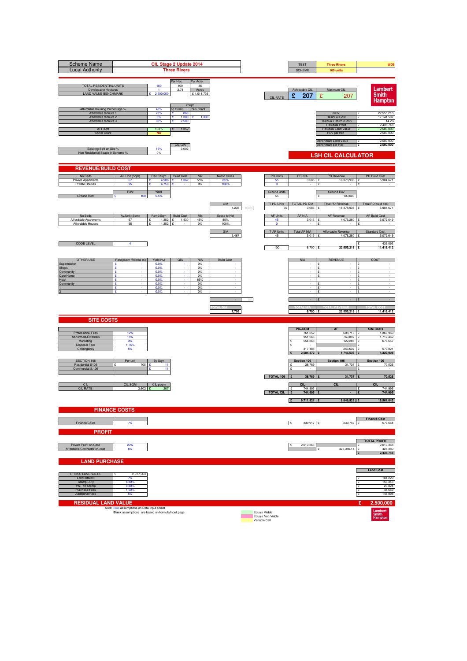| <b>Scheme Name</b><br><b>Local Authority</b>                                                                                        |                                                                                                 |                                              | CIL Stage 2 Update 2014<br><b>Three Rivers</b>                 |                                                |                             |      |                                                     | <b>TEST</b><br><b>SCHEME</b>                                         | <b>Three Rivers</b><br>100 units                                                                                      | WD3                                                                                      |
|-------------------------------------------------------------------------------------------------------------------------------------|-------------------------------------------------------------------------------------------------|----------------------------------------------|----------------------------------------------------------------|------------------------------------------------|-----------------------------|------|-----------------------------------------------------|----------------------------------------------------------------------|-----------------------------------------------------------------------------------------------------------------------|------------------------------------------------------------------------------------------|
| TOTAL RESIDENTIAL UNITS<br>Developable Hectares<br><b>LAND VALUE BENCHMARK</b>                                                      |                                                                                                 | 100<br>$\overline{1}$<br>2,500,000           | Per Hec<br>100<br>2.74                                         | Per Acre<br>36<br>Acres<br>£1,011,736<br>£/sqm |                             |      | <b>CIL RATE</b>                                     | Achievable CIL<br>£<br>207                                           | Maximum CIL<br>£<br>207                                                                                               | Lambert<br><b>Smith</b><br><b>Hampton</b>                                                |
| Affordable Housing Percentage %<br>Affordable tennure 1<br>Affordable tennure 2<br>Affordable tennure 3<br>AFF/sqft<br>Social Grant |                                                                                                 | 45%<br>70%<br>0%<br>30%<br>100%<br><b>NO</b> | no Grant<br>£<br>860<br>£<br>1,300<br>£<br>2,500<br>1,352<br>£ | Plus Grant<br>1,300<br>÷                       |                             |      |                                                     |                                                                      | GDV<br><b>Residual Cost</b><br>Residual Return (Cost)<br><b>Residual Profit</b><br>Residual Land Value<br>RLV per hec | 22,555,218<br>17,141,507<br>$\mathbf{S}$<br>14.2%<br>2,435,748<br>2,500,000<br>2,500,000 |
| Exisiting Sqft on Site %<br>Non Residential Space in Scheme 9                                                                       |                                                                                                 | 15%<br>0%                                    | CIL GIA<br>3,602                                               |                                                |                             |      |                                                     |                                                                      | Benchmark Land Value<br>Benchmark per Hec<br><b>LSH CIL CALCULATOR</b>                                                | 2,500,000<br>£<br>2,500,000<br>£                                                         |
| <b>REVENUE/BUILD COST</b>                                                                                                           |                                                                                                 |                                              |                                                                |                                                |                             |      |                                                     |                                                                      |                                                                                                                       |                                                                                          |
| No Beds<br>Private Apartments<br>Private Houses                                                                                     | Av. Unit (Sqm)<br>67<br>95                                                                      | Rev £/Sqm<br>4,988 £<br>4.750                | <b>Build Cost</b><br>1,362                                     | Mix<br>55%<br>0%                               | Net to Gross<br>85%<br>100  |      | <b>PD Units</b><br>55                               | PD NIA<br>3,685                                                      | PD Revenue<br>18,378,938<br>۱£                                                                                        | PD Build Cost<br>5,904,671                                                               |
| <b>Ground Rent</b>                                                                                                                  | Rent<br>100                                                                                     | Yield<br>5.5%                                |                                                                |                                                | GIA<br>4.238                | 100% | Ground units<br>55<br>T PD Units<br>55              | TOTAL PD NIA<br>3,685                                                | Ground Rev<br>100,000<br>Total PD Revenue<br>18,478,938                                                               | Total PD build cost<br>5,904,671                                                         |
| No Beds<br>Affordable Apartments<br>Affordable Houses                                                                               | Av.Unit (Sqm)<br>67<br>95                                                                       | Rev £/Sqm Build Cost<br>1.352<br>1,352       | 1,430<br>£<br>£                                                | Mix<br>45%<br>0%                               | Gross to Net<br>85%<br>100% |      | <b>AF Units</b><br>45<br>$\circ$                    | AF NIA<br>3,015                                                      | AF Revenue<br>4.076.280                                                                                               | AF Build Cost<br>5,072,649                                                               |
| <b>CODE LEVEL</b>                                                                                                                   | 4                                                                                               |                                              |                                                                |                                                | GIA<br>3,467                |      | T AF Units<br>45<br>100                             | <b>Total AF NIA</b><br>3,015 $E$<br>6,700 £                          | Affordable Revenue<br>4,076,280 £<br>22,555,218 £                                                                     | <b>Standard Cost</b><br>5,072,649<br>439,093<br>£<br>11,416,412                          |
| <b>OTHER USE</b>                                                                                                                    | Rent psqm / Rooms (£)                                                                           | Yield (%)                                    | GIA                                                            | <b>NIA</b>                                     | <b>Build Cost</b>           |      |                                                     | <b>NIA</b>                                                           | <b>REVENUE</b>                                                                                                        | COST                                                                                     |
| Supermarket<br><b>Shops</b><br>Community<br>Care Home<br>Hotel                                                                      | £<br>£<br>ç<br>£<br>£                                                                           | 0.0%<br>0.0%<br>0.0%<br>0.0%<br>0.0%         |                                                                | 0%<br>0%<br>0%<br>0%<br>85%                    |                             |      |                                                     |                                                                      | £<br>£<br>$\cdot$<br>$\mathbf{f}$<br>£<br>$\sim$                                                                      | ۱ç<br>١£<br>$\sim$<br>$\sim$<br>ç<br>١£<br>$\sim$                                        |
| Community                                                                                                                           | ÷<br>£<br>£                                                                                     | 0.0%<br>0.0%<br>0.0%                         |                                                                | 0%<br>0%<br>0%                                 |                             |      |                                                     |                                                                      | ç<br>$\cdot$<br>£<br>£                                                                                                | ١£<br>$\sim$<br>Ē<br>١£                                                                  |
|                                                                                                                                     |                                                                                                 |                                              |                                                                |                                                | 7,705                       |      |                                                     | $6,700$ £                                                            | 22,555,218 £                                                                                                          | 11,416,412                                                                               |
| <b>SITE COSTS</b>                                                                                                                   |                                                                                                 |                                              |                                                                |                                                |                             |      |                                                     | PD+COM                                                               | <b>AF</b>                                                                                                             | <b>Site Costs</b>                                                                        |
| Professional Fees<br>Abnormals/Externals<br>Marketing<br><b>Disposal Fees</b><br>Contingency                                        | 12%<br>15%<br>3%<br>1.75%                                                                       |                                              |                                                                |                                                |                             |      |                                                     | 761,252<br>951,565<br>554,368<br>$\overline{\phantom{a}}$<br>317,188 | 608.718 £<br>760,897<br>122,288<br>253,632                                                                            | 1,369,969<br>1,712,462<br>676,657<br>$\sim$<br>570,821                                   |
| SECTION 106<br>Residential S106<br>Commercial S.106                                                                                 | Per unit<br>705                                                                                 | By Sqm<br>11<br>11                           |                                                                |                                                |                             |      |                                                     | 2,584,372<br>Section 106<br>38,789<br>$\mathbf{c}$                   | 1,745,536<br>Section 106<br>31,737 £                                                                                  | 4,329,908<br>Section 106<br>70,526                                                       |
| CIL<br><b>CIL RATE</b>                                                                                                              | CIL SQM<br>3,602 $E$                                                                            | CIL psqm<br>207                              |                                                                |                                                |                             |      | TOTAL 106                                           | 38,789<br><b>CIL</b><br>$\mathbf{f}$<br>744,995                      | 31,737<br>CIL                                                                                                         | 70,526<br><b>CIL</b><br>744,995<br>$\mathbf{r}$                                          |
|                                                                                                                                     | <b>FINANCE COSTS</b>                                                                            |                                              |                                                                |                                                |                             |      | <b>TOTAL CIL</b>                                    | 744,995<br>9,711,921<br>Π£                                           | $6,849,922$ £                                                                                                         | 744,995<br>16,561,842                                                                    |
| Finance Costs                                                                                                                       | 7%                                                                                              |                                              |                                                                |                                                |                             |      |                                                     | E<br>339,917 £                                                       | 239,747 £                                                                                                             | <b>Finance Cost</b><br>579,664                                                           |
| <b>PROFIT</b><br>Private Profit on Cost<br>Affordable Contractor on cost                                                            | 20%<br>6%                                                                                       |                                              |                                                                |                                                |                             |      |                                                     | 2,010,368                                                            | 425,380.14<br>¢                                                                                                       | <b>TOTAL PROFIT</b><br>2,010,368<br>425,380                                              |
| <b>LAND PURCHASE</b>                                                                                                                |                                                                                                 |                                              |                                                                |                                                |                             |      |                                                     |                                                                      |                                                                                                                       | 2,435,748<br>Ι£                                                                          |
| <b>GROSS LAND VALUE</b><br>Land Interest<br><b>Stamp Duty</b><br>VAT on Stamp<br>Purchase Fees                                      | 2,977,963<br>7%<br>4.80%<br>0.80%<br>1.50%                                                      |                                              |                                                                |                                                |                             |      |                                                     |                                                                      |                                                                                                                       | <b>Land Cost</b><br>104,229<br>۱ç<br>156,343<br>23,824<br>44,669<br>£                    |
| <b>Additional Fees</b><br><b>RESIDUAL LAND VALUE</b>                                                                                | 5%                                                                                              |                                              |                                                                |                                                |                             |      |                                                     |                                                                      |                                                                                                                       | 148,898<br>١£<br>£<br>2,500,000                                                          |
|                                                                                                                                     | Note: Blue assumptions on Data Input Sheet<br>Black assumptions are based on formula/input page |                                              |                                                                |                                                |                             |      | Equals Viable<br>Equals Non Viable<br>Variable Cell |                                                                      |                                                                                                                       | Lambert<br>Smith<br>Hampton                                                              |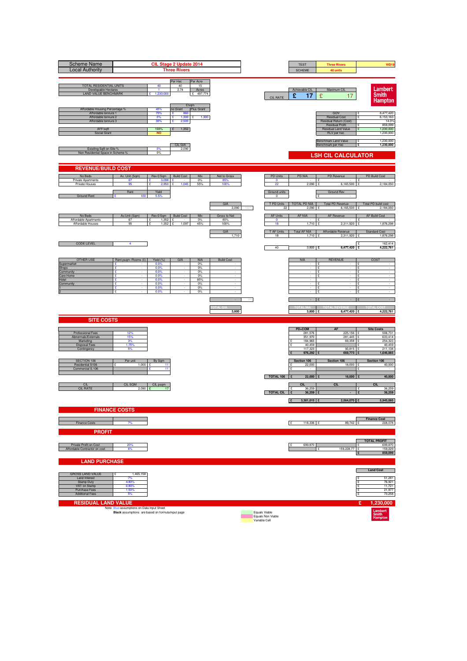| <b>Scheme Name</b><br><b>Local Authority</b>                                                                                        |                                                                                                 |                                              | CIL Stage 2 Update 2014<br><b>Three Rivers</b>                 |                                      |                             |      |                                                     | <b>TEST</b><br><b>SCHEME</b>            | <b>Three Rivers</b><br>40 units                                                                                       | <b>WD19</b>                                                                          |
|-------------------------------------------------------------------------------------------------------------------------------------|-------------------------------------------------------------------------------------------------|----------------------------------------------|----------------------------------------------------------------|--------------------------------------|-----------------------------|------|-----------------------------------------------------|-----------------------------------------|-----------------------------------------------------------------------------------------------------------------------|--------------------------------------------------------------------------------------|
| TOTAL RESIDENTIAL UNITS<br>Developable Hectares<br><b>LAND VALUE BENCHMARK</b>                                                      |                                                                                                 | 40<br>$\blacktriangleleft$<br>1,230,000      | Per Hec<br>40<br>2.74<br>£/sqm                                 | Per Acre<br>15<br>Acres<br>£ 497,774 |                             |      | <b>CIL RATE</b>                                     | Achievable CIL<br>£<br>17               | Maximum CIL<br>£<br>17                                                                                                | Lambert<br><b>Smith</b><br><b>Hampton</b>                                            |
| Affordable Housing Percentage %<br>Affordable tennure 1<br>Affordable tennure 2<br>Affordable tennure 3<br>AFF/sqft<br>Social Grant |                                                                                                 | 45%<br>70%<br>0%<br>30%<br>100%<br><b>NO</b> | no Grant<br>£<br>860<br>£<br>1,300<br>£<br>2,500<br>1,352<br>£ | Plus Grant<br>1,300<br>÷             |                             |      |                                                     |                                         | GDV<br><b>Residual Cost</b><br>Residual Return (Cost)<br><b>Residual Profit</b><br>Residual Land Value<br>RLV per hec | 8,477,420<br>6,153,163<br>$\mathbf{S}$<br>14.0%<br>859,099<br>1,230,000<br>1,230,000 |
| Exisiting Sqft on Site %<br>Non Residential Space in Scheme 9                                                                       |                                                                                                 | 0%<br>0%                                     | CIL GIA<br>2,090                                               |                                      |                             |      |                                                     |                                         | Benchmark Land Value<br>Benchmark per Hec<br><b>LSH CIL CALCULATOR</b>                                                | 1,230,000<br>£<br>£<br>1,230,000                                                     |
| <b>REVENUE/BUILD COST</b>                                                                                                           |                                                                                                 |                                              |                                                                |                                      |                             |      |                                                     |                                         |                                                                                                                       |                                                                                      |
| No Beds<br>Private Apartments<br>Private Houses                                                                                     | Av. Unit (Sqm)<br>67<br>95                                                                      | Rev £/Sqm<br>3,098 $E$                       | <b>Build Cost</b>                                              | Mix<br>$0\%$<br>55%                  | Net to Gross<br>85%<br>100  |      | <b>PD Units</b><br>$\mathbf{0}$<br>22               | <b>PD NIA</b><br>2,090                  | PD Revenue<br>£<br>6.165.500                                                                                          | PD Build Cost<br>Ι£<br>2,184,050                                                     |
| <b>Ground Rent</b>                                                                                                                  | Rent<br>100                                                                                     | Yield<br>5.5%                                |                                                                |                                      |                             |      | Ground units<br>$\mathbf 0$                         |                                         | <b>Ground Rev</b>                                                                                                     |                                                                                      |
|                                                                                                                                     |                                                                                                 |                                              |                                                                |                                      | GIA<br>2,090                | 100% | T PD Units<br>22                                    | TOTAL PD NIA<br>2.090                   | <b>Total PD Revenue</b><br>6,165,500                                                                                  | Total PD build cost<br>2,184,050                                                     |
| No Beds<br>Affordable Apartments<br>Affordable Houses                                                                               | Av.Unit (Sqm)<br>67<br>95                                                                       | Rev £/Sqm   Build Cost<br>1.352<br>1,352     | £<br>1,097<br>ç                                                | Mix<br>0%<br>45%                     | Gross to Net<br>85%<br>100% |      | <b>AF Units</b><br>$\circ$<br>18                    | AF NIA<br>1,710                         | AF Revenue<br>2,311,920                                                                                               | <b>AF Build Cost</b><br>1,876,298                                                    |
|                                                                                                                                     |                                                                                                 |                                              |                                                                |                                      | GIA<br>1,710                |      | T AF Units<br>18                                    | <b>Total AF NIA</b><br>1,710 £          | Affordable Revenue<br>2,311,920 £                                                                                     | <b>Standard Cost</b><br>1,876,298                                                    |
| <b>CODE LEVEL</b>                                                                                                                   | 4                                                                                               |                                              |                                                                |                                      |                             |      | 40                                                  | $3,800$ £                               | 8,477,420 £                                                                                                           | 162,414<br>4,222,761                                                                 |
| <b>OTHER USE</b><br>Supermarket                                                                                                     | Rent psqm / Rooms (£)<br>£                                                                      | Yield (%)<br>0.0%                            | GIA                                                            | <b>NIA</b><br>0%                     | <b>Build Cost</b>           |      |                                                     | <b>NIA</b>                              | <b>REVENUE</b><br>£                                                                                                   | COST<br>۱ç                                                                           |
| <b>Shops</b><br>Community<br>Care Home                                                                                              | £<br>ç<br>£                                                                                     | 0.0%<br>0.0%<br>0.0%                         |                                                                | 0%<br>0%<br>0%                       |                             |      |                                                     |                                         | £<br>$\cdot$<br>$\mathbf{f}$<br>£                                                                                     | ١£<br>$\sim$<br>$\sim$<br>ç                                                          |
| Hotel<br>Community                                                                                                                  | £<br>÷<br>£<br>£                                                                                | 0.0%<br>0.0%<br>0.0%<br>0.0%                 |                                                                | 85%<br>0%<br>0%<br>0%                |                             |      |                                                     |                                         | $\sim$<br>ç<br>$\cdot$<br>£<br>£                                                                                      | ١£<br>$\sim$<br>١£<br>$\sim$<br>Ē<br>١£                                              |
|                                                                                                                                     |                                                                                                 |                                              |                                                                |                                      |                             |      |                                                     |                                         |                                                                                                                       |                                                                                      |
|                                                                                                                                     |                                                                                                 |                                              |                                                                |                                      | 3,800                       |      |                                                     | 3,800 £                                 | 8,477,420 £                                                                                                           | 4,222,761                                                                            |
| <b>SITE COSTS</b>                                                                                                                   |                                                                                                 |                                              |                                                                |                                      |                             |      |                                                     | PD+COM                                  | <b>AF</b>                                                                                                             | <b>Site Costs</b>                                                                    |
| Professional Fees<br>Abnormals/Externals<br>Marketing                                                                               | 12%<br>15%<br>3%<br>1.75%                                                                       |                                              |                                                                |                                      |                             |      |                                                     | 281,576<br>351,970<br>184,965<br>40,459 | 225,156 £<br>281,445<br>69,358 £                                                                                      | 506,731<br>633,414<br>254,323                                                        |
| <b>Disposal Fees</b><br>Contingency                                                                                                 |                                                                                                 |                                              |                                                                |                                      |                             |      |                                                     | 117,323<br>976,292                      | 93,815<br>669,773                                                                                                     | 40,459<br>211,138<br>1,646,065                                                       |
| SECTION 106<br>Residential S106<br>Commercial S.106                                                                                 | Per unit<br>1,000                                                                               | By Sqm<br>11<br>11                           |                                                                |                                      |                             |      |                                                     | Section 106<br>22,000<br>$\mathbf{c}$   | Section 106<br>18,000                                                                                                 | Section 106<br>40,000                                                                |
| CIL                                                                                                                                 |                                                                                                 |                                              |                                                                |                                      |                             |      | TOTAL 106                                           | 22,000<br><b>CIL</b>                    | 18,000                                                                                                                | 40,000                                                                               |
| <b>CIL RATE</b>                                                                                                                     | CIL SQM<br>$2,090$ £                                                                            | CIL psqm<br>17                               |                                                                |                                      |                             |      | <b>TOTAL CIL</b>                                    | 36.259<br>$\mathbf{f}$<br>36,259        | CIL                                                                                                                   | <b>CIL</b><br>36,259<br>۱£<br>36,259                                                 |
|                                                                                                                                     | <b>FINANCE COSTS</b>                                                                            |                                              |                                                                |                                      |                             |      |                                                     | Π£<br>3,381,015                         | 2,564,070 £                                                                                                           | 5,945,085                                                                            |
| Finance Costs                                                                                                                       | 7%                                                                                              |                                              |                                                                |                                      |                             |      |                                                     | E<br>118,336 £                          | 89,742 £                                                                                                              | <b>Finance Cost</b><br>208,078                                                       |
| <b>PROFIT</b>                                                                                                                       |                                                                                                 |                                              |                                                                |                                      |                             |      |                                                     |                                         |                                                                                                                       |                                                                                      |
| Private Profit on Cost<br>Affordable Contractor on cost                                                                             | 20%<br>6%                                                                                       |                                              |                                                                |                                      |                             |      |                                                     | 699,870                                 | 159,228.77 £<br>¢                                                                                                     | <b>TOTAL PROFIT</b><br>699,870<br>159,229<br>859,099<br>Ι£                           |
| <b>LAND PURCHASE</b>                                                                                                                |                                                                                                 |                                              |                                                                |                                      |                             |      |                                                     |                                         |                                                                                                                       |                                                                                      |
| <b>GROSS LAND VALUE</b><br>Land Interest                                                                                            | 1,465,158<br>7%                                                                                 |                                              |                                                                |                                      |                             |      |                                                     |                                         |                                                                                                                       | <b>Land Cost</b><br>51,281<br>۱ç                                                     |
| <b>Stamp Duty</b><br>VAT on Stamp<br>Purchase Fees<br><b>Additional Fees</b>                                                        | 4.80%<br>0.80%<br>1.50%<br>5%                                                                   |                                              |                                                                |                                      |                             |      |                                                     |                                         |                                                                                                                       | 76,921<br>11,721<br>£<br>21,977<br>73,258<br>١£                                      |
| <b>RESIDUAL LAND VALUE</b>                                                                                                          |                                                                                                 |                                              |                                                                |                                      |                             |      |                                                     |                                         |                                                                                                                       | £<br>1,230,000                                                                       |
|                                                                                                                                     | Note: Blue assumptions on Data Input Sheet<br>Black assumptions are based on formula/input page |                                              |                                                                |                                      |                             |      | Equals Viable<br>Equals Non Viable<br>Variable Cell |                                         |                                                                                                                       | Lambert<br>Smith<br>Hampton                                                          |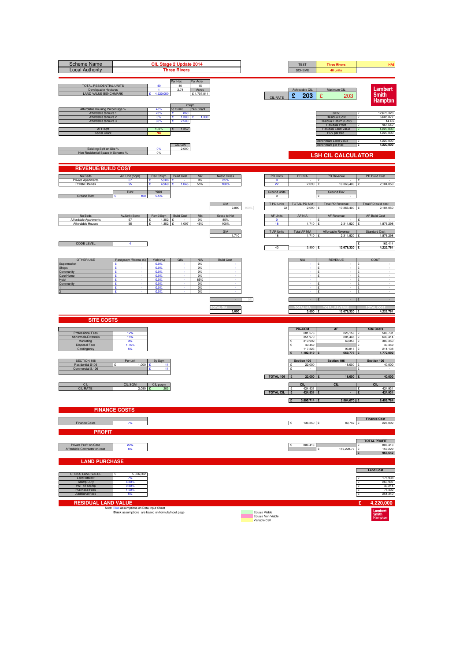| <b>Scheme Name</b><br><b>Local Authority</b>                                                                                        |                                                                                                 |                                              | CIL Stage 2 Update 2014<br><b>Three Rivers</b>                 |                                       |                     |      |                                                     | <b>TEST</b><br><b>SCHEME</b>                     | <b>Three Rivers</b><br>40 units                                                                                       | HA <sub>6</sub>                                                                       |
|-------------------------------------------------------------------------------------------------------------------------------------|-------------------------------------------------------------------------------------------------|----------------------------------------------|----------------------------------------------------------------|---------------------------------------|---------------------|------|-----------------------------------------------------|--------------------------------------------------|-----------------------------------------------------------------------------------------------------------------------|---------------------------------------------------------------------------------------|
| TOTAL RESIDENTIAL UNITS<br>Developable Hectares<br><b>LAND VALUE BENCHMARK</b>                                                      |                                                                                                 | 40<br>$\blacktriangleleft$<br>4,220,000      | Per Hec<br>40<br>2.74<br>£/sqm                                 | Per Acre<br>15<br>Acres<br>£1,707,811 |                     |      | <b>CIL RATE</b>                                     | Achievable CIL<br>£<br>203                       | Maximum CIL<br>£<br>203                                                                                               | Lambert<br><b>Smith</b><br><b>Hampton</b>                                             |
| Affordable Housing Percentage %<br>Affordable tennure 1<br>Affordable tennure 2<br>Affordable tennure 3<br>AFF/sqft<br>Social Grant |                                                                                                 | 45%<br>70%<br>0%<br>30%<br>100%<br><b>NO</b> | no Grant<br>£<br>860<br>£<br>1,300<br>£<br>2,500<br>1,352<br>£ | Plus Grant<br>1,300<br>÷              |                     |      |                                                     |                                                  | GDV<br><b>Residual Cost</b><br>Residual Return (Cost)<br><b>Residual Profit</b><br>Residual Land Value<br>RLV per hec | 12,678,320<br>6,685,877<br>$\mathbf{S}$<br>14.4%<br>965,642<br>4,220,000<br>4,220,000 |
| Exisiting Sqft on Site %<br>Non Residential Space in Scheme 9                                                                       |                                                                                                 | 0%<br>0%                                     | CIL GIA<br>2,090                                               |                                       |                     |      |                                                     |                                                  | Benchmark Land Value<br>Benchmark per Hec<br><b>LSH CIL CALCULATOR</b>                                                | 4,220,000<br>£<br>4,220,000<br>£                                                      |
| <b>REVENUE/BUILD COST</b>                                                                                                           |                                                                                                 |                                              |                                                                |                                       |                     |      |                                                     |                                                  |                                                                                                                       |                                                                                       |
| No Beds<br>Private Apartments                                                                                                       | Av. Unit (Sqm)<br>67                                                                            | Rev £/Sqm<br>$5,208$ £                       | <b>Build Cost</b>                                              | Mix<br>$0\%$                          | Net to Gross<br>85% |      | <b>PD Units</b><br>$\mathbf{0}$                     | <b>PD NIA</b>                                    | PD Revenue<br>£                                                                                                       | PD Build Cost<br>Ι£                                                                   |
| Private Houses                                                                                                                      | 95<br>Rent                                                                                      | 4.96<br>Yield                                |                                                                | 55%                                   | 100                 |      | 22<br>Ground units                                  | 2,090                                            | 10,366,400<br><b>Ground Rev</b>                                                                                       | 2,184,050                                                                             |
| <b>Ground Rent</b>                                                                                                                  | 100                                                                                             | 5.5%                                         |                                                                |                                       | GIA<br>2,090        | 100% | $\mathbf 0$<br>T PD Units<br>22                     | TOTAL PD NIA<br>2.090                            | <b>Total PD Revenue</b><br>10,366,400                                                                                 | Total PD build cost<br>2,184,050                                                      |
| No Beds                                                                                                                             | Av.Unit (Sqm)                                                                                   | Rev £/Sqm   Build Cost                       |                                                                | Mix                                   | Gross to Net        |      | <b>AF Units</b>                                     | AF NIA                                           | AF Revenue                                                                                                            | <b>AF Build Cost</b>                                                                  |
| Affordable Apartments<br>Affordable Houses                                                                                          | 67<br>95                                                                                        | 1.352<br>1,352                               | £<br>1,097<br>ç                                                | 0%<br>45%                             | 85%<br>100%         |      | $\circ$<br>18                                       | 1,710                                            | 2,311,920                                                                                                             | 1,876,298                                                                             |
|                                                                                                                                     |                                                                                                 |                                              |                                                                |                                       | GIA<br>1,710        |      | T AF Units<br>18                                    | <b>Total AF NIA</b><br>1,710 £                   | Affordable Revenue<br>2,311,920 £                                                                                     | <b>Standard Cost</b><br>1,876,298                                                     |
| <b>CODE LEVEL</b>                                                                                                                   | 4                                                                                               |                                              |                                                                |                                       |                     |      | 40                                                  | $3,800$ £                                        | 12,678,320 £                                                                                                          | 162,414<br>4,222,761                                                                  |
| <b>OTHER USE</b>                                                                                                                    | Rent psqm / Rooms (£)                                                                           | Yield (%)                                    | GIA                                                            | <b>NIA</b>                            | <b>Build Cost</b>   |      |                                                     | <b>NIA</b>                                       | <b>REVENUE</b>                                                                                                        | COST                                                                                  |
| Supermarket<br><b>Shops</b><br>Community                                                                                            | £<br>£<br>ç                                                                                     | 0.0%<br>0.0%<br>0.0%                         |                                                                | 0%<br>0%<br>0%                        |                     |      |                                                     |                                                  | £<br>£<br>$\overline{\phantom{a}}$<br>$\mathbf{f}$                                                                    | ۱ç<br>١£<br>$\sim$<br>$\sim$                                                          |
| Care Home<br>Hotel                                                                                                                  | £<br>£                                                                                          | 0.0%<br>0.0%                                 |                                                                | 0%<br>85%                             |                     |      |                                                     |                                                  | £<br>١£<br>$\sim$                                                                                                     | ç<br>$\sim$                                                                           |
| Community                                                                                                                           | ÷<br>£<br>£                                                                                     | 0.0%<br>0.0%<br>0.0%                         |                                                                | 0%<br>0%<br>0%                        |                     |      |                                                     |                                                  | ç<br>$\cdot$<br>£<br>£                                                                                                | ١£<br>$\sim$<br>Ē<br>١£                                                               |
|                                                                                                                                     |                                                                                                 |                                              |                                                                |                                       |                     |      |                                                     |                                                  |                                                                                                                       |                                                                                       |
|                                                                                                                                     |                                                                                                 |                                              |                                                                |                                       | 3,800               |      |                                                     | 3,800 £                                          | 12,678,320 £                                                                                                          | 4,222,761                                                                             |
| <b>SITE COSTS</b>                                                                                                                   |                                                                                                 |                                              |                                                                |                                       |                     |      |                                                     |                                                  |                                                                                                                       |                                                                                       |
| Professional Fees                                                                                                                   | 12%                                                                                             |                                              |                                                                |                                       |                     |      |                                                     | PD+COM<br>281,576                                | <b>AF</b><br>225,156 £                                                                                                | <b>Site Costs</b><br>506,731                                                          |
| Abnormals/Externals<br>Marketing                                                                                                    | 15%<br>3%<br>1.75%                                                                              |                                              |                                                                |                                       |                     |      |                                                     | 351,970<br>310,992<br>40,459                     | 281,445<br>69,358 £                                                                                                   | 633,414<br>380,350<br>40,459                                                          |
| <b>Disposal Fees</b><br>Contingency                                                                                                 |                                                                                                 |                                              |                                                                |                                       |                     |      |                                                     | 117,323<br>1,102,319                             | 93,815<br>669,773                                                                                                     | 211,138<br>1,772,092                                                                  |
| SECTION 106                                                                                                                         | Per unit                                                                                        | By Sqm                                       |                                                                |                                       |                     |      |                                                     | Section 106                                      | Section 106                                                                                                           | Section 106                                                                           |
| Residential S106<br>Commercial S.106                                                                                                | 1,000                                                                                           | 11<br>11                                     |                                                                |                                       |                     |      |                                                     | 22,000<br>$\mathbf{c}$                           | 18,000                                                                                                                | 40,000                                                                                |
|                                                                                                                                     |                                                                                                 |                                              |                                                                |                                       |                     |      | TOTAL 106                                           | 22,000                                           | 18,000                                                                                                                | 40,000                                                                                |
| CIL<br><b>CIL RATE</b>                                                                                                              | CIL SQM<br>$2,090$ £                                                                            | CIL psqm<br>203                              |                                                                |                                       |                     |      | <b>TOTAL CIL</b>                                    | <b>CIL</b><br>424,931<br>$\mathbf{f}$<br>424,931 | <b>CIL</b>                                                                                                            | <b>CIL</b><br>424,931<br>$\mathbf{r}$<br>424,931                                      |
|                                                                                                                                     |                                                                                                 |                                              |                                                                |                                       |                     |      |                                                     | 3,895,714<br>Π£                                  | 2,564,070 £                                                                                                           | 6,459,784                                                                             |
|                                                                                                                                     | <b>FINANCE COSTS</b>                                                                            |                                              |                                                                |                                       |                     |      |                                                     |                                                  |                                                                                                                       |                                                                                       |
| Finance Costs                                                                                                                       | 7%                                                                                              |                                              |                                                                |                                       |                     |      |                                                     | E<br>136,350 £                                   | 89,742 £                                                                                                              | <b>Finance Cost</b><br>226,092                                                        |
| <b>PROFIT</b>                                                                                                                       |                                                                                                 |                                              |                                                                |                                       |                     |      |                                                     |                                                  |                                                                                                                       |                                                                                       |
| Private Profit on Cost<br>Affordable Contractor on cost                                                                             | 20%<br>6%                                                                                       |                                              |                                                                |                                       |                     |      |                                                     | 806,413                                          | 159,228.77 £<br>¢                                                                                                     | <b>TOTAL PROFIT</b><br>806,413<br>159,229<br>965,642                                  |
| <b>LAND PURCHASE</b>                                                                                                                |                                                                                                 |                                              |                                                                |                                       |                     |      |                                                     |                                                  |                                                                                                                       | Ι£                                                                                    |
| <b>GROSS LAND VALUE</b>                                                                                                             | 5,026,802                                                                                       |                                              |                                                                |                                       |                     |      |                                                     |                                                  |                                                                                                                       | <b>Land Cost</b>                                                                      |
| Land Interest<br><b>Stamp Duty</b>                                                                                                  | 7%<br>4.80%                                                                                     |                                              |                                                                |                                       |                     |      |                                                     |                                                  |                                                                                                                       | 175,938<br>۱ç<br>263,907                                                              |
| VAT on Stamp<br>Purchase Fees<br><b>Additional Fees</b>                                                                             | 0.80%<br>1.50%<br>5%                                                                            |                                              |                                                                |                                       |                     |      |                                                     |                                                  |                                                                                                                       | 40,214<br>75,402<br>£<br>251,340<br>١£                                                |
| <b>RESIDUAL LAND VALUE</b>                                                                                                          |                                                                                                 |                                              |                                                                |                                       |                     |      |                                                     |                                                  |                                                                                                                       | £<br>4,220,000                                                                        |
|                                                                                                                                     | Note: Blue assumptions on Data Input Sheet<br>Black assumptions are based on formula/input page |                                              |                                                                |                                       |                     |      | Equals Viable<br>Equals Non Viable<br>Variable Cell |                                                  |                                                                                                                       | Lambert<br>Smith<br>Hampton                                                           |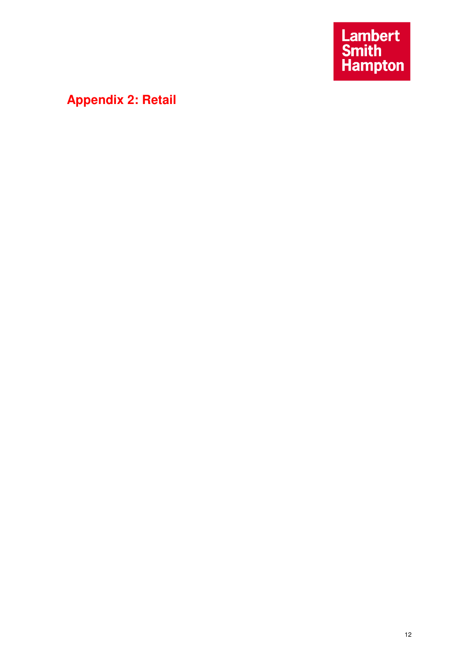Lambert<br>Smith<br>Hampton

# **Appendix 2: Retail**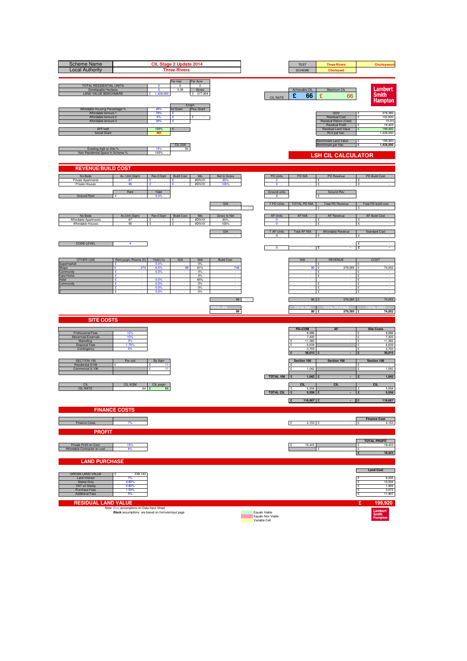| <b>Scheme Name</b><br><b>Local Authority</b>                                                                                        |                                                                                                 |                                              | CIL Stage 2 Update 2014<br><b>Three Rivers</b> |                                              |                                    |    |                                                     | <b>TEST</b><br><b>SCHEME</b>                                   | <b>Three Rivers</b><br>Chorleywd                                                                                      | Chorleywood                                                                                          |
|-------------------------------------------------------------------------------------------------------------------------------------|-------------------------------------------------------------------------------------------------|----------------------------------------------|------------------------------------------------|----------------------------------------------|------------------------------------|----|-----------------------------------------------------|----------------------------------------------------------------|-----------------------------------------------------------------------------------------------------------------------|------------------------------------------------------------------------------------------------------|
| TOTAL RESIDENTIAL UNITS<br>Developable Hectares<br><b>LAND VALUE BENCHMARK</b>                                                      |                                                                                                 | $\mathbf{0}$<br>$\mathbf{0}$<br>1,428,000    | Per Hec<br>$^{\circ}$<br>0.38                  | Per Acre<br>$^{\circ}$<br>Acres<br>£ 577,904 |                                    |    | CIL RATE                                            | Achievable CIL<br>£<br>66                                      | Maximum CIL<br>£<br>66                                                                                                | Lambert<br><b>Smith</b><br><b>Hampton</b>                                                            |
| Affordable Housing Percentage %<br>Affordable tennure 1<br>Affordable tennure 2<br>Affordable tennure 3<br>AFF/sqft<br>Social Grant |                                                                                                 | 45%<br>70%<br>0%<br>30%<br>100%<br><b>NO</b> | E/sqm<br>no Grant<br>£<br>£<br>£<br>×<br>£     | Plus Grant<br>£                              |                                    |    |                                                     |                                                                | GDV<br><b>Residual Cost</b><br>Residual Return (Cost)<br><b>Residual Profit</b><br>Residual Land Value<br>RLV per hec | 379,385<br>122,820<br>$\mathbf{S}$<br>15.0%<br>18,423<br>199,920<br>1,428,000                        |
| Exisiting Sqft on Site %<br>Non Residential Space in Scheme 9                                                                       |                                                                                                 | 15%<br>100%                                  | CIL GIA<br>84                                  |                                              |                                    |    |                                                     |                                                                | Benchmark Land Value<br>Benchmark per Hec<br><b>LSH CIL CALCULATOR</b>                                                | 199,920<br>£<br>1,428,000<br>£                                                                       |
| <b>REVENUE/BUILD COST</b>                                                                                                           |                                                                                                 |                                              |                                                |                                              |                                    |    |                                                     |                                                                |                                                                                                                       |                                                                                                      |
| No Beds<br>Private Apartments<br>Private Houses                                                                                     | Av. Unit (Sqm)<br>67<br>95                                                                      | Rev £/Sqm<br>£                               | <b>Build Cost</b><br>÷.                        | Mix<br>#DIV/0!<br>#DIV/0!                    | Net to Gross<br>85%<br>100%        |    | <b>PD Units</b><br>$\mathbf 0$<br>$\circ$           | <b>PD NIA</b>                                                  | PD Revenue<br>£                                                                                                       | PD Build Cost<br>£                                                                                   |
| <b>Ground Rent</b>                                                                                                                  | Rent                                                                                            | Yield<br>0.0%                                |                                                |                                              | GIA                                | 0% | Ground units<br>$^{\circ}$<br>T PD Units            | <b>TOTAL PD NIA</b>                                            | <b>Ground Rev</b><br><b>Total PD Revenue</b>                                                                          | Total PD build cost                                                                                  |
| No Beds<br>Affordable Apartments<br>Affordable Houses                                                                               | Av.Unit (Sqm)<br>67<br>95                                                                       | Rev £/Sqm<br>£                               | <b>Build Cost</b><br>£                         | Mix<br>#DIV/0!<br>#DIV/0!                    | Gross to Net<br>85%<br>100%<br>GIA |    | <b>AF Units</b><br>$\circ$<br>$\circ$<br>T AF Units | AF NIA<br><b>Total AF NIA</b>                                  | AF Revenue<br>Ŧ<br>Affordable Revenue                                                                                 | <b>AF Build Cost</b><br>¢<br><b>Standard Cost</b>                                                    |
| <b>CODE LEVEL</b>                                                                                                                   | 4                                                                                               |                                              |                                                |                                              |                                    |    | $\Omega$<br>$\overline{\mathbf{0}}$                 |                                                                | £                                                                                                                     | ç<br>£<br>$\sim$<br>£<br>$\sim$                                                                      |
| <b>OTHER USE</b><br>Supermarket<br>Shops                                                                                            | Rent psqm /Rooms (£)<br>÷<br>274<br>£                                                           | Yield (%)<br>0.0%<br>6.5%                    | GIA<br>99                                      | <b>NIA</b><br>0%<br>91%                      | <b>Build Cost</b><br>748           |    |                                                     | <b>NIA</b><br>90                                               | <b>REVENUE</b><br>379,385<br>£                                                                                        | COST<br>74,052                                                                                       |
| Community<br>Care Home<br>Hotel<br>Community                                                                                        | ç<br>£<br>£<br>÷<br>×<br>£<br>£                                                                 | 0.0%<br>0.0%<br>0.0%<br>0.0%<br>0.0%         |                                                | 0%<br>$0\%$<br>85%<br>0%<br>0%<br>0%         | ×                                  |    |                                                     |                                                                | ÷<br>£<br>$\sim$<br>£<br>$\sim$<br>£<br>£                                                                             | $\sim$<br>ç<br>$\sim$<br>١£<br>$\sim$<br>۱ç<br>$\sim$<br>£<br>١£<br>$\sim$                           |
|                                                                                                                                     |                                                                                                 |                                              |                                                |                                              | 99                                 |    |                                                     | 90                                                             | 379,385 £                                                                                                             | 74,052                                                                                               |
| <b>SITE COSTS</b>                                                                                                                   |                                                                                                 |                                              |                                                |                                              | 99                                 |    |                                                     | $90$ $E$                                                       | 379,385 E                                                                                                             | 74,052                                                                                               |
| Professional Fees<br>Abnormals/Externals<br>Marketing<br><b>Disposal Fees</b><br>Contingency                                        | 12%<br>10%<br>3%<br>1.75%<br>5%                                                                 |                                              |                                                |                                              |                                    |    |                                                     | PD+COM<br>8,886<br>7,405<br>11,382<br>6,639<br>3,703<br>38,015 | <b>AF</b><br>$\cdot$                                                                                                  | <b>Site Costs</b><br>8,886<br>١£<br>7,405<br>£<br>11,382<br>١£<br>6,639<br>£<br>3,703<br>38,015<br>£ |
| SECTION 106<br>Residential S106<br>Commercial S.106                                                                                 | Per unit                                                                                        | By Sqm<br>11<br>11                           |                                                |                                              |                                    |    | TOTAL 106                                           | Section 106<br>1,042<br>$\mathbf{c}$<br>1,042                  | Section 106                                                                                                           | Section 106<br>ις<br>£<br>1,042<br>1,042                                                             |
| CII<br><b>CIL RATE</b>                                                                                                              | CIL SQM<br>84 £                                                                                 | CIL psqm<br>66                               |                                                |                                              |                                    |    | <b>TOTAL CIL</b>                                    | <b>CIL</b><br>5,558<br>$\mathbf{f}$<br>5,558                   | CL                                                                                                                    | <b>CIL</b><br>5,558<br>ç<br>5,558                                                                    |
|                                                                                                                                     | <b>FINANCE COSTS</b>                                                                            |                                              |                                                |                                              |                                    |    |                                                     | E<br>118,667 £                                                 |                                                                                                                       | 118,667                                                                                              |
| Finance Costs<br><b>PROFIT</b>                                                                                                      | 7%                                                                                              |                                              |                                                |                                              |                                    |    |                                                     | E<br>4,153 $E$                                                 |                                                                                                                       | <b>Finance Cost</b><br>£<br>4,153                                                                    |
| Private Profit on Cost<br>Affordable Contractor on cost                                                                             | 15%<br>6%                                                                                       |                                              |                                                |                                              |                                    |    |                                                     | 18,423                                                         | ¢                                                                                                                     | <b>TOTAL PROFIT</b><br>18,423<br>÷<br>۱۶<br>18,423<br>$\mathbf{E}$                                   |
| <b>LAND PURCHASE</b><br><b>GROSS LAND VALUE</b>                                                                                     | 238,142                                                                                         |                                              |                                                |                                              |                                    |    |                                                     |                                                                |                                                                                                                       | <b>Land Cost</b>                                                                                     |
| Land Interest<br><b>Stamp Duty</b><br>VAT on Stamp<br>Purchase Fees<br><b>Additional Fees</b>                                       | 7%<br>4.80%<br>0.80%<br>1.50%<br>5%                                                             |                                              |                                                |                                              |                                    |    |                                                     |                                                                |                                                                                                                       | 8,335<br>۱ç<br>12,502<br>1,905<br>$\mathbf{E}$<br>3,572<br>11,907<br>١£                              |
| <b>RESIDUAL LAND VALUE</b>                                                                                                          | Note: Blue assumptions on Data Input Sheet<br>Black assumptions are based on formula/input page |                                              |                                                |                                              |                                    |    | Equals Viable<br>Equals Non Viable<br>Variable Cell |                                                                |                                                                                                                       | £<br>199,920<br>Lambert<br>Smith<br>Hampton                                                          |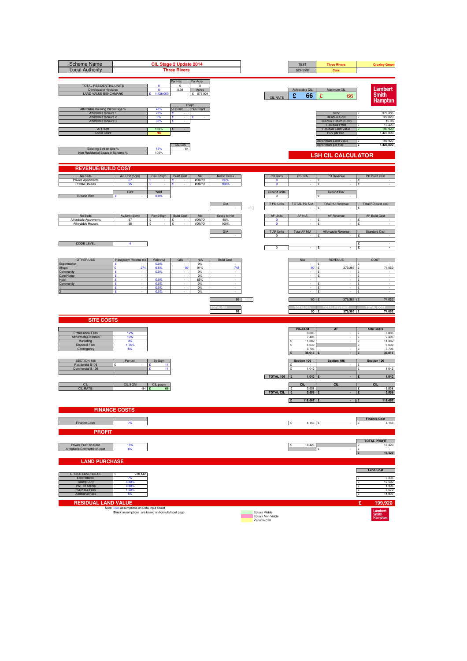| <b>Scheme Name</b><br><b>Local Authority</b>                                                                                        |                                                                                                 |                                              | CIL Stage 2 Update 2014<br><b>Three Rivers</b> |                                              |                                    |    |                                                     | <b>TEST</b><br><b>SCHEME</b>                                   | <b>Three Rivers</b><br>Crox                                                                                           | <b>Croxley Green</b>                                                                           |
|-------------------------------------------------------------------------------------------------------------------------------------|-------------------------------------------------------------------------------------------------|----------------------------------------------|------------------------------------------------|----------------------------------------------|------------------------------------|----|-----------------------------------------------------|----------------------------------------------------------------|-----------------------------------------------------------------------------------------------------------------------|------------------------------------------------------------------------------------------------|
| TOTAL RESIDENTIAL UNITS<br>Developable Hectares<br><b>LAND VALUE BENCHMARK</b>                                                      |                                                                                                 | $\mathbf{0}$<br>$\mathbf{0}$<br>1,428,000    | Per Hec<br>$^{\circ}$<br>0.38                  | Per Acre<br>$^{\circ}$<br>Acres<br>£ 577,904 |                                    |    | CIL RATE                                            | Achievable CIL<br>£<br>66                                      | Maximum CIL<br>£<br>66                                                                                                | Lambert<br><b>Smith</b><br><b>Hampton</b>                                                      |
| Affordable Housing Percentage %<br>Affordable tennure 1<br>Affordable tennure 2<br>Affordable tennure 3<br>AFF/sqft<br>Social Grant |                                                                                                 | 45%<br>70%<br>0%<br>30%<br>100%<br><b>NO</b> | E/sqm<br>no Grant<br>£<br>£<br>£<br>×<br>£     | Plus Grant<br>£                              |                                    |    |                                                     |                                                                | GDV<br><b>Residual Cost</b><br>Residual Return (Cost)<br><b>Residual Profit</b><br>Residual Land Value<br>RLV per hec | 379,385<br>122,820<br>$\mathbf{S}$<br>15.0%<br>18,423<br>199,920<br>1,428,000                  |
| Exisiting Sqft on Site %<br>Non Residential Space in Scheme 9                                                                       |                                                                                                 | 15%<br>100%                                  | CIL GIA<br>84                                  |                                              |                                    |    |                                                     |                                                                | Benchmark Land Value<br>Benchmark per Hec<br><b>LSH CIL CALCULATOR</b>                                                | 199,920<br>£<br>1,428,000<br>£                                                                 |
| <b>REVENUE/BUILD COST</b>                                                                                                           |                                                                                                 |                                              |                                                |                                              |                                    |    |                                                     |                                                                |                                                                                                                       |                                                                                                |
| No Beds<br>Private Apartments<br>Private Houses                                                                                     | Av. Unit (Sqm)<br>67<br>95                                                                      | Rev £/Sqm<br>£                               | <b>Build Cost</b><br>÷.                        | Mix<br>#DIV/0!<br>#DIV/0!                    | Net to Gross<br>85%<br>100%        |    | <b>PD Units</b><br>$\mathbf 0$<br>$\circ$           | <b>PD NIA</b>                                                  | PD Revenue<br>£                                                                                                       | PD Build Cost<br>£                                                                             |
| <b>Ground Rent</b>                                                                                                                  | Rent                                                                                            | Yield<br>0.0%                                |                                                |                                              | GIA                                | 0% | Ground units<br>$^{\circ}$<br>T PD Units            | <b>TOTAL PD NIA</b>                                            | <b>Ground Rev</b><br><b>Total PD Revenue</b>                                                                          | Total PD build cost                                                                            |
| No Beds<br>Affordable Apartments<br>Affordable Houses                                                                               | Av.Unit (Sqm)<br>67<br>95                                                                       | Rev £/Sqm<br>£                               | <b>Build Cost</b><br>£                         | Mix<br>#DIV/0!<br>#DIV/0!                    | Gross to Net<br>85%<br>100%<br>GIA |    | <b>AF Units</b><br>$\circ$<br>$\circ$<br>T AF Units | AF NIA<br><b>Total AF NIA</b>                                  | AF Revenue<br>Ŧ<br>Affordable Revenue                                                                                 | <b>AF Build Cost</b><br>¢<br><b>Standard Cost</b>                                              |
| <b>CODE LEVEL</b>                                                                                                                   | 4                                                                                               |                                              |                                                |                                              |                                    |    | $\Omega$<br>$\overline{\mathbf{0}}$                 |                                                                | £                                                                                                                     | ç<br>£<br>$\sim$<br>£<br>$\sim$                                                                |
| <b>OTHER USE</b><br>Supermarket<br>Shops                                                                                            | Rent psqm /Rooms (£)<br>÷<br>274<br>£<br>ç                                                      | Yield (%)<br>0.0%<br>6.5%                    | GIA<br>99                                      | <b>NIA</b><br>0%<br>91%<br>0%                | <b>Build Cost</b><br>748           |    |                                                     | <b>NIA</b><br>90                                               | <b>REVENUE</b><br>379,385<br>£<br>÷                                                                                   | COST<br>74,052<br>$\sim$                                                                       |
| Community<br>Care Home<br>Hotel<br>Community                                                                                        | £<br>£<br>÷<br>×<br>£<br>£                                                                      | 0.0%<br>0.0%<br>0.0%<br>0.0%<br>0.0%         |                                                | $0\%$<br>85%<br>0%<br>0%<br>0%               | ×                                  |    |                                                     |                                                                | £<br>١£<br>$\sim$<br>£<br>$\sim$<br>£<br>£<br>١£                                                                      | ç<br>$\sim$<br>$\sim$<br>۱ç<br>$\sim$<br>£<br>$\sim$                                           |
|                                                                                                                                     |                                                                                                 |                                              |                                                |                                              | 99                                 |    |                                                     | 90                                                             | 379,385 £                                                                                                             | 74,052                                                                                         |
| <b>SITE COSTS</b>                                                                                                                   |                                                                                                 |                                              |                                                |                                              | 99                                 |    |                                                     | $90$ $E$                                                       | 379,385 E                                                                                                             | 74,052                                                                                         |
| Professional Fees<br>Abnormals/Externals<br>Marketing<br><b>Disposal Fees</b><br>Contingency                                        | 12%<br>10%<br>3%<br>1.75%<br>5%                                                                 |                                              |                                                |                                              |                                    |    |                                                     | PD+COM<br>8,886<br>7,405<br>11,382<br>6,639<br>3,703<br>38,015 | <b>AF</b><br>$\cdot$<br>١£                                                                                            | <b>Site Costs</b><br>8,886<br>١£<br>7,405<br>£<br>11,382<br>6,639<br>£<br>3,703<br>38,015<br>£ |
| SECTION 106<br>Residential S106<br>Commercial S.106                                                                                 | Per unit                                                                                        | By Sqm<br>11<br>11                           |                                                |                                              |                                    |    | TOTAL 106                                           | Section 106<br>1,042<br>$\mathbf{c}$<br>1,042                  | Section 106<br>ις                                                                                                     | Section 106<br>£<br>1,042<br>1,042                                                             |
| CII<br><b>CIL RATE</b>                                                                                                              | CIL SQM<br>84 £                                                                                 | CIL psqm<br>66                               |                                                |                                              |                                    |    | <b>TOTAL CIL</b>                                    | <b>CIL</b><br>5,558<br>$\mathbf{f}$<br>5,558                   | CL                                                                                                                    | <b>CIL</b><br>5,558<br>ç<br>5,558                                                              |
|                                                                                                                                     | <b>FINANCE COSTS</b>                                                                            |                                              |                                                |                                              |                                    |    |                                                     | 118,667 £<br>E                                                 |                                                                                                                       | 118,667                                                                                        |
| Finance Costs<br><b>PROFIT</b>                                                                                                      | 7%                                                                                              |                                              |                                                |                                              |                                    |    |                                                     | E<br>4,153 $E$                                                 |                                                                                                                       | <b>Finance Cost</b><br>£<br>4,153                                                              |
| Private Profit on Cost<br>Affordable Contractor on cost                                                                             | 15%<br>6%                                                                                       |                                              |                                                |                                              |                                    |    |                                                     | 18,423                                                         | ¢                                                                                                                     | <b>TOTAL PROFIT</b><br>18,423<br>- c<br>۱۶<br>18,423<br>$\mathbf{E}$                           |
| <b>LAND PURCHASE</b><br><b>GROSS LAND VALUE</b>                                                                                     | 238,142                                                                                         |                                              |                                                |                                              |                                    |    |                                                     |                                                                |                                                                                                                       | <b>Land Cost</b>                                                                               |
| Land Interest<br><b>Stamp Duty</b><br>VAT on Stamp<br>Purchase Fees<br><b>Additional Fees</b>                                       | 7%<br>4.80%<br>0.80%<br>1.50%<br>5%                                                             |                                              |                                                |                                              |                                    |    |                                                     |                                                                |                                                                                                                       | 8,335<br>۱ç<br>12,502<br>1,905<br>$\mathbf{E}$<br>3,572<br>11,907<br>١£                        |
| <b>RESIDUAL LAND VALUE</b>                                                                                                          | Note: Blue assumptions on Data Input Sheet<br>Black assumptions are based on formula/input page |                                              |                                                |                                              |                                    |    | Equals Viable<br>Equals Non Viable<br>Variable Cell |                                                                |                                                                                                                       | £<br>199,920<br>Lambert<br>Smith<br>Hampton                                                    |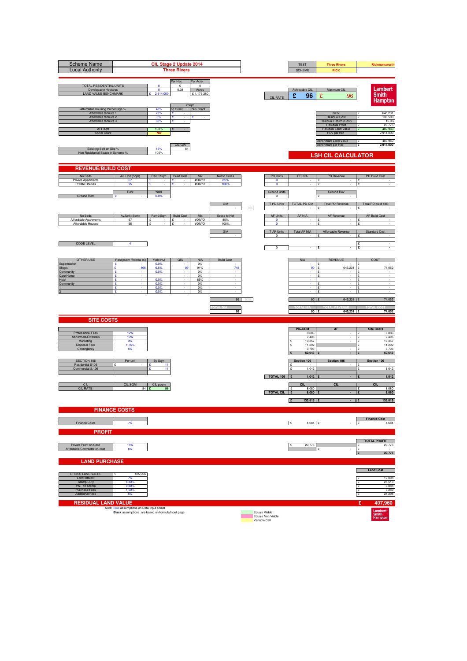| <b>Scheme Name</b><br><b>Local Authority</b>                                                                                        |                                                                                                 |                                              | CIL Stage 2 Update 2014<br><b>Three Rivers</b> |                                               |                             |    |                                                     | <b>TEST</b><br><b>SCHEME</b>                                    | <b>Three Rivers</b><br><b>RICK</b>                                                                                    | Rickmansworth                                                                                         |
|-------------------------------------------------------------------------------------------------------------------------------------|-------------------------------------------------------------------------------------------------|----------------------------------------------|------------------------------------------------|-----------------------------------------------|-----------------------------|----|-----------------------------------------------------|-----------------------------------------------------------------|-----------------------------------------------------------------------------------------------------------------------|-------------------------------------------------------------------------------------------------------|
| TOTAL RESIDENTIAL UNITS<br>Developable Hectares<br><b>LAND VALUE BENCHMARK</b>                                                      |                                                                                                 | $\mathbf{0}$<br>$\mathbf{0}$<br>2,914,000    | Per Hec<br>$^{\circ}$<br>0.38                  | Per Acre<br>$^{\circ}$<br>Acres<br>£1,179,280 |                             |    | CIL RATE                                            | Achievable CIL<br>£<br>96                                       | Maximum CIL<br>£<br>96                                                                                                | Lambert<br><b>Smith</b><br><b>Hampton</b>                                                             |
| Affordable Housing Percentage %<br>Affordable tennure 1<br>Affordable tennure 2<br>Affordable tennure 3<br>AFF/sqft<br>Social Grant |                                                                                                 | 45%<br>70%<br>0%<br>30%<br>100%<br><b>NO</b> | E/sqm<br>no Grant<br>£<br>£<br>£<br>×<br>£     | Plus Grant<br>£                               |                             |    |                                                     |                                                                 | GDV<br><b>Residual Cost</b><br>Residual Return (Cost)<br><b>Residual Profit</b><br>Residual Land Value<br>RLV per hec | 645,231<br>138,500<br>$\mathbf{S}$<br>15.0%<br>20,775<br>407,960<br>2,914,000                         |
| Exisiting Sqft on Site %<br>Non Residential Space in Scheme 9                                                                       |                                                                                                 | 15%<br>100%                                  | CIL GIA<br>84                                  |                                               |                             |    |                                                     |                                                                 | Benchmark Land Value<br>Benchmark per Hec<br><b>LSH CIL CALCULATOR</b>                                                | 407,960<br>£<br>2,914,000<br>£                                                                        |
| <b>REVENUE/BUILD COST</b>                                                                                                           |                                                                                                 |                                              |                                                |                                               |                             |    |                                                     |                                                                 |                                                                                                                       |                                                                                                       |
| No Beds<br>Private Apartments<br>Private Houses                                                                                     | Av. Unit (Sqm)<br>67<br>95                                                                      | Rev £/Sqm<br>£                               | <b>Build Cost</b><br>÷.                        | Mix<br>#DIV/0!<br>#DIV/0!                     | Net to Gross<br>85%<br>100% |    | <b>PD Units</b><br>$\mathbf 0$<br>$\circ$           | <b>PD NIA</b>                                                   | PD Revenue<br>£                                                                                                       | PD Build Cost<br>£                                                                                    |
| <b>Ground Rent</b>                                                                                                                  | Rent                                                                                            | Yield<br>0.0%                                |                                                |                                               | GIA                         | 0% | Ground units<br>$\circ$<br>T PD Units               | <b>TOTAL PD NIA</b>                                             | <b>Ground Rev</b><br><b>Total PD Revenue</b>                                                                          | Total PD build cost                                                                                   |
| No Beds<br>Affordable Apartments<br>Affordable Houses                                                                               | Av.Unit (Sqm)<br>67<br>95                                                                       | Rev £/Sqm<br>£                               | <b>Build Cost</b><br>£                         | Mix<br>#DIV/0!<br>#DIV/0!                     | Gross to Net<br>85%<br>100% |    | <b>AF Units</b><br>$\circ$<br>$\circ$               | AF NIA                                                          | AF Revenue<br>¥                                                                                                       | <b>AF Build Cost</b>                                                                                  |
| <b>CODE LEVEL</b>                                                                                                                   | 4                                                                                               |                                              |                                                |                                               | GIA                         |    | T AF Units<br>$\Omega$<br>$\overline{\mathbf{0}}$   | <b>Total AF NIA</b>                                             | Affordable Revenue<br>£                                                                                               | <b>Standard Cost</b><br>ç<br>£<br>$\sim$<br>£<br>$\sim$                                               |
| <b>OTHER USE</b><br>Supermarket<br>Shops                                                                                            | Rent psqm /Rooms (£)<br>÷<br>466<br>£                                                           | Yield (%)<br>0.0%<br>6.5%                    | GIA<br>99                                      | <b>NIA</b><br>0%<br>91%                       | <b>Build Cost</b><br>748    |    |                                                     | <b>NIA</b><br>90                                                | <b>REVENUE</b><br>645,231<br>£                                                                                        | COST<br>74,052                                                                                        |
| Community<br>Care Home<br>Hotel<br>Community                                                                                        | ç<br>£<br>£<br>÷<br>×<br>£                                                                      | 0.0%<br>0.0%<br>0.0%<br>0.0%                 |                                                | 0%<br>$0\%$<br>85%<br>0%<br>0%                | ×                           |    |                                                     |                                                                 | ÷<br>£<br>$\sim$<br>£<br>$\sim$<br>£                                                                                  | $\sim$<br>ç<br>٠<br>١£<br>$\sim$<br>۱ç<br>$\sim$<br>£                                                 |
|                                                                                                                                     | £                                                                                               | 0.0%                                         |                                                | 0%                                            | 99                          |    |                                                     | 90                                                              | £<br>645,231 £                                                                                                        | ١£<br>$\sim$<br>74,052                                                                                |
| <b>SITE COSTS</b>                                                                                                                   |                                                                                                 |                                              |                                                |                                               | 99                          |    |                                                     | $90$ $E$                                                        | 645,231 £                                                                                                             | 74,052                                                                                                |
| Professional Fees<br>Abnormals/Externals<br>Marketing<br><b>Disposal Fees</b><br>Contingency                                        | 12%<br>10%<br>3%<br>1.75%<br>5%                                                                 |                                              |                                                |                                               |                             |    |                                                     | PD+COM<br>8,886<br>7,405<br>19,357<br>11,292<br>3,703<br>50,643 | <b>AF</b><br>$\cdot$                                                                                                  | <b>Site Costs</b><br>8,886<br>١£<br>7,405<br>£<br>19,357<br>١£<br>11,292<br>£<br>3,703<br>50,643<br>£ |
| SECTION 106<br>Residential S106<br>Commercial S.106                                                                                 | Per unit                                                                                        | By Sqm<br>11<br>11                           |                                                |                                               |                             |    | TOTAL 106                                           | Section 106<br>1,042<br>$\mathbf{c}$<br>1,042                   | Section 106                                                                                                           | Section 106<br>ις<br>£<br>1,042<br>1,042                                                              |
| CII<br><b>CIL RATE</b>                                                                                                              | CIL SQM<br>84 £                                                                                 | CIL psqm<br>96                               |                                                |                                               |                             |    | <b>TOTAL CIL</b>                                    | <b>CIL</b><br>8,080<br>$\mathbf{f}$<br>8,080                    | CL                                                                                                                    | <b>CIL</b><br>8,080<br>ç<br>8,080                                                                     |
|                                                                                                                                     | <b>FINANCE COSTS</b>                                                                            |                                              |                                                |                                               |                             |    |                                                     | 133,816 £<br>E                                                  |                                                                                                                       | 133,816                                                                                               |
| Finance Costs<br><b>PROFIT</b>                                                                                                      | 7%                                                                                              |                                              |                                                |                                               |                             |    |                                                     | E<br>4,684 £                                                    |                                                                                                                       | <b>Finance Cost</b><br>£<br>4,684                                                                     |
| Private Profit on Cost<br>Affordable Contractor on cost                                                                             | 15%<br>6%                                                                                       |                                              |                                                |                                               |                             |    |                                                     | 20,775                                                          | ¢                                                                                                                     | <b>TOTAL PROFIT</b><br>20,775<br>- c<br>۱۶<br>20,775<br>$\mathbf{E}$                                  |
| <b>LAND PURCHASE</b><br><b>GROSS LAND VALUE</b>                                                                                     |                                                                                                 |                                              |                                                |                                               |                             |    |                                                     |                                                                 |                                                                                                                       | <b>Land Cost</b>                                                                                      |
| Land Interest<br><b>Stamp Duty</b><br>VAT on Stamp<br>Purchase Fees<br><b>Additional Fees</b>                                       | 485,956<br>7%<br>4.80%<br>0.80%<br>1.50%<br>5%                                                  |                                              |                                                |                                               |                             |    |                                                     |                                                                 |                                                                                                                       | 17,008<br>۱ç<br>25,513<br>3,888<br>$\mathbf{E}$<br>7,289<br>24,298<br>١£                              |
| <b>RESIDUAL LAND VALUE</b>                                                                                                          | Note: Blue assumptions on Data Input Sheet<br>Black assumptions are based on formula/input page |                                              |                                                |                                               |                             |    | Equals Viable<br>Equals Non Viable<br>Variable Cell |                                                                 |                                                                                                                       | £<br>407,960<br>Lambert<br>Smith<br>Hampton                                                           |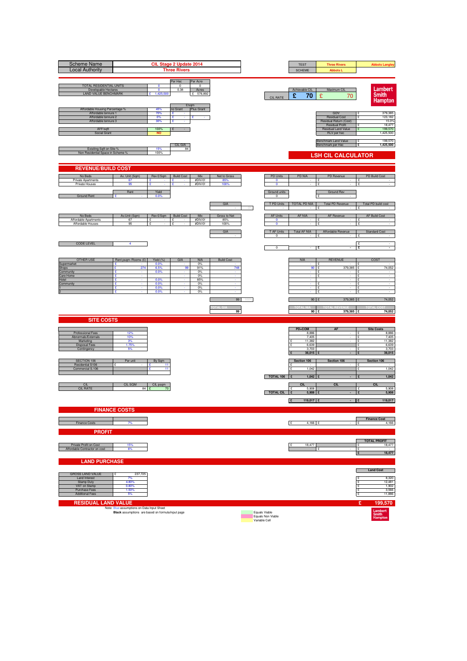| <b>Scheme Name</b><br><b>Local Authority</b>                                                                                        |                                                                                                 |                                              | CIL Stage 2 Update 2014<br><b>Three Rivers</b> |                                              |                             |    |                                                     | <b>TEST</b><br><b>SCHEME</b>                     | <b>Three Rivers</b><br><b>Abbots L</b>                                                                                | <b>Abbots Langley</b>                                                         |
|-------------------------------------------------------------------------------------------------------------------------------------|-------------------------------------------------------------------------------------------------|----------------------------------------------|------------------------------------------------|----------------------------------------------|-----------------------------|----|-----------------------------------------------------|--------------------------------------------------|-----------------------------------------------------------------------------------------------------------------------|-------------------------------------------------------------------------------|
| TOTAL RESIDENTIAL UNITS<br>Developable Hectares<br><b>LAND VALUE BENCHMARK</b>                                                      |                                                                                                 | $\mathbf{0}$<br>$\mathbf{0}$<br>1,425,500    | Per Hec<br>$^{\circ}$<br>0.38                  | Per Acre<br>$^{\circ}$<br>Acres<br>£ 576,892 |                             |    | CIL RATE                                            | Achievable CIL<br>£<br>70                        | Maximum CIL<br>£<br>70                                                                                                | Lambert<br><b>Smith</b><br><b>Hampton</b>                                     |
| Affordable Housing Percentage %<br>Affordable tennure 1<br>Affordable tennure 2<br>Affordable tennure 3<br>AFF/sqft<br>Social Grant |                                                                                                 | 45%<br>70%<br>0%<br>30%<br>100%<br><b>NO</b> | no Grant<br>£<br>£<br>£<br>×<br>£              | E/sqm<br>Plus Grant<br>£                     |                             |    |                                                     |                                                  | GDV<br><b>Residual Cost</b><br>Residual Return (Cost)<br><b>Residual Profit</b><br>Residual Land Value<br>RLV per hec | 379,385<br>123,182<br>$\mathbf{S}$<br>15.0%<br>18,477<br>199,570<br>1,425,500 |
| Exisiting Sqft on Site %<br>Non Residential Space in Scheme 9                                                                       |                                                                                                 | 15%<br>100%                                  | CIL GIA<br>84                                  |                                              |                             |    |                                                     |                                                  | Benchmark Land Value<br>Benchmark per Hec<br><b>LSH CIL CALCULATOR</b>                                                | 199,570<br>£<br>£<br>1,425,500                                                |
| <b>REVENUE/BUILD COST</b>                                                                                                           |                                                                                                 |                                              |                                                |                                              |                             |    |                                                     |                                                  |                                                                                                                       |                                                                               |
| No Beds<br>Private Apartments<br>Private Houses                                                                                     | Av. Unit (Sqm)<br>67<br>95                                                                      | Rev £/Sqm<br>£                               | <b>Build Cost</b><br>÷.                        | Mix<br>#DIV/0!<br>#DIV/0!                    | Net to Gross<br>85%<br>100% |    | <b>PD Units</b><br>$\mathbf 0$<br>$\circ$           | <b>PD NIA</b>                                    | PD Revenue<br>£                                                                                                       | PD Build Cost<br>£                                                            |
| <b>Ground Rent</b>                                                                                                                  | Rent                                                                                            | Yield<br>0.0%                                |                                                |                                              | GIA                         |    | Ground units<br>$\circ$<br>T PD Units               | <b>TOTAL PD NIA</b>                              | <b>Ground Rev</b><br><b>Total PD Revenue</b>                                                                          | Total PD build cost                                                           |
|                                                                                                                                     |                                                                                                 |                                              |                                                |                                              |                             | 0% |                                                     |                                                  | AF Revenue                                                                                                            | <b>AF Build Cost</b>                                                          |
| No Beds<br>Affordable Apartments<br>Affordable Houses                                                                               | Av.Unit (Sqm)<br>67<br>95                                                                       | Rev £/Sqm<br>£                               | <b>Build Cost</b><br>£                         | Mix<br>#DIV/0!<br>#DIV/0!                    | Gross to Net<br>85%<br>100% |    | <b>AF Units</b><br>$\circ$<br>$\circ$               | AF NIA<br><b>Total AF NIA</b>                    | ¥                                                                                                                     | ¢                                                                             |
| <b>CODE LEVEL</b>                                                                                                                   | 4                                                                                               |                                              |                                                |                                              | GIA                         |    | T AF Units<br>$\Omega$                              |                                                  | Affordable Revenue<br>£                                                                                               | <b>Standard Cost</b><br>ç<br>£<br>$\sim$<br>£<br>$\sim$                       |
| <b>OTHER USE</b>                                                                                                                    |                                                                                                 |                                              | GIA                                            |                                              | <b>Build Cost</b>           |    | $\overline{\mathbf{0}}$                             | <b>NIA</b>                                       | <b>REVENUE</b>                                                                                                        | COST                                                                          |
| Supermarket<br>Shops<br>Community                                                                                                   | Rent psqm /Rooms (£)<br>÷<br>274<br>£<br>ç                                                      | Yield (%)<br>0.0%<br>6.5%<br>0.0%            | 99                                             | <b>NIA</b><br>0%<br>91%<br>0%                | 748                         |    |                                                     | 90                                               | 379,385<br>£<br>÷                                                                                                     | 74,052<br>$\sim$                                                              |
| Care Home<br>Hotel<br>Community                                                                                                     | £<br>£<br>÷<br>×<br>£                                                                           | 0.0%<br>0.0%<br>0.0%                         |                                                | $0\%$<br>85%<br>0%<br>0%                     | ×                           |    |                                                     |                                                  | £<br>١£<br>$\sim$<br>£<br>$\sim$<br>£                                                                                 | ç<br>$\sim$<br>$\sim$<br>۱ç<br>$\sim$<br>£                                    |
|                                                                                                                                     | £                                                                                               | 0.0%                                         |                                                | 0%                                           | 99                          |    |                                                     | 90                                               | £<br>١£<br>379,385 £                                                                                                  | $\sim$<br>74,052                                                              |
|                                                                                                                                     |                                                                                                 |                                              |                                                |                                              | 99                          |    |                                                     | $90$ $E$                                         | 379,385 E                                                                                                             | 74,052                                                                        |
| <b>SITE COSTS</b>                                                                                                                   |                                                                                                 |                                              |                                                |                                              |                             |    |                                                     | PD+COM                                           | <b>AF</b>                                                                                                             | <b>Site Costs</b>                                                             |
| Professional Fees<br>Abnormals/Externals<br>Marketing<br><b>Disposal Fees</b>                                                       | 12%<br>10%<br>3%<br>1.75%                                                                       |                                              |                                                |                                              |                             |    |                                                     | 8,886<br>7,405<br>11,382<br>6,639                | $\cdot$<br>١£                                                                                                         | 8,886<br>١£<br>7,405<br>£<br>11,382<br>6,639<br>£                             |
| Contingency                                                                                                                         | 5%                                                                                              |                                              |                                                |                                              |                             |    |                                                     | 3,703<br>38,015                                  |                                                                                                                       | 3,703<br>38,015<br>£                                                          |
| SECTION 106<br>Residential S106<br>Commercial S.106                                                                                 | Per unit                                                                                        | By Sqm<br>11<br>11                           |                                                |                                              |                             |    |                                                     | Section 106<br>1,042<br>$\mathbf{c}$             | Section 106<br>ις                                                                                                     | Section 106<br>£<br>1,042                                                     |
| CII                                                                                                                                 | CIL SQM                                                                                         | CIL psqm                                     |                                                |                                              |                             |    | TOTAL 106                                           | 1,042<br><b>CIL</b>                              | CL                                                                                                                    | 1,042<br><b>CIL</b>                                                           |
| <b>CIL RATE</b>                                                                                                                     | 84 £                                                                                            | 70                                           |                                                |                                              |                             |    | <b>TOTAL CIL</b>                                    | 5,908<br>$\mathbf{f}$<br>5,908<br>119,017 £<br>E |                                                                                                                       | 5,908<br>ç<br>5,908<br>119,017                                                |
|                                                                                                                                     | <b>FINANCE COSTS</b>                                                                            |                                              |                                                |                                              |                             |    |                                                     |                                                  |                                                                                                                       |                                                                               |
| Finance Costs                                                                                                                       | 7%                                                                                              |                                              |                                                |                                              |                             |    |                                                     | E<br>4,166 £                                     |                                                                                                                       | <b>Finance Cost</b><br>£<br>4,166                                             |
| <b>PROFIT</b>                                                                                                                       |                                                                                                 |                                              |                                                |                                              |                             |    |                                                     |                                                  |                                                                                                                       | <b>TOTAL PROFIT</b>                                                           |
| Private Profit on Cost<br>Affordable Contractor on cost                                                                             | 15%<br>6%                                                                                       |                                              |                                                |                                              |                             |    |                                                     | 18,477                                           | ¢                                                                                                                     | 18,477<br>- c<br>۱۶<br>18,477<br>$\mathbf{E}$                                 |
| <b>LAND PURCHASE</b>                                                                                                                |                                                                                                 |                                              |                                                |                                              |                             |    |                                                     |                                                  |                                                                                                                       | <b>Land Cost</b>                                                              |
| <b>GROSS LAND VALUE</b><br>Land Interest<br><b>Stamp Duty</b>                                                                       | 237,725<br>7%<br>4.80%<br>0.80%                                                                 |                                              |                                                |                                              |                             |    |                                                     |                                                  |                                                                                                                       | 8,320<br>۱ç<br>12,481<br>1,902                                                |
| VAT on Stamp<br>Purchase Fees<br><b>Additional Fees</b>                                                                             | 1.50%<br>5%                                                                                     |                                              |                                                |                                              |                             |    |                                                     |                                                  |                                                                                                                       | $\mathbf{E}$<br>3,566<br>11,886<br>١£                                         |
| <b>RESIDUAL LAND VALUE</b>                                                                                                          | Note: Blue assumptions on Data Input Sheet<br>Black assumptions are based on formula/input page |                                              |                                                |                                              |                             |    | Equals Viable<br>Equals Non Viable<br>Variable Cell |                                                  |                                                                                                                       | £<br>199,570<br>Lambert<br>Smith<br>Hampton                                   |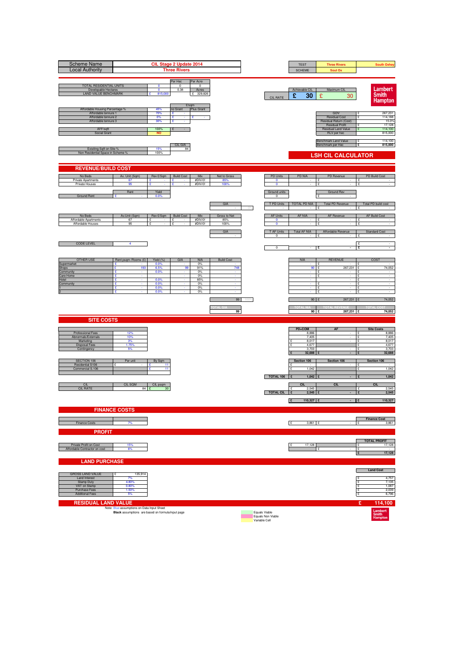| <b>Scheme Name</b><br><b>Local Authority</b>                                                                                        |                                                                                                 |                                              | CIL Stage 2 Update 2014<br><b>Three Rivers</b> |                                              |                             |    |                                                     | <b>TEST</b><br><b>SCHEME</b>                                  | <b>Three Rivers</b><br>Sout Ox                                                                                        | <b>South Oxhey</b>                                                                                 |
|-------------------------------------------------------------------------------------------------------------------------------------|-------------------------------------------------------------------------------------------------|----------------------------------------------|------------------------------------------------|----------------------------------------------|-----------------------------|----|-----------------------------------------------------|---------------------------------------------------------------|-----------------------------------------------------------------------------------------------------------------------|----------------------------------------------------------------------------------------------------|
| TOTAL RESIDENTIAL UNITS<br>Developable Hectares<br><b>LAND VALUE BENCHMARK</b>                                                      |                                                                                                 | $\mathbf{0}$<br>$\mathbf{0}$<br>815,000      | Per Hec<br>$^{\circ}$<br>0.38                  | Per Acre<br>$^{\circ}$<br>Acres<br>£ 329,826 |                             |    | CIL RATE                                            | Achievable CIL<br>£<br>30                                     | Maximum CIL<br>£<br>30                                                                                                | Lambert<br><b>Smith</b><br><b>Hampton</b>                                                          |
| Affordable Housing Percentage %<br>Affordable tennure 1<br>Affordable tennure 2<br>Affordable tennure 3<br>AFF/sqft<br>Social Grant |                                                                                                 | 45%<br>70%<br>0%<br>30%<br>100%<br><b>NO</b> | E/sqm<br>no Grant<br>£<br>£<br>£<br>×<br>£     | Plus Grant<br>£                              |                             |    |                                                     |                                                               | GDV<br><b>Residual Cost</b><br>Residual Return (Cost)<br><b>Residual Profit</b><br>Residual Land Value<br>RLV per hec | 267,231<br>114,188<br>$\mathbf{S}$<br>15.0%<br>17,128<br>114,100<br>815,000                        |
| Exisiting Sqft on Site %<br>Non Residential Space in Scheme 9                                                                       |                                                                                                 | 15%<br>100%                                  | CIL GIA<br>84                                  |                                              |                             |    |                                                     |                                                               | Benchmark Land Value<br>Benchmark per Hec<br><b>LSH CIL CALCULATOR</b>                                                | 114,100<br>£<br>£<br>815,000                                                                       |
| <b>REVENUE/BUILD COST</b>                                                                                                           |                                                                                                 |                                              |                                                |                                              |                             |    |                                                     |                                                               |                                                                                                                       |                                                                                                    |
| No Beds<br>Private Apartments<br>Private Houses                                                                                     | Av. Unit (Sqm)<br>67<br>95                                                                      | Rev £/Sqm<br>£                               | <b>Build Cost</b><br>÷.                        | Mix<br>#DIV/0!<br>#DIV/0!                    | Net to Gross<br>85%<br>100% |    | <b>PD Units</b><br>$\mathbf 0$<br>$\circ$           | <b>PD NIA</b>                                                 | PD Revenue<br>£                                                                                                       | PD Build Cost<br>£                                                                                 |
| <b>Ground Rent</b>                                                                                                                  | Rent                                                                                            | Yield<br>0.0%                                |                                                |                                              | GIA                         | 0% | Ground units<br>$\circ$<br>T PD Units               | <b>TOTAL PD NIA</b>                                           | <b>Ground Rev</b><br><b>Total PD Revenue</b>                                                                          | Total PD build cost                                                                                |
| No Beds<br>Affordable Apartments<br>Affordable Houses                                                                               | Av.Unit (Sqm)<br>67<br>95                                                                       | Rev £/Sqm<br>£                               | <b>Build Cost</b><br>£                         | Mix<br>#DIV/0!<br>#DIV/0!                    | Gross to Net<br>85%<br>100% |    | <b>AF Units</b><br>$\circ$<br>$\circ$               | AF NIA                                                        | AF Revenue<br>¥                                                                                                       | <b>AF Build Cost</b><br>¢                                                                          |
| <b>CODE LEVEL</b>                                                                                                                   | 4                                                                                               |                                              |                                                |                                              | GIA                         |    | T AF Units<br>$\Omega$<br>$\overline{\mathbf{0}}$   | <b>Total AF NIA</b>                                           | Affordable Revenue<br>£                                                                                               | <b>Standard Cost</b><br>ç<br>£<br>$\sim$<br>£<br>$\sim$                                            |
| <b>OTHER USE</b><br>Supermarket                                                                                                     | Rent psqm /Rooms (£)<br>÷                                                                       | Yield (%)<br>0.0%                            | GIA                                            | <b>NIA</b><br>0%                             | <b>Build Cost</b>           |    |                                                     | <b>NIA</b>                                                    | <b>REVENUE</b>                                                                                                        | COST                                                                                               |
| Shops<br>Community<br>Care Home<br>Hotel<br>Community                                                                               | 193<br>£<br>ç<br>£<br>£<br>÷<br>×                                                               | 6.5%<br>0.0%<br>0.0%<br>0.0%                 | 99                                             | 91%<br>0%<br>$0\%$<br>85%<br>0%              | 748<br>×                    |    |                                                     | 90                                                            | 267,231<br>£<br>÷<br>£<br>$\sim$<br>£<br>$\sim$                                                                       | 74,052<br>$\sim$<br>ç<br>٠<br>١£<br>$\sim$<br>۱ç<br>$\sim$                                         |
|                                                                                                                                     | £<br>£                                                                                          | 0.0%<br>0.0%                                 |                                                | 0%<br>0%                                     | 99                          |    |                                                     | 90                                                            | £<br>£<br>267,231 £                                                                                                   | £<br>١£<br>$\sim$<br>74,052                                                                        |
| <b>SITE COSTS</b>                                                                                                                   |                                                                                                 |                                              |                                                |                                              | 99                          |    |                                                     | $90$ $E$                                                      | 267,231 £                                                                                                             | 74,052                                                                                             |
| Professional Fees<br>Abnormals/Externals<br>Marketing<br><b>Disposal Fees</b><br>Contingency                                        | 12%<br>10%<br>3%<br>1.75%<br>5%                                                                 |                                              |                                                |                                              |                             |    |                                                     | PD+COM<br>8,886<br>7,405<br>8,017<br>4,677<br>3,703<br>32,688 | <b>AF</b><br>$\cdot$                                                                                                  | <b>Site Costs</b><br>8,886<br>١£<br>7,405<br>£<br>E<br>8,017<br>4,677<br>£<br>3,703<br>32,688<br>£ |
| SECTION 106<br>Residential S106<br>Commercial S.106                                                                                 | Per unit                                                                                        | By Sqm<br>11<br>11                           |                                                |                                              |                             |    | TOTAL 106                                           | Section 106<br>1,042<br>$\mathbf{c}$                          | Section 106                                                                                                           | Section 106<br>ις<br>£<br>1,042                                                                    |
| CII<br><b>CIL RATE</b>                                                                                                              | <b>CIL SQM</b><br>84 £                                                                          | CIL psqm<br>30                               |                                                |                                              |                             |    | <b>TOTAL CIL</b>                                    | 1,042<br><b>CIL</b><br>2,545<br>$\mathbf{f}$<br>2,545         | CL                                                                                                                    | 1,042<br><b>CIL</b><br>2,545<br>ç<br>2,545                                                         |
|                                                                                                                                     | <b>FINANCE COSTS</b>                                                                            |                                              |                                                |                                              |                             |    |                                                     | 110,327 £<br>E                                                |                                                                                                                       | 110,327                                                                                            |
| Finance Costs<br><b>PROFIT</b>                                                                                                      | 7%                                                                                              |                                              |                                                |                                              |                             |    |                                                     | E<br>3,861 £                                                  |                                                                                                                       | <b>Finance Cost</b><br>£<br>3,861                                                                  |
| Private Profit on Cost<br>Affordable Contractor on cost                                                                             | 15%<br>6%                                                                                       |                                              |                                                |                                              |                             |    |                                                     | 17,128                                                        | ¢                                                                                                                     | <b>TOTAL PROFIT</b><br>17,128<br>÷<br>۱۶<br>17,128<br>$\mathbf{E}$                                 |
| <b>LAND PURCHASE</b>                                                                                                                |                                                                                                 |                                              |                                                |                                              |                             |    |                                                     |                                                               |                                                                                                                       | <b>Land Cost</b>                                                                                   |
| <b>GROSS LAND VALUE</b><br>Land Interest<br><b>Stamp Duty</b><br>VAT on Stamp<br>Purchase Fees<br><b>Additional Fees</b>            | 135,914<br>7%<br>4.80%<br>0.80%<br>1.50%<br>5%                                                  |                                              |                                                |                                              |                             |    |                                                     |                                                               |                                                                                                                       | 4,757<br>۱ç<br>7,135<br>1,087<br>$\mathbf{E}$<br>2,039<br>6,796<br>١£                              |
| <b>RESIDUAL LAND VALUE</b>                                                                                                          | Note: Blue assumptions on Data Input Sheet<br>Black assumptions are based on formula/input page |                                              |                                                |                                              |                             |    | Equals Viable<br>Equals Non Viable<br>Variable Cell |                                                               |                                                                                                                       | £<br>114,100<br>Lambert<br>Smith<br>Hampton                                                        |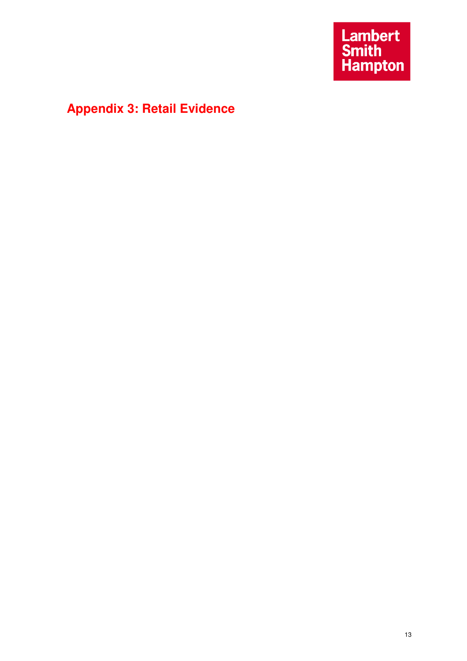# **Appendix 3: Retail Evidence**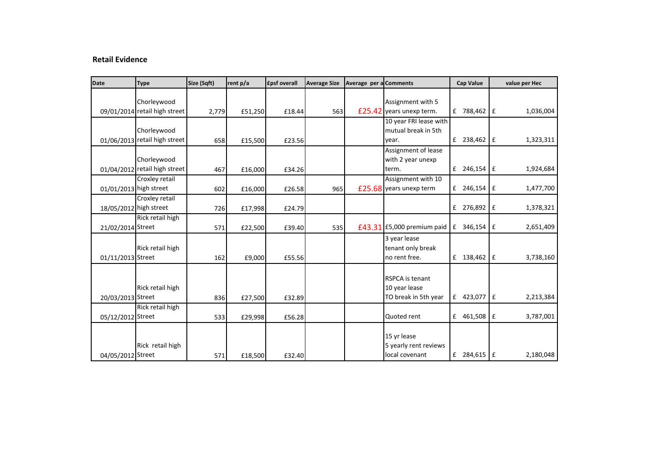#### **Retail Evidence**

| Date                   | <b>Type</b>                   | Size (Sqft) | rent p/a | <b>£psf overall</b> | <b>Average Size</b> | Average per a Comments |                          | <b>Cap Value</b> |     | value per Hec |
|------------------------|-------------------------------|-------------|----------|---------------------|---------------------|------------------------|--------------------------|------------------|-----|---------------|
|                        |                               |             |          |                     |                     |                        |                          |                  |     |               |
|                        | Chorleywood                   |             |          |                     |                     |                        | Assignment with 5        |                  |     |               |
|                        | 09/01/2014 retail high street | 2,779       | £51,250  | £18.44              | 563                 |                        | £25.42 years unexp term. | £ 788,462 £      |     | 1,036,004     |
|                        |                               |             |          |                     |                     |                        | 10 year FRI lease with   |                  |     |               |
|                        | Chorleywood                   |             |          |                     |                     |                        | mutual break in 5th      |                  |     |               |
|                        | 01/06/2013 retail high street | 658         | £15,500  | £23.56              |                     |                        | year.                    | £ 238,462        | l £ | 1,323,311     |
|                        |                               |             |          |                     |                     |                        | Assignment of lease      |                  |     |               |
|                        | Chorleywood                   |             |          |                     |                     |                        | with 2 year unexp        |                  |     |               |
|                        | 01/04/2012 retail high street | 467         | £16,000  | £34.26              |                     |                        | term.                    | £ $246,154$ £    |     | 1,924,684     |
|                        | Croxley retail                |             |          |                     |                     |                        | Assignment with 10       |                  |     |               |
| 01/01/2013 high street |                               | 602         | £16,000  | £26.58              | 965                 |                        | £25.68 years unexp term  | £ 246,154        | I £ | 1,477,700     |
|                        | Croxley retail                |             |          |                     |                     |                        |                          |                  |     |               |
| 18/05/2012 high street |                               | 726         | £17,998  | £24.79              |                     |                        |                          | £ 276,892        | £   | 1,378,321     |
|                        | Rick retail high              |             |          |                     |                     |                        |                          |                  |     |               |
| 21/02/2014 Street      |                               | 571         | £22,500  | £39.40              | 535                 | £43.31                 | £5,000 premium paid      | £ 346,154        | £   | 2,651,409     |
|                        |                               |             |          |                     |                     |                        | 3 year lease             |                  |     |               |
|                        | Rick retail high              |             |          |                     |                     |                        | tenant only break        |                  |     |               |
| 01/11/2013 Street      |                               | 162         | £9,000   | £55.56              |                     |                        | no rent free.            | £ 138,462        | l £ | 3,738,160     |
|                        |                               |             |          |                     |                     |                        |                          |                  |     |               |
|                        |                               |             |          |                     |                     |                        | <b>RSPCA</b> is tenant   |                  |     |               |
|                        | Rick retail high              |             |          |                     |                     |                        | 10 year lease            |                  |     |               |
| 20/03/2013 Street      |                               | 836         | £27,500  | £32.89              |                     |                        | TO break in 5th year     | 423,077 E<br>f   |     | 2,213,384     |
|                        | Rick retail high              |             |          |                     |                     |                        |                          |                  |     |               |
| 05/12/2012 Street      |                               | 533         | £29,998  | £56.28              |                     |                        | Quoted rent              | £ 461,508        | I £ | 3,787,001     |
|                        |                               |             |          |                     |                     |                        |                          |                  |     |               |
|                        |                               |             |          |                     |                     |                        | 15 yr lease              |                  |     |               |
|                        | Rick retail high              |             |          |                     |                     |                        | 5 yearly rent reviews    |                  |     |               |
| 04/05/2012 Street      |                               | 571         | £18,500  | £32.40              |                     |                        | local covenant           | £ $284,615$ $E$  |     | 2,180,048     |